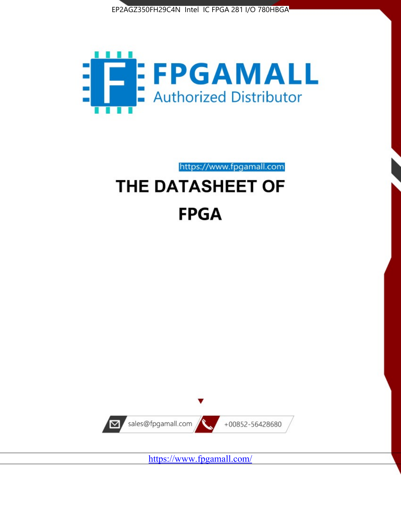



# https://www.fpgamall.com THE DATASHEET OF **FPGA**



<https://www.fpgamall.com/>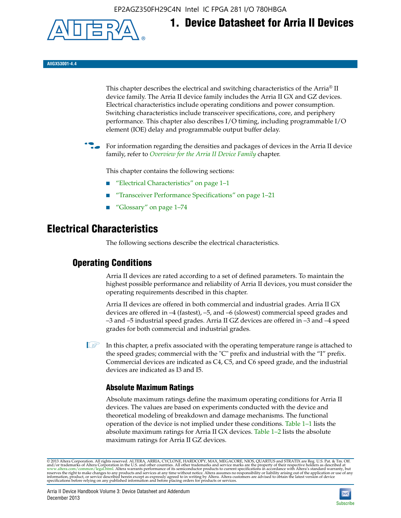EP2AGZ350FH29C4N Intel IC FPGA 281 I/O 780HBGA



# **1. Device Datasheet for Arria II Devices**

**AIIGX53001-4.4**

This chapter describes the electrical and switching characteristics of the Arria® II device family. The Arria II device family includes the Arria II GX and GZ devices. Electrical characteristics include operating conditions and power consumption. Switching characteristics include transceiver specifications, core, and periphery performance. This chapter also describes I/O timing, including programmable I/O element (IOE) delay and programmable output buffer delay.

For information regarding the densities and packages of devices in the Arria II device family, refer to *[Overview for the Arria II Device Family](http://www.altera.com/literature/hb/arria-ii-gx/aiigx_51001.pdf)* chapter.

This chapter contains the following sections:

- *"Electrical Characteristics"* on page 1–1
- "Transceiver Performance Specifications" on page 1–21
- "Glossary" on page 1–74

# **Electrical Characteristics**

The following sections describe the electrical characteristics.

# **Operating Conditions**

Arria II devices are rated according to a set of defined parameters. To maintain the highest possible performance and reliability of Arria II devices, you must consider the operating requirements described in this chapter.

Arria II devices are offered in both commercial and industrial grades. Arria II GX devices are offered in –4 (fastest), –5, and –6 (slowest) commercial speed grades and –3 and –5 industrial speed grades. Arria II GZ devices are offered in –3 and –4 speed grades for both commercial and industrial grades.

 $\Box$  In this chapter, a prefix associated with the operating temperature range is attached to the speed grades; commercial with the "C" prefix and industrial with the "I" prefix. Commercial devices are indicated as C4, C5, and C6 speed grade, and the industrial devices are indicated as I3 and I5.

# **Absolute Maximum Ratings**

Absolute maximum ratings define the maximum operating conditions for Arria II devices. The values are based on experiments conducted with the device and theoretical modeling of breakdown and damage mechanisms. The functional operation of the device is not implied under these conditions. Table 1–1 lists the absolute maximum ratings for Arria II GX devices. Table 1–2 lists the absolute maximum ratings for Arria II GZ devices.

© 2013 Altera Corporation. All rights reserved. ALTERA, ARRIA, CYCLONE, HARDCOPY, MAX, MEGACORE, NIOS, QUARTUS and STRATIX are Reg. U.S. Pat. & Tm. Off. [and/or trademarks of Altera Corporat](http://www.altera.com/common/legal.html)ion in the U.S. and other countri

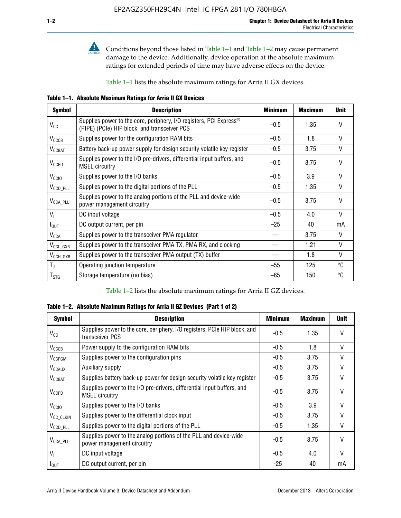

**Conditions beyond those listed in Table 1–1 and Table 1–2 may cause permanent** damage to the device. Additionally, device operation at the absolute maximum ratings for extended periods of time may have adverse effects on the device.

Table 1–1 lists the absolute maximum ratings for Arria II GX devices.

**Table 1–1. Absolute Maximum Ratings for Arria II GX Devices** 

| <b>Symbol</b>          | <b>Description</b>                                                                                                             | <b>Minimum</b> | <b>Maximum</b> | <b>Unit</b>  |
|------------------------|--------------------------------------------------------------------------------------------------------------------------------|----------------|----------------|--------------|
| $V_{\rm CC}$           | Supplies power to the core, periphery, I/O registers, PCI Express <sup>®</sup><br>(PIPE) (PCIe) HIP block, and transceiver PCS | $-0.5$         | 1.35           | $\vee$       |
| $V_{\text{CCCB}}$      | Supplies power for the configuration RAM bits                                                                                  | $-0.5$         | 1.8            | $\vee$       |
| $V_{\text{CCBAT}}$     | Battery back-up power supply for design security volatile key register                                                         | $-0.5$         | 3.75           | V            |
| $V_{CCPD}$             | Supplies power to the I/O pre-drivers, differential input buffers, and<br><b>MSEL circuitry</b>                                | $-0.5$         | 3.75           | $\mathsf{V}$ |
| V <sub>CCIO</sub>      | Supplies power to the I/O banks                                                                                                | $-0.5$         | 3.9            | $\mathsf{V}$ |
| V <sub>CCD_PLL</sub>   | Supplies power to the digital portions of the PLL                                                                              | $-0.5$         | 1.35           | $\vee$       |
| $V_{\text{CCA\_PLL}}$  | Supplies power to the analog portions of the PLL and device-wide<br>power management circuitry                                 | $-0.5$         | 3.75           | $\mathsf{V}$ |
| $V_1$                  | DC input voltage                                                                                                               | $-0.5$         | 4.0            | $\mathsf{V}$ |
| $I_{\text{OUT}}$       | DC output current, per pin                                                                                                     | $-25$          | 40             | mA           |
| <b>V<sub>CCA</sub></b> | Supplies power to the transceiver PMA regulator                                                                                |                | 3.75           | $\vee$       |
| $V_{CCL_GXB}$          | Supplies power to the transceiver PMA TX, PMA RX, and clocking                                                                 |                | 1.21           | $\mathsf{V}$ |
| $V_{\text{CCH_GXB}}$   | Supplies power to the transceiver PMA output (TX) buffer                                                                       |                | 1.8            | $\vee$       |
| $T_{\rm J}$            | Operating junction temperature                                                                                                 | $-55$          | 125            | ℃            |
| $T_{\tt STG}$          | Storage temperature (no bias)                                                                                                  | -65            | 150            | °C           |

Table 1–2 lists the absolute maximum ratings for Arria II GZ devices.

**Table 1–2. Absolute Maximum Ratings for Arria II GZ Devices (Part 1 of 2)**

| <b>Symbol</b>            | <b>Description</b>                                                                              | <b>Minimum</b> | <b>Maximum</b> | <b>Unit</b>  |
|--------------------------|-------------------------------------------------------------------------------------------------|----------------|----------------|--------------|
| $V_{CC}$                 | Supplies power to the core, periphery, I/O registers, PCIe HIP block, and<br>transceiver PCS    | -0.5           | 1.35           | $\mathsf{V}$ |
| $V_{CCCB}$               | Power supply to the configuration RAM bits                                                      | $-0.5$         | 1.8            | $\vee$       |
| V <sub>CCPGM</sub>       | Supplies power to the configuration pins                                                        | $-0.5$         | 3.75           | $\vee$       |
| <b>V<sub>CCAUX</sub></b> | Auxiliary supply                                                                                | $-0.5$         | 3.75           | $\vee$       |
| $V_{CCBAT}$              | Supplies battery back-up power for design security volatile key register                        | -0.5           | 3.75           | V            |
| $V_{CCPD}$               | Supplies power to the I/O pre-drivers, differential input buffers, and<br><b>MSEL circuitry</b> | -0.5           | 3.75           | $\mathsf{V}$ |
| V <sub>CCIO</sub>        | Supplies power to the I/O banks                                                                 | $-0.5$         | 3.9            | $\mathsf{V}$ |
| $V_{\rm CC\_CLKIN}$      | Supplies power to the differential clock input                                                  | $-0.5$         | 3.75           | $\vee$       |
| $V_{\text{CCD\_PLL}}$    | Supplies power to the digital portions of the PLL                                               | $-0.5$         | 1.35           | V            |
| $V_{\text{CCA\_PLL}}$    | Supplies power to the analog portions of the PLL and device-wide<br>power management circuitry  | $-0.5$         | 3.75           | $\mathsf{V}$ |
| V <sub>1</sub>           | DC input voltage                                                                                | $-0.5$         | 4.0            | $\vee$       |
| $I_{\text{OUT}}$         | DC output current, per pin                                                                      | $-25$          | 40             | mA           |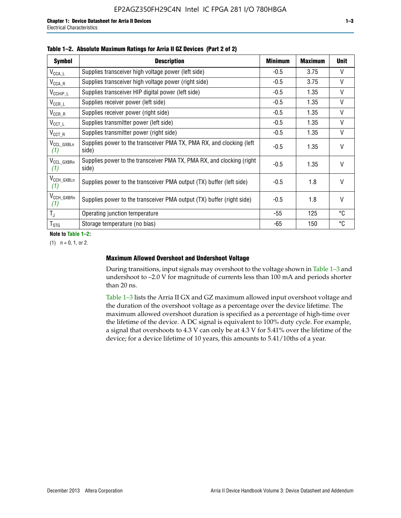| <b>Symbol</b>                  | <b>Description</b>                                                              | <b>Minimum</b> | <b>Maximum</b> | <b>Unit</b>  |
|--------------------------------|---------------------------------------------------------------------------------|----------------|----------------|--------------|
| $V_{\texttt{CCA}\_\textsf{L}}$ | Supplies transceiver high voltage power (left side)                             | $-0.5$         | 3.75           | V            |
| $V_{\text{CCA\_R}}$            | Supplies transceiver high voltage power (right side)                            | $-0.5$         | 3.75           | V            |
| $V_{CCHIP\_L}$                 | Supplies transceiver HIP digital power (left side)                              | $-0.5$         | 1.35           | $\vee$       |
| $V_{CCR\_L}$                   | Supplies receiver power (left side)                                             | $-0.5$         | 1.35           | $\mathsf{V}$ |
| $V_{CCR\_R}$                   | Supplies receiver power (right side)                                            | $-0.5$         | 1.35           | $\mathsf{V}$ |
| $V_{\text{CCT}\_\text{L}}$     | Supplies transmitter power (left side)                                          | $-0.5$         | 1.35           | V            |
| $V_{CCT_R}$                    | Supplies transmitter power (right side)                                         | $-0.5$         | 1.35           | V            |
| V <sub>CCL_GXBLn</sub><br>(1)  | Supplies power to the transceiver PMA TX, PMA RX, and clocking (left)<br>side)  | $-0.5$         | 1.35           | $\vee$       |
| V <sub>CCL_GXBRn</sub><br>(1)  | Supplies power to the transceiver PMA TX, PMA RX, and clocking (right)<br>side) | $-0.5$         | 1.35           | $\mathsf{V}$ |
| V <sub>CCH_GXBLn</sub><br>(1)  | Supplies power to the transceiver PMA output (TX) buffer (left side)            | $-0.5$         | 1.8            | $\mathsf{V}$ |
| V <sub>CCH_GXBRn</sub><br>(1)  | Supplies power to the transceiver PMA output (TX) buffer (right side)           | -0.5           | 1.8            | $\vee$       |
| $T_{\rm J}$                    | Operating junction temperature                                                  | -55            | 125            | °C           |
| $T_{\text{STG}}$               | Storage temperature (no bias)                                                   | -65            | 150            | ℃            |

#### **Table 1–2. Absolute Maximum Ratings for Arria II GZ Devices (Part 2 of 2)**

**Note to Table 1–2:**

 $(1)$   $n = 0, 1,$  or 2.

#### **Maximum Allowed Overshoot and Undershoot Voltage**

During transitions, input signals may overshoot to the voltage shown in Table 1–3 and undershoot to –2.0 V for magnitude of currents less than 100 mA and periods shorter than 20 ns.

Table 1–3 lists the Arria II GX and GZ maximum allowed input overshoot voltage and the duration of the overshoot voltage as a percentage over the device lifetime. The maximum allowed overshoot duration is specified as a percentage of high-time over the lifetime of the device. A DC signal is equivalent to 100% duty cycle. For example, a signal that overshoots to 4.3 V can only be at 4.3 V for 5.41% over the lifetime of the device; for a device lifetime of 10 years, this amounts to 5.41/10ths of a year.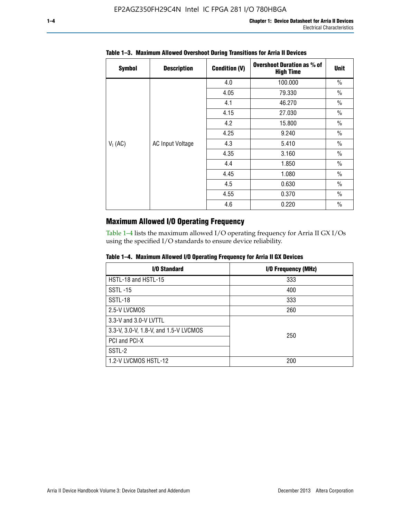| <b>Symbol</b> | <b>Description</b>      | <b>Condition (V)</b> | <b>Overshoot Duration as % of</b><br><b>High Time</b> | <b>Unit</b>   |
|---------------|-------------------------|----------------------|-------------------------------------------------------|---------------|
|               |                         | 4.0                  | 100.000                                               | $\frac{0}{0}$ |
|               |                         | 4.05                 | 79.330                                                | $\frac{0}{0}$ |
|               |                         | 4.1                  | 46.270                                                | $\frac{0}{0}$ |
|               |                         | 4.15                 | 27.030                                                | $\frac{0}{0}$ |
|               | <b>AC Input Voltage</b> | 4.2                  | 15.800                                                | $\frac{0}{0}$ |
|               |                         | 4.25                 | 9.240                                                 | $\frac{0}{0}$ |
| $V_1$ (AC)    |                         | 4.3                  | 5.410                                                 | $\frac{0}{0}$ |
|               |                         | 4.35                 | 3.160                                                 | $\frac{0}{0}$ |
|               |                         | 4.4                  | 1.850                                                 | $\frac{0}{0}$ |
|               |                         | 4.45                 | 1.080                                                 | $\frac{0}{0}$ |
|               |                         | 4.5                  | 0.630                                                 | $\frac{0}{0}$ |
|               |                         | 4.55                 | 0.370                                                 | $\frac{0}{0}$ |
|               |                         | 4.6                  | 0.220                                                 | $\frac{0}{0}$ |

### **Table 1–3. Maximum Allowed Overshoot During Transitions for Arria II Devices**

# **Maximum Allowed I/O Operating Frequency**

Table 1–4 lists the maximum allowed I/O operating frequency for Arria II GX I/Os using the specified I/O standards to ensure device reliability.

|  | Table 1–4. Maximum Allowed I/O Operating Frequency for Arria II GX Devices |  |  |  |  |
|--|----------------------------------------------------------------------------|--|--|--|--|
|--|----------------------------------------------------------------------------|--|--|--|--|

| I/O Standard                          | I/O Frequency (MHz) |
|---------------------------------------|---------------------|
| HSTL-18 and HSTL-15                   | 333                 |
| <b>SSTL-15</b>                        | 400                 |
| SSTL-18                               | 333                 |
| 2.5-V LVCMOS                          | 260                 |
| 3.3-V and 3.0-V LVTTL                 |                     |
| 3.3-V, 3.0-V, 1.8-V, and 1.5-V LVCMOS | 250                 |
| PCI and PCI-X                         |                     |
| SSTL-2                                |                     |
| 1.2-V LVCMOS HSTL-12                  | 200                 |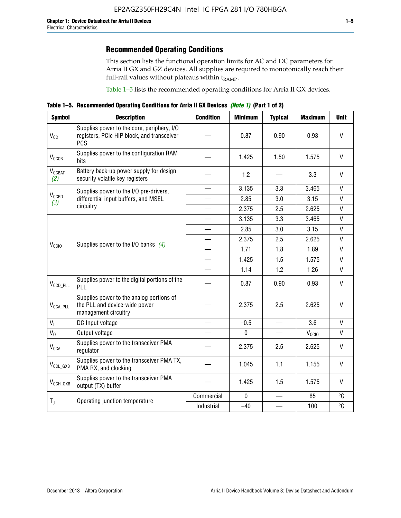# **Recommended Operating Conditions**

This section lists the functional operation limits for AC and DC parameters for Arria II GX and GZ devices. All supplies are required to monotonically reach their full-rail values without plateaus within  $t_{RAMP}$ .

Table 1–5 lists the recommended operating conditions for Arria II GX devices.

**Table 1–5. Recommended Operating Conditions for Arria II GX Devices** *(Note 1)* **(Part 1 of 2)**

| <b>Symbol</b>             | <b>Description</b>                                                                                     | <b>Condition</b>         | <b>Minimum</b> | <b>Typical</b> | <b>Maximum</b>    | <b>Unit</b>  |
|---------------------------|--------------------------------------------------------------------------------------------------------|--------------------------|----------------|----------------|-------------------|--------------|
| $V_{CC}$                  | Supplies power to the core, periphery, I/O<br>registers, PCIe HIP block, and transceiver<br><b>PCS</b> |                          | 0.87           | 0.90           | 0.93              | V            |
| V <sub>CCCB</sub>         | Supplies power to the configuration RAM<br>bits                                                        |                          | 1.425          | 1.50           | 1.575             | $\mathsf{V}$ |
| $V_{\text{CGBAT}}$<br>(2) | Battery back-up power supply for design<br>security volatile key registers                             |                          | 1.2            |                | 3.3               | V            |
|                           | Supplies power to the I/O pre-drivers,                                                                 |                          | 3.135          | 3.3            | 3.465             | $\mathsf{V}$ |
| $V_{CCPD}$<br>(3)         | differential input buffers, and MSEL                                                                   |                          | 2.85           | 3.0            | 3.15              | V            |
|                           | circuitry                                                                                              | $\overline{\phantom{a}}$ | 2.375          | 2.5            | 2.625             | $\mathsf{V}$ |
|                           |                                                                                                        |                          | 3.135          | 3.3            | 3.465             | $\vee$       |
|                           | Supplies power to the I/O banks $(4)$                                                                  |                          | 2.85           | 3.0            | 3.15              | $\vee$       |
|                           |                                                                                                        |                          | 2.375          | 2.5            | 2.625             | $\mathsf{V}$ |
| V <sub>CCIO</sub>         |                                                                                                        |                          | 1.71           | 1.8            | 1.89              | $\mathsf{V}$ |
|                           |                                                                                                        |                          | 1.425          | 1.5            | 1.575             | $\mathsf{V}$ |
|                           |                                                                                                        |                          | 1.14           | 1.2            | 1.26              | $\mathsf{V}$ |
| $V_{CCD\_PLL}$            | Supplies power to the digital portions of the<br>PLL                                                   |                          | 0.87           | 0.90           | 0.93              | V            |
| $V_{\text{CCA\_PLL}}$     | Supplies power to the analog portions of<br>the PLL and device-wide power<br>management circuitry      |                          | 2.375          | 2.5            | 2.625             | $\mathsf{V}$ |
| $V_{1}$                   | DC Input voltage                                                                                       |                          | $-0.5$         | $\equiv$       | 3.6               | V            |
| $V_0$                     | Output voltage                                                                                         |                          | 0              |                | V <sub>CCIO</sub> | V            |
| <b>V<sub>CCA</sub></b>    | Supplies power to the transceiver PMA<br>regulator                                                     |                          | 2.375          | 2.5            | 2.625             | $\mathsf{V}$ |
| $V_{CCL_GXB}$             | Supplies power to the transceiver PMA TX,<br>PMA RX, and clocking                                      |                          | 1.045          | 1.1            | 1.155             | V            |
| $V_{CCH_GXB}$             | Supplies power to the transceiver PMA<br>output (TX) buffer                                            |                          | 1.425          | 1.5            | 1.575             | V            |
| $T_{J}$                   | Operating junction temperature                                                                         | Commercial               | $\mathbf 0$    |                | 85                | °C           |
|                           |                                                                                                        | Industrial               | $-40$          |                | 100               | °C           |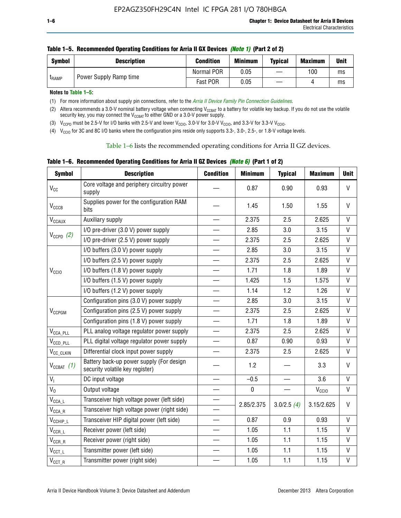| <b>Symbol</b> | <b>Description</b>     | <b>Condition</b> | <b>Minimum</b> | <b>Typical</b> | <b>Maximum</b> | <b>Unit</b> |
|---------------|------------------------|------------------|----------------|----------------|----------------|-------------|
|               | Power Supply Ramp time | Normal POR       | 0.05           |                | 100            | ms          |
| <b>LRAMP</b>  |                        | Fast POR<br>0.05 | ms             |                |                |             |

| Table 1–5. Recommended Operating Conditions for Arria II GX Devices (Note 1) (Part 2 of 2) |  |  |  |
|--------------------------------------------------------------------------------------------|--|--|--|
|                                                                                            |  |  |  |

**Notes to Table 1–5:** 

(1) For more information about supply pin connections, refer to the *[Arria II Device Family Pin Connection Guidelines](http://www.altera.com/literature/dp/arria-ii-gx/PCG-01007.pdf)*.

(2) Altera recommends a 3.0-V nominal battery voltage when connecting V<sub>CCBAT</sub> to a battery for volatile key backup. If you do not use the volatile security key, you may connect the V<sub>CCBAT</sub> to either GND or a 3.0-V power supply.

(3)  $V_{CCPD}$  must be 2.5-V for I/O banks with 2.5-V and lower  $V_{CCIO}$ , 3.0-V for 3.0-V  $V_{CCIO}$ , and 3.3-V for 3.3-V  $V_{CCIO}$ .

(4)  $V_{\text{CCIO}}$  for 3C and 8C I/O banks where the configuration pins reside only supports 3.3-, 3.0-, 2.5-, or 1.8-V voltage levels.

Table 1–6 lists the recommended operating conditions for Arria II GZ devices.

**Table 1–6. Recommended Operating Conditions for Arria II GZ Devices** *(Note 6)* **(Part 1 of 2)**

| <b>Symbol</b>                  | <b>Description</b>                                                          | <b>Condition</b>         | <b>Minimum</b> | <b>Typical</b> | <b>Maximum</b>    | <b>Unit</b>  |
|--------------------------------|-----------------------------------------------------------------------------|--------------------------|----------------|----------------|-------------------|--------------|
| V <sub>CC</sub>                | Core voltage and periphery circuitry power<br>supply                        |                          | 0.87           | 0.90           | 0.93              | $\mathsf{V}$ |
| $V_{CCCB}$                     | Supplies power for the configuration RAM<br>bits                            |                          | 1.45           | 1.50           | 1.55              | V            |
| $V_{\text{CCAUX}}$             | Auxiliary supply                                                            |                          | 2.375          | 2.5            | 2.625             | V            |
|                                | I/O pre-driver (3.0 V) power supply                                         |                          | 2.85           | 3.0            | 3.15              | V            |
| $V_{CCPD}$ (2)                 | I/O pre-driver (2.5 V) power supply                                         | $\qquad \qquad$          | 2.375          | 2.5            | 2.625             | V            |
|                                | I/O buffers (3.0 V) power supply                                            |                          | 2.85           | 3.0            | 3.15              | V            |
|                                | I/O buffers (2.5 V) power supply                                            | $\equiv$                 | 2.375          | 2.5            | 2.625             | $\mathsf{V}$ |
| V <sub>CCIO</sub>              | I/O buffers (1.8 V) power supply                                            |                          | 1.71           | 1.8            | 1.89              | V            |
|                                | I/O buffers (1.5 V) power supply                                            |                          | 1.425          | 1.5            | 1.575             | $\mathsf{V}$ |
|                                | I/O buffers (1.2 V) power supply                                            |                          | 1.14           | 1.2            | 1.26              | $\vee$       |
|                                | Configuration pins (3.0 V) power supply                                     |                          | 2.85           | 3.0            | 3.15              | $\vee$       |
| V <sub>CCPGM</sub>             | Configuration pins (2.5 V) power supply                                     |                          | 2.375          | 2.5            | 2.625             | $\vee$       |
|                                | Configuration pins (1.8 V) power supply                                     | $\equiv$                 | 1.71           | 1.8            | 1.89              | V            |
| $V_{\text{CCA\_PLL}}$          | PLL analog voltage regulator power supply                                   | $\overline{\phantom{0}}$ | 2.375          | 2.5            | 2.625             | $\vee$       |
| $V_{CCD\_PLL}$                 | PLL digital voltage regulator power supply                                  |                          | 0.87           | 0.90           | 0.93              | $\mathsf{V}$ |
| V <sub>CC_CLKIN</sub>          | Differential clock input power supply                                       | $\qquad \qquad$          | 2.375          | 2.5            | 2.625             | $\mathsf{V}$ |
| $V_{CCBAT}$ (1)                | Battery back-up power supply (For design<br>security volatile key register) |                          | 1.2            |                | 3.3               | $\vee$       |
| V <sub>I</sub>                 | DC input voltage                                                            |                          | $-0.5$         |                | 3.6               | $\mathsf{V}$ |
| $V_0$                          | Output voltage                                                              |                          | $\pmb{0}$      |                | V <sub>CCIO</sub> | V            |
| $V_{\text{CCA\_L}}$            | Transceiver high voltage power (left side)                                  |                          |                |                |                   | V            |
| $\mathsf{V}_{\mathsf{CCA\_R}}$ | Transceiver high voltage power (right side)                                 |                          | 2.85/2.375     | 3.0/2.5(4)     | 3.15/2.625        |              |
| $V_{CCHIP\_L}$                 | Transceiver HIP digital power (left side)                                   | $\overline{\phantom{0}}$ | 0.87           | 0.9            | 0.93              | $\mathsf{V}$ |
| $V_{CCR\_L}$                   | Receiver power (left side)                                                  |                          | 1.05           | 1.1            | 1.15              | V            |
| $\mathsf{V}_{\mathsf{CCR\_R}}$ | Receiver power (right side)                                                 |                          | 1.05           | 1.1            | 1.15              | V            |
| $\mathsf{V}_{\mathsf{CCT\_L}}$ | Transmitter power (left side)                                               |                          | 1.05           | 1.1            | 1.15              | V            |
| $V_{CCT\_R}$                   | Transmitter power (right side)                                              |                          | 1.05           | 1.1            | 1.15              | V            |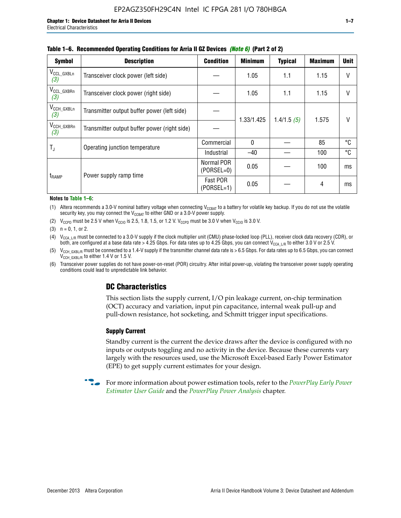| <b>Symbol</b>                 | <b>Description</b>                           | <b>Condition</b>           | <b>Minimum</b> | <b>Typical</b> | <b>Maximum</b> | <b>Unit</b> |
|-------------------------------|----------------------------------------------|----------------------------|----------------|----------------|----------------|-------------|
| $V_{CCL_GXBLn}$<br>(3)        | Transceiver clock power (left side)          |                            | 1.05           | 1.1            | 1.15           | $\vee$      |
| $V_{CCL_GXBRn}$<br>(3)        | Transceiver clock power (right side)         |                            | 1.05           | 1.1            | 1.15           | $\vee$      |
| $V_{\text{CCH_GXBLn}}$<br>(3) | Transmitter output buffer power (left side)  |                            | 1.33/1.425     | 1.4/1.5(5)     | 1.575          | $\vee$      |
| $V_{CCH_GXBRn}$<br>(3)        | Transmitter output buffer power (right side) |                            |                |                |                |             |
| T,                            | Operating junction temperature               | Commercial                 | $\mathbf{0}$   |                | 85             | °C          |
|                               |                                              | Industrial                 | $-40$          |                | 100            | °C          |
|                               | Power supply ramp time                       | Normal POR<br>$(PORSEL=0)$ | 0.05           |                | 100            | ms          |
| t <sub>RAMP</sub>             |                                              | Fast POR<br>$(PORSEL=1)$   | 0.05           |                | 4              | ms          |

#### **Table 1–6. Recommended Operating Conditions for Arria II GZ Devices** *(Note 6)* **(Part 2 of 2)**

#### **Notes to Table 1–6:**

(1) Altera recommends a 3.0-V nominal battery voltage when connecting  $V_{CCBAT}$  to a battery for volatile key backup. If you do not use the volatile security key, you may connect the  $V_{CCBAT}$  to either GND or a 3.0-V power supply.

(2)  $V_{CCPD}$  must be 2.5 V when  $V_{CCIO}$  is 2.5, 1.8, 1.5, or 1.2 V.  $V_{CCPD}$  must be 3.0 V when  $V_{CCIO}$  is 3.0 V.

(3)  $n = 0, 1, or 2$ .

(4)  $V_{CCA~LR}$  must be connected to a 3.0-V supply if the clock multiplier unit (CMU) phase-locked loop (PLL), receiver clock data recovery (CDR), or both, are configured at a base data rate > 4.25 Gbps. For data rates up to 4.25 Gbps, you can connect V<sub>CCA L/R</sub> to either 3.0 V or 2.5 V.

(5)  $V_{\text{CCH\_GXBL/R}}$  must be connected to a 1.4-V supply if the transmitter channel data rate is > 6.5 Gbps. For data rates up to 6.5 Gbps, you can connect V<sub>CCH\_GXBL/R</sub> to either 1.4 V or 1.5 V.

(6) Transceiver power supplies do not have power-on-reset (POR) circuitry. After initial power-up, violating the transceiver power supply operating conditions could lead to unpredictable link behavior.

# **DC Characteristics**

This section lists the supply current, I/O pin leakage current, on-chip termination (OCT) accuracy and variation, input pin capacitance, internal weak pull-up and pull-down resistance, hot socketing, and Schmitt trigger input specifications.

### **Supply Current**

Standby current is the current the device draws after the device is configured with no inputs or outputs toggling and no activity in the device. Because these currents vary largely with the resources used, use the Microsoft Excel-based Early Power Estimator (EPE) to get supply current estimates for your design.

**For more information about power estimation tools, refer to the** *PowerPlay Early Power* **<b>Formation** *[Estimator User Guide](http://www.altera.com/literature/ug/ug_epe.pdf
)* and the *[PowerPlay Power Analysis](http://www.altera.com/literature/hb/qts/qts_qii53013.pdf)* chapter.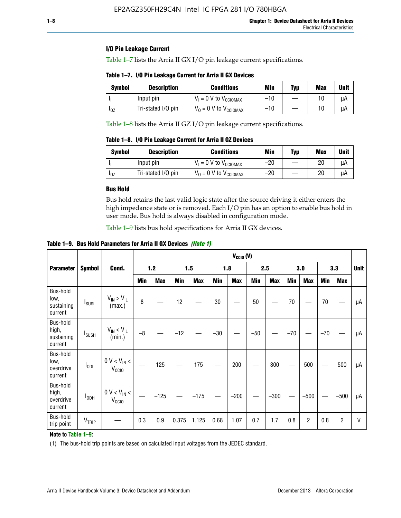### **I/O Pin Leakage Current**

Table 1–7 lists the Arria II GX I/O pin leakage current specifications.

# **Table 1–7. I/O Pin Leakage Current for Arria II GX Devices**

| Symbol   | <b>Description</b> | <b>Conditions</b>                   | <b>Min</b> | <b>Typ</b> | <b>Max</b> | <b>Unit</b> |
|----------|--------------------|-------------------------------------|------------|------------|------------|-------------|
|          | Input pin          | $V_1 = 0$ V to $V_{\text{CCIOMAX}}$ | $-10$      |            |            | uА          |
| $I_{0Z}$ | Tri-stated I/O pin | $V_0 = 0$ V to $V_{\text{CCIOMAX}}$ | $-10$      |            | 10         | uА          |

Table 1–8 lists the Arria II GZ I/O pin leakage current specifications.

**Table 1–8. I/O Pin Leakage Current for Arria II GZ Devices**

| <b>Symbol</b> | <b>Description</b> | <b>Conditions</b>                   | Min   | <b>Typ</b> | Max | <b>Unit</b> |
|---------------|--------------------|-------------------------------------|-------|------------|-----|-------------|
|               | Input pin          | $V_1 = 0$ V to $V_{\text{CCIOMAX}}$ | $-20$ |            | 20  | uА          |
| 10Z           | Tri-stated I/O pin | $V_0 = 0$ V to $V_{\text{CCIOMAX}}$ | $-20$ |            | 20  | uА          |

### **Bus Hold**

Bus hold retains the last valid logic state after the source driving it either enters the high impedance state or is removed. Each I/O pin has an option to enable bus hold in user mode. Bus hold is always disabled in configuration mode.

Table 1–9 lists bus hold specifications for Arria II GX devices.

**Table 1–9. Bus Hold Parameters for Arria II GX Devices** *(Note 1)*

|                                            |                          |                                                  | $V_{CClO}$ (V) |            |       |            |       |            |       |            |       |                |       |            |             |
|--------------------------------------------|--------------------------|--------------------------------------------------|----------------|------------|-------|------------|-------|------------|-------|------------|-------|----------------|-------|------------|-------------|
| <b>Parameter</b>                           | <b>Symbol</b>            | Cond.                                            |                | $1.2$      |       | 1.5        |       | 1.8        |       | 2.5        |       | 3.0            |       | 3.3        | <b>Unit</b> |
|                                            |                          |                                                  | Min            | <b>Max</b> | Min   | <b>Max</b> | Min   | <b>Max</b> | Min   | <b>Max</b> | Min   | <b>Max</b>     | Min   | <b>Max</b> |             |
| Bus-hold<br>low,<br>sustaining<br>current  | <b>I</b> <sub>SUSL</sub> | $V_{IN}$ > $V_{IL}$<br>(max.)                    | 8              |            | 12    |            | 30    |            | 50    |            | 70    |                | 70    |            | μA          |
| Bus-hold<br>high,<br>sustaining<br>current | I <sub>SUSH</sub>        | $V_{IN}$ < $V_{IL}$<br>(min.)                    | $-8$           |            | $-12$ |            | $-30$ |            | $-50$ |            | $-70$ |                | $-70$ |            | μA          |
| Bus-hold<br>low,<br>overdrive<br>current   | $I_{ODL}$                | $0 V < V_{IN} <$<br>V <sub>CCIO</sub>            |                | 125        |       | 175        |       | 200        |       | 300        |       | 500            |       | 500        | μA          |
| Bus-hold<br>high,<br>overdrive<br>current  | $I_{ODH}$                | $0$ V $<$ V $_{\rm IN}$ $<$<br>V <sub>CCIO</sub> |                | $-125$     |       | $-175$     |       | $-200$     |       | $-300$     |       | $-500$         |       | $-500$     | μA          |
| Bus-hold<br>trip point                     | VTRIP                    |                                                  | 0.3            | 0.9        | 0.375 | 1.125      | 0.68  | 1.07       | 0.7   | 1.7        | 0.8   | $\overline{c}$ | 0.8   | 2          | V           |

### **Note to Table 1–9:**

(1) The bus-hold trip points are based on calculated input voltages from the JEDEC standard.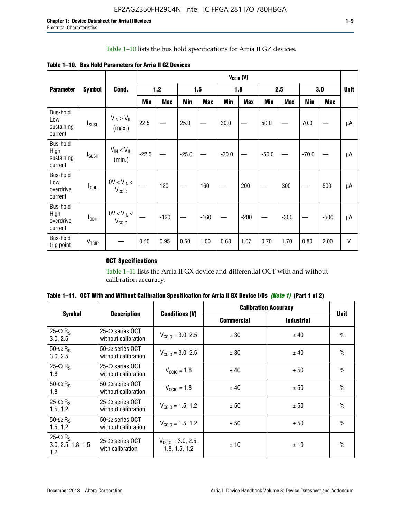### Table 1–10 lists the bus hold specifications for Arria II GZ devices.

**Table 1–10. Bus Hold Parameters for Arria II GZ Devices**

|                                           |                          |                                      | $V_{\text{CCIO}}(V)$ |            |         |            |         |            |         |            |         |            |             |
|-------------------------------------------|--------------------------|--------------------------------------|----------------------|------------|---------|------------|---------|------------|---------|------------|---------|------------|-------------|
| <b>Parameter</b>                          | <b>Symbol</b>            | Cond.                                |                      | $1.2$      |         | 1.5        |         | 1.8        |         | 2.5        |         | 3.0        | <b>Unit</b> |
|                                           |                          |                                      | Min                  | <b>Max</b> | Min     | <b>Max</b> | Min     | <b>Max</b> | Min     | <b>Max</b> | Min     | <b>Max</b> |             |
| Bus-hold<br>Low<br>sustaining<br>current  | $I_{SUSL}$               | $V_{IN} > V_{IL}$<br>(max.)          | 22.5                 |            | 25.0    |            | 30.0    |            | 50.0    |            | 70.0    |            | μA          |
| Bus-hold<br>High<br>sustaining<br>current | <b>I</b> <sub>SUSH</sub> | $V_{IN}$ < $V_{IH}$<br>(min.)        | $-22.5$              |            | $-25.0$ |            | $-30.0$ |            | $-50.0$ |            | $-70.0$ |            | μA          |
| Bus-hold<br>Low<br>overdrive<br>current   | $I_{ODL}$                | $0V < V_{IN}$<br>V <sub>CCIO</sub>   |                      | 120        |         | 160        |         | 200        |         | 300        |         | 500        | μA          |
| Bus-hold<br>High<br>overdrive<br>current  | I <sub>ODH</sub>         | $0V < V_{IN} <$<br>V <sub>CCIO</sub> |                      | $-120$     |         | $-160$     |         | $-200$     |         | $-300$     |         | $-500$     | μA          |
| Bus-hold<br>trip point                    | V <sub>TRIP</sub>        |                                      | 0.45                 | 0.95       | 0.50    | 1.00       | 0.68    | 1.07       | 0.70    | 1.70       | 0.80    | 2.00       | $\vee$      |

# **OCT Specifications**

Table 1–11 lists the Arria II GX device and differential OCT with and without calibration accuracy.

|                                                           |                                                 |                                                |                   | <b>Calibration Accuracy</b> | <b>Unit</b>   |
|-----------------------------------------------------------|-------------------------------------------------|------------------------------------------------|-------------------|-----------------------------|---------------|
| <b>Symbol</b>                                             | <b>Description</b>                              | <b>Conditions (V)</b>                          | <b>Commercial</b> | <b>Industrial</b>           |               |
| 25- $\Omega$ R <sub>s</sub><br>3.0, 2.5                   | 25- $\Omega$ series OCT<br>without calibration  | $V_{\text{CC10}} = 3.0, 2.5$                   | ± 30              | ± 40                        | $\frac{0}{0}$ |
| 50- $\Omega$ R <sub>s</sub><br>3.0, 2.5                   | $50-\Omega$ series OCT<br>without calibration   | $V_{\text{CC10}} = 3.0, 2.5$                   | ± 30              | ± 40                        | $\frac{0}{0}$ |
| 25- $\Omega$ R <sub>S</sub><br>1.8                        | 25- $\Omega$ series OCT<br>without calibration  | $V_{\text{CCI0}} = 1.8$                        | ± 40              | ± 50                        | $\frac{0}{0}$ |
| 50- $\Omega$ R <sub>s</sub><br>1.8                        | $50-\Omega$ series OCT<br>without calibration   | $V_{\text{CC10}} = 1.8$                        | ± 40              | ± 50                        | $\frac{0}{0}$ |
| 25- $\Omega$ R <sub>s</sub><br>1.5, 1.2                   | 25- $\Omega$ series OCT<br>without calibration  | $V_{CCD} = 1.5, 1.2$                           | ± 50              | ± 50                        | $\frac{0}{0}$ |
| 50- $\Omega$ R <sub>s</sub><br>1.5, 1.2                   | $50 - \Omega$ series OCT<br>without calibration | $V_{\text{CC10}} = 1.5, 1.2$                   | ± 50              | ± 50                        | $\frac{0}{0}$ |
| 25- $\Omega$ R <sub>S</sub><br>3.0, 2.5, 1.8, 1.5,<br>1.2 | 25- $\Omega$ series OCT<br>with calibration     | $V_{\text{CC10}} = 3.0, 2.5,$<br>1.8, 1.5, 1.2 | ±10               | ± 10                        | $\frac{0}{0}$ |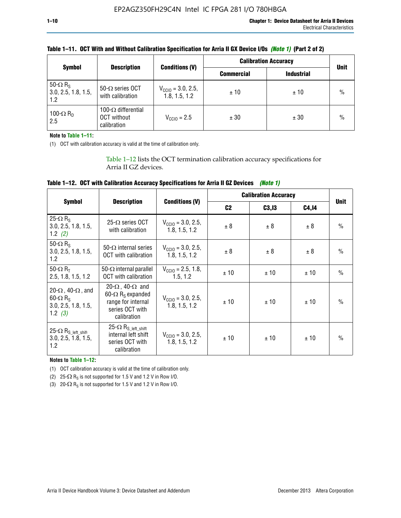|                                                           |                                                          |                                                | <b>Calibration Accuracy</b> | <b>Unit</b>       |               |
|-----------------------------------------------------------|----------------------------------------------------------|------------------------------------------------|-----------------------------|-------------------|---------------|
| <b>Symbol</b>                                             | <b>Description</b>                                       | <b>Conditions (V)</b>                          | <b>Commercial</b>           | <b>Industrial</b> |               |
| 50- $\Omega$ R <sub>S</sub><br>3.0, 2.5, 1.8, 1.5,<br>1.2 | 50- $\Omega$ series OCT<br>with calibration              | $V_{\text{CCIO}} = 3.0, 2.5,$<br>1.8, 1.5, 1.2 | ±10                         | ± 10              | $\frac{0}{0}$ |
| 100- $\Omega$ R <sub>D</sub><br>2.5                       | 100- $\Omega$ differential<br>OCT without<br>calibration | $V_{CCl0} = 2.5$                               | ± 30                        | ± 30              | $\%$          |

### **Table 1–11. OCT With and Without Calibration Specification for Arria II GX Device I/Os** *(Note 1)* **(Part 2 of 2)**

**Note to Table 1–11:**

(1) OCT with calibration accuracy is valid at the time of calibration only.

Table 1–12 lists the OCT termination calibration accuracy specifications for Arria II GZ devices.

| Table 1–12. OCT with Calibration Accuracy Specifications for Arria II GZ Devices (Note 1) |  |  |  |
|-------------------------------------------------------------------------------------------|--|--|--|
|-------------------------------------------------------------------------------------------|--|--|--|

|                                                                                                       |                                                                                                                                 |                                                | <b>Calibration Accuracy</b> |        | <b>Unit</b> |               |
|-------------------------------------------------------------------------------------------------------|---------------------------------------------------------------------------------------------------------------------------------|------------------------------------------------|-----------------------------|--------|-------------|---------------|
| <b>Symbol</b>                                                                                         | <b>Description</b>                                                                                                              | <b>Conditions (V)</b>                          | C <sub>2</sub>              | C3, I3 | C4,14       |               |
| 25- $\Omega$ R <sub>s</sub><br>3.0, 2.5, 1.8, 1.5,<br>1.2 $(2)$                                       | $25-\Omega$ series OCT<br>with calibration                                                                                      | $V_{CGI0} = 3.0, 2.5,$<br>1.8, 1.5, 1.2        | ± 8                         | ± 8    | ± 8         | $\frac{0}{0}$ |
| 50- $\Omega$ R <sub>s</sub><br>3.0, 2.5, 1.8, 1.5,<br>1.2                                             | 50- $\Omega$ internal series<br>OCT with calibration                                                                            | $V_{\text{CC10}} = 3.0, 2.5,$<br>1.8, 1.5, 1.2 | ± 8                         | ± 8    | ± 8         | $\frac{0}{0}$ |
| 50- $\Omega$ R <sub>T</sub><br>2.5, 1.8, 1.5, 1.2                                                     | 50- $\Omega$ internal parallel<br><b>OCT</b> with calibration                                                                   | $V_{\text{CC10}} = 2.5, 1.8,$<br>1.5.1.2       | ± 10                        | ± 10   | ± 10        | $\frac{0}{0}$ |
| 20- $\Omega$ , 40- $\Omega$ , and<br>$60 - \Omega$ R <sub>S</sub><br>3.0, 2.5, 1.8, 1.5,<br>1.2 $(3)$ | 20- $\Omega$ , 40- $\Omega$ and<br>60- $\Omega$ R <sub>s</sub> expanded<br>range for internal<br>series OCT with<br>calibration | $V_{\text{CC10}} = 3.0, 2.5,$<br>1.8, 1.5, 1.2 | ± 10                        | ± 10   | ± 10        | $\frac{0}{0}$ |
| 25- $\Omega$ R <sub>S</sub> left_shift<br>3.0, 2.5, 1.8, 1.5,<br>1.2                                  | $25-\Omega R_{S\_left\_shift}$<br>internal left shift<br>series OCT with<br>calibration                                         | $V_{\text{CC10}} = 3.0, 2.5,$<br>1.8, 1.5, 1.2 | ± 10                        | ±10    | ± 10        | $\frac{0}{0}$ |

**Notes to Table 1–12:**

(1) OCT calibration accuracy is valid at the time of calibration only.

(2) 25- $\Omega$  R<sub>S</sub> is not supported for 1.5 V and 1.2 V in Row I/O.

(3)  $20-\Omega$  R<sub>S</sub> is not supported for 1.5 V and 1.2 V in Row I/O.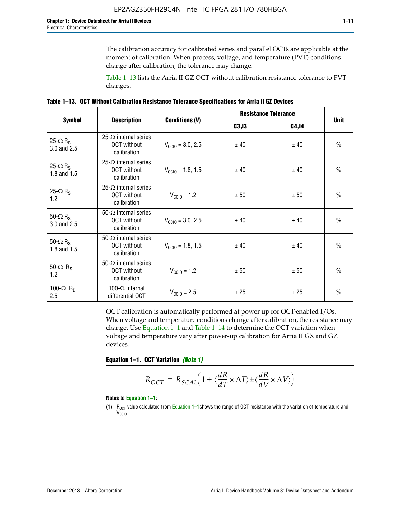The calibration accuracy for calibrated series and parallel OCTs are applicable at the moment of calibration. When process, voltage, and temperature (PVT) conditions change after calibration, the tolerance may change.

Table 1–13 lists the Arria II GZ OCT without calibration resistance tolerance to PVT changes.

|  | Table 1–13. OCT Without Calibration Resistance Tolerance Specifications for Arria II GZ Devices |  |  |  |
|--|-------------------------------------------------------------------------------------------------|--|--|--|
|--|-------------------------------------------------------------------------------------------------|--|--|--|

|                                            |                                                                   |                              | <b>Resistance Tolerance</b> |              |               |
|--------------------------------------------|-------------------------------------------------------------------|------------------------------|-----------------------------|--------------|---------------|
| <b>Symbol</b>                              | <b>Description</b>                                                | <b>Conditions (V)</b>        | C3, I3                      | <b>C4,14</b> | <b>Unit</b>   |
| 25- $\Omega$ R <sub>S</sub><br>3.0 and 2.5 | $25-\Omega$ internal series<br><b>OCT</b> without<br>calibration  | $V_{\text{CC10}} = 3.0, 2.5$ | ± 40                        | ± 40         | $\frac{0}{0}$ |
| 25- $\Omega$ R <sub>S</sub><br>1.8 and 1.5 | 25- $\Omega$ internal series<br><b>OCT</b> without<br>calibration | $V_{CGI0} = 1.8, 1.5$        | ± 40                        | ± 40         | $\frac{0}{0}$ |
| 25- $\Omega$ R <sub>S</sub><br>1.2         | 25- $\Omega$ internal series<br><b>OCT</b> without<br>calibration | $V_{\text{CC10}} = 1.2$      | ± 50                        | ± 50         | $\frac{0}{0}$ |
| 50- $\Omega$ R <sub>S</sub><br>3.0 and 2.5 | $50-\Omega$ internal series<br><b>OCT</b> without<br>calibration  | $V_{\text{CC10}} = 3.0, 2.5$ | ± 40                        | ± 40         | $\frac{0}{0}$ |
| 50- $\Omega$ R <sub>S</sub><br>1.8 and 1.5 | 50- $\Omega$ internal series<br><b>OCT</b> without<br>calibration | $V_{\text{CC10}} = 1.8, 1.5$ | ± 40                        | ± 40         | $\frac{0}{0}$ |
| 50- $\Omega$ R <sub>s</sub><br>1.2         | 50- $\Omega$ internal series<br><b>OCT</b> without<br>calibration | $V_{\text{CC10}} = 1.2$      | ± 50                        | ± 50         | $\frac{0}{0}$ |
| 100- $\Omega$ R <sub>D</sub><br>2.5        | 100- $\Omega$ internal<br>differential OCT                        | $V_{\text{CC10}} = 2.5$      | ± 25                        | ± 25         | $\frac{0}{0}$ |

OCT calibration is automatically performed at power up for OCT-enabled I/Os. When voltage and temperature conditions change after calibration, the resistance may change. Use Equation 1–1 and Table 1–14 to determine the OCT variation when voltage and temperature vary after power-up calibration for Arria II GX and GZ devices.

**Equation 1–1. OCT Variation** *(Note 1)*

$$
R_{OCT} = R_{SCAL} \Big( 1 + \langle \frac{dR}{dT} \times \Delta T \rangle \pm \langle \frac{dR}{dV} \times \Delta V \rangle \Big)
$$

#### **Notes to Equation 1–1:**

(1)  $R_{OCT}$  value calculated from Equation 1–1shows the range of OCT resistance with the variation of temperature and V<sub>CCIO</sub>.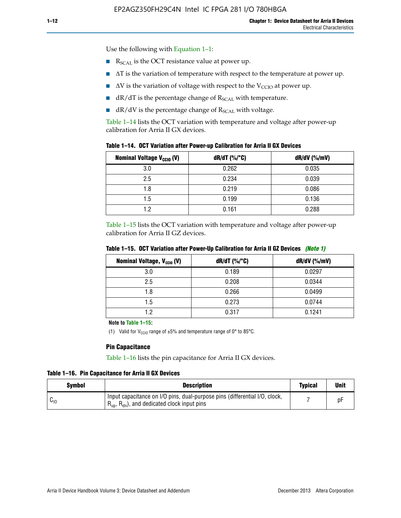Use the following with Equation 1–1:

- $\blacksquare$  R<sub>SCAL</sub> is the OCT resistance value at power up.
- $\blacksquare$   $\Delta T$  is the variation of temperature with respect to the temperature at power up.
- $\blacksquare$   $\Delta V$  is the variation of voltage with respect to the V<sub>CCIO</sub> at power up.
- $\blacksquare$  dR/dT is the percentage change of  $R_{\text{SCAL}}$  with temperature.
- $\blacksquare$  dR/dV is the percentage change of R<sub>SCAL</sub> with voltage.

Table 1–14 lists the OCT variation with temperature and voltage after power-up calibration for Arria II GX devices.

| Table 1–14. OCT Variation after Power-up Calibration for Arria II GX Devices |  |  |  |  |  |  |  |  |  |
|------------------------------------------------------------------------------|--|--|--|--|--|--|--|--|--|
|------------------------------------------------------------------------------|--|--|--|--|--|--|--|--|--|

| <b>Nominal Voltage V<sub>CCIO</sub> (V)</b> | $dR/dT$ (%/°C) | $dR/dV$ (%/mV) |
|---------------------------------------------|----------------|----------------|
| 3.0                                         | 0.262          | 0.035          |
| 2.5                                         | 0.234          | 0.039          |
| 1.8                                         | 0.219          | 0.086          |
| 1.5                                         | 0.199          | 0.136          |
| 1.2                                         | 0.161          | 0.288          |

Table 1–15 lists the OCT variation with temperature and voltage after power-up calibration for Arria II GZ devices.

| <b>Nominal Voltage, V<sub>ccio</sub> (V)</b> | $dR/dT$ (%/°C) | dR/dV (%/mV) |
|----------------------------------------------|----------------|--------------|
| 3.0                                          | 0.189          | 0.0297       |
| 2.5                                          | 0.208          | 0.0344       |
| 1.8                                          | 0.266          | 0.0499       |
| 1.5                                          | 0.273          | 0.0744       |
| 19                                           | 0.317          | 0.1241       |

**Table 1–15. OCT Variation after Power-Up Calibration for Arria II GZ Devices** *(Note 1)*

**Note to Table 1–15:**

(1) Valid for V<sub>CCIO</sub> range of  $\pm 5\%$  and temperature range of 0° to 85°C.

#### **Pin Capacitance**

Table 1–16 lists the pin capacitance for Arria II GX devices.

**Table 1–16. Pin Capacitance for Arria II GX Devices**

| Symbol   | <b>Description</b>                                                                                                                               | <b>Typical</b> | <b>Unit</b> |
|----------|--------------------------------------------------------------------------------------------------------------------------------------------------|----------------|-------------|
| $v_{10}$ | Input capacitance on I/O pins, dual-purpose pins (differential I/O, clock,<br>$R_{\text{up}}$ , $R_{\text{dn}}$ , and dedicated clock input pins |                | рŀ          |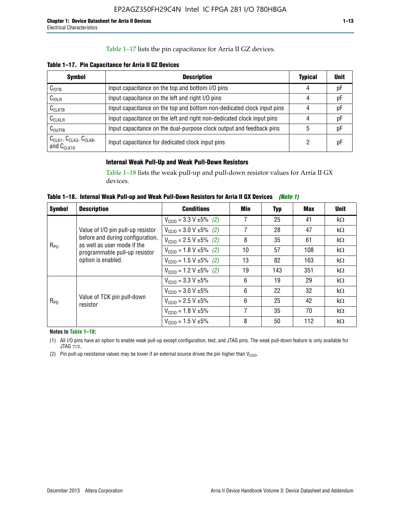### Table 1–17 lists the pin capacitance for Arria II GZ devices.

**Table 1–17. Pin Capacitance for Arria II GZ Devices** 

| <b>Symbol</b>                                    | <b>Description</b>                                                     | <b>Typical</b> | <b>Unit</b> |
|--------------------------------------------------|------------------------------------------------------------------------|----------------|-------------|
| $C_{\text{IOTB}}$                                | Input capacitance on the top and bottom I/O pins                       | 4              | pF          |
| C <sub>IOLR</sub>                                | Input capacitance on the left and right I/O pins                       | 4              | pF          |
| $C_{CLKTB}$                                      | Input capacitance on the top and bottom non-dedicated clock input pins |                | рF          |
| $C_{CLKLR}$                                      | Input capacitance on the left and right non-dedicated clock input pins |                | pF          |
| $C_{\text{OUTFB}}$                               | Input capacitance on the dual-purpose clock output and feedback pins   | 5              | pF          |
| $CCLK1$ , $CCLK3$ , $CCLK8$ ,<br>and $C_{CLK10}$ | Input capacitance for dedicated clock input pins                       |                | рF          |

### **Internal Weak Pull-Up and Weak Pull-Down Resistors**

Table 1–18 lists the weak pull-up and pull-down resistor values for Arria II GX devices.

**Table 1–18. Internal Weak Pull-up and Weak Pull-Down Resistors for Arria II GX Devices** *(Note 1)* 

| <b>Symbol</b> | <b>Description</b>                                              | <b>Conditions</b>                              | Min | Typ | Max | <b>Unit</b> |
|---------------|-----------------------------------------------------------------|------------------------------------------------|-----|-----|-----|-------------|
|               |                                                                 | $V_{\text{CC10}} = 3.3 \text{ V} \pm 5\%$ (2)  | 7   | 25  | 41  | $k\Omega$   |
| $R_{PU}$      | Value of I/O pin pull-up resistor                               | $V_{\text{CC10}} = 3.0 V \pm 5\%$ (2)          | 7   | 28  | 47  | $k\Omega$   |
|               | before and during configuration,<br>as well as user mode if the | $V_{\text{CC10}} = 2.5 V \pm 5\% (2)$          | 8   | 35  | 61  | $k\Omega$   |
|               | programmable pull-up resistor<br>option is enabled.             | $V_{\text{CC10}} = 1.8 \text{ V } \pm 5\%$ (2) | 10  | 57  | 108 | $k\Omega$   |
|               |                                                                 | $V_{\text{CC10}} = 1.5 \text{ V} \pm 5\%$ (2)  | 13  | 82  | 163 | $k\Omega$   |
|               |                                                                 | $V_{\text{CC10}} = 1.2 V \pm 5\%$ (2)          | 19  | 143 | 351 | $k\Omega$   |
|               |                                                                 | $V_{\text{CC10}} = 3.3 V \pm 5\%$              | 6   | 19  | 29  | $k\Omega$   |
|               |                                                                 | $V_{\text{CC10}} = 3.0 V \pm 5\%$              | 6   | 22  | 32  | $k\Omega$   |
| $R_{PD}$      | Value of TCK pin pull-down<br>resistor                          | $V_{\text{CC10}} = 2.5 V \pm 5\%$              | 6   | 25  | 42  | $k\Omega$   |
|               |                                                                 | $V_{\text{CC10}} = 1.8 \text{ V} \pm 5\%$      | 7   | 35  | 70  | $k\Omega$   |
|               |                                                                 | $V_{\text{CC10}} = 1.5 V \pm 5\%$              | 8   | 50  | 112 | kΩ          |

**Notes to Table 1–18:**

(1) All I/O pins have an option to enable weak pull-up except configuration, test, and JTAG pins. The weak pull-down feature is only available for JTAG TCK.

(2) Pin pull-up resistance values may be lower if an external source drives the pin higher than  $V_{\text{CCIO}}$ .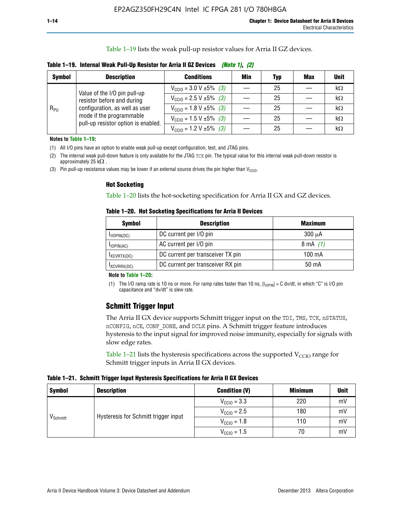Table 1–19 lists the weak pull-up resistor values for Arria II GZ devices.

| Table 1–19. Internal Weak Pull-Up Resistor for Arria II GZ Devices <i>(Note 1), (2)</i> |  |
|-----------------------------------------------------------------------------------------|--|
|-----------------------------------------------------------------------------------------|--|

| <b>Symbol</b> | <b>Description</b>                                                                                                              | <b>Conditions</b>                                    | Min | <b>Typ</b> | <b>Max</b> | <b>Unit</b> |
|---------------|---------------------------------------------------------------------------------------------------------------------------------|------------------------------------------------------|-----|------------|------------|-------------|
|               | Value of the I/O pin pull-up                                                                                                    | $V_{\text{CC10}} = 3.0 V \pm 5\%$ (3)                |     | 25         |            | kΩ          |
| $R_{PU}$      | resistor before and during<br>configuration, as well as user<br>mode if the programmable<br>pull-up resistor option is enabled. | $V_{\text{CC10}} = 2.5 V \pm 5\%$ (3)                |     | 25         |            | kΩ          |
|               |                                                                                                                                 | $V_{\text{CC10}} = 1.8 \text{ V} \pm 5\%$ (3)        |     | 25         |            | kΩ          |
|               |                                                                                                                                 | $V_{\text{CC10}} = 1.5 \text{ V} \pm 5\%$ (3)        |     | 25         |            | kΩ          |
|               |                                                                                                                                 | $V_{\text{CC10}} = 1.2 \text{ V } \pm 5\% \quad (3)$ |     | 25         |            | kΩ          |

**Notes to Table 1–19:**

(1) All I/O pins have an option to enable weak pull-up except configuration, test, and JTAG pins.

(2) The internal weak pull-down feature is only available for the JTAG TCK pin. The typical value for this internal weak pull-down resistor is approximately 25 k $\Omega$ .

(3) Pin pull-up resistance values may be lower if an external source drives the pin higher than  $V_{\text{CCIO}}$ .

#### **Hot Socketing**

Table 1–20 lists the hot-socketing specification for Arria II GX and GZ devices.

**Table 1–20. Hot Socketing Specifications for Arria II Devices** 

| <b>Symbol</b>    | <b>Description</b>                | <b>Maximum</b>     |
|------------------|-----------------------------------|--------------------|
| $I_{IIOPIN(DC)}$ | DC current per I/O pin            | $300 \mu A$        |
| $I$ IOPIN(AC)    | AC current per I/O pin            | $8 \text{ mA}$ (1) |
| IXCVRTX(DC)      | DC current per transceiver TX pin | 100 mA             |
| IXCVRRX(DC)      | DC current per transceiver RX pin | $50 \text{ mA}$    |

#### **Note to Table 1–20:**

(1) The I/O ramp rate is 10 ns or more. For ramp rates faster than 10 ns,  $|I_{10\text{PIN}}| = C$  dv/dt, in which "C" is I/O pin capacitance and "dv/dt" is slew rate.

# **Schmitt Trigger Input**

The Arria II GX device supports Schmitt trigger input on the TDI, TMS, TCK, nSTATUS, nCONFIG, nCE, CONF\_DONE, and DCLK pins. A Schmitt trigger feature introduces hysteresis to the input signal for improved noise immunity, especially for signals with slow edge rates.

Table 1–21 lists the hysteresis specifications across the supported  $V<sub>CCIO</sub>$  range for Schmitt trigger inputs in Arria II GX devices.

**Table 1–21. Schmitt Trigger Input Hysteresis Specifications for Arria II GX Devices**

| <b>Symbol</b>        | <b>Description</b>                   | <b>Condition (V)</b>    | <b>Minimum</b> | <b>Unit</b> |
|----------------------|--------------------------------------|-------------------------|----------------|-------------|
|                      |                                      | $V_{\text{CGI0}} = 3.3$ | 220            | mV          |
| V <sub>Schmitt</sub> | Hysteresis for Schmitt trigger input | $V_{\text{CCIO}} = 2.5$ | 180            | mV          |
|                      |                                      | $V_{\text{CCIO}} = 1.8$ | 110            | mV          |
|                      |                                      | $V_{\text{CCIO}} = 1.5$ | 70             | mV          |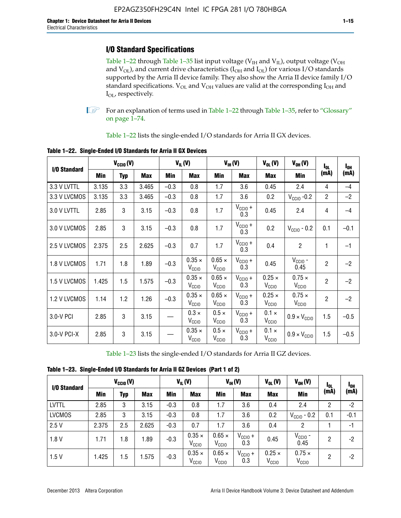# **I/O Standard Specifications**

Table 1–22 through Table 1–35 list input voltage ( $V_{IH}$  and  $V_{IL}$ ), output voltage ( $V_{OH}$ and  $V_{OL}$ ), and current drive characteristics ( $I_{OH}$  and  $I_{OL}$ ) for various I/O standards supported by the Arria II device family. They also show the Arria II device family I/O standard specifications.  $V_{OL}$  and  $V_{OH}$  values are valid at the corresponding  $I_{OH}$  and I<sub>OL</sub>, respectively.

**1.** For an explanation of terms used in Table 1–22 through Table 1–35, refer to "Glossary" on page 1–74.

Table 1–22 lists the single-ended I/O standards for Arria II GX devices.

| I/O Standard | $V_{CGI0} (V)$ |            | $V_{IL}(V)$ |        | $V_{IH}(V)$                        |                                    | $V_{OL}(V)$                | $V_{OH} (V)$                       | $I_{0L}$                           | l <sub>oh</sub> |        |
|--------------|----------------|------------|-------------|--------|------------------------------------|------------------------------------|----------------------------|------------------------------------|------------------------------------|-----------------|--------|
|              | Min            | <b>Typ</b> | Max         | Min    | Max                                | Min                                | <b>Max</b>                 | Max                                | Min                                | (mA)            | (mA)   |
| 3.3 V LVTTL  | 3.135          | 3.3        | 3.465       | $-0.3$ | 0.8                                | 1.7                                | 3.6                        | 0.45                               | 2.4                                | 4               | $-4$   |
| 3.3 V LVCMOS | 3.135          | 3.3        | 3.465       | $-0.3$ | 0.8                                | 1.7                                | 3.6                        | 0.2                                | $V_{\text{CCIO}}$ -0.2             | $\overline{2}$  | $-2$   |
| 3.0 V LVTTL  | 2.85           | 3          | 3.15        | $-0.3$ | 0.8                                | 1.7                                | $V_{\text{CCIO}} +$<br>0.3 | 0.45                               | 2.4                                | 4               | $-4$   |
| 3.0 V LVCMOS | 2.85           | 3          | 3.15        | $-0.3$ | 0.8                                | 1.7                                | $V_{CC10} +$<br>0.3        | 0.2                                | $V_{\text{CC10}}$ - 0.2            | 0.1             | $-0.1$ |
| 2.5 V LVCMOS | 2.375          | 2.5        | 2.625       | $-0.3$ | 0.7                                | 1.7                                | $V_{CC10} +$<br>0.3        | 0.4                                | $\overline{c}$                     | 1               | $-1$   |
| 1.8 V LVCMOS | 1.71           | 1.8        | 1.89        | $-0.3$ | $0.35 \times$<br>V <sub>CCIO</sub> | $0.65 \times$<br>V <sub>CCIO</sub> | $V_{CClO}$ +<br>0.3        | 0.45                               | $V_{\text{CCIO}}$ -<br>0.45        | $\overline{2}$  | $-2$   |
| 1.5 V LVCMOS | 1.425          | 1.5        | 1.575       | $-0.3$ | $0.35 \times$<br>V <sub>CCIO</sub> | $0.65 \times$<br>V <sub>CCIO</sub> | $V_{CC10} +$<br>0.3        | $0.25 \times$<br>V <sub>CCIO</sub> | $0.75 \times$<br>V <sub>CCIO</sub> | $\overline{2}$  | $-2$   |
| 1.2 V LVCMOS | 1.14           | 1.2        | 1.26        | $-0.3$ | $0.35 \times$<br>V <sub>CCIO</sub> | $0.65 \times$<br>$V_{\rm CCIO}$    | $V_{CC10} +$<br>0.3        | $0.25 \times$<br>V <sub>CCIO</sub> | $0.75 \times$<br>V <sub>CCIO</sub> | $\overline{2}$  | $-2$   |
| 3.0-V PCI    | 2.85           | 3          | 3.15        |        | $0.3 \times$<br>$V_{\rm CClO}$     | $0.5 \times$<br>$V_{\rm CClO}$     | $V_{CC10} +$<br>0.3        | $0.1 \times$<br>V <sub>CCIO</sub>  | $0.9 \times V_{\text{CC10}}$       | 1.5             | $-0.5$ |
| 3.0-V PCI-X  | 2.85           | 3          | 3.15        |        | $0.35 \times$<br>V <sub>CCIO</sub> | $0.5 \times$<br>V <sub>CClO</sub>  | $V_{CC10} +$<br>0.3        | $0.1 \times$<br>V <sub>CCIO</sub>  | $0.9 \times V_{\text{CC10}}$       | 1.5             | $-0.5$ |

**Table 1–22. Single-Ended I/O Standards for Arria II GX Devices**

Table 1–23 lists the single-ended I/O standards for Arria II GZ devices.

|  |  |  | Table 1-23. Single-Ended I/O Standards for Arria II GZ Devices (Part 1 of 2) |  |
|--|--|--|------------------------------------------------------------------------------|--|
|--|--|--|------------------------------------------------------------------------------|--|

|               | $V_{CCl0}(V)$ |     | $V_{IL}(V)$ |            | $V_{IH} (V)$                       |                                    | $V_{OL}(V)$                | $V_{OH} (V)$                       | <b>I</b> OL                        | <sup>1</sup> OH |        |
|---------------|---------------|-----|-------------|------------|------------------------------------|------------------------------------|----------------------------|------------------------------------|------------------------------------|-----------------|--------|
| I/O Standard  | Min           | Typ | <b>Max</b>  | <b>Min</b> | <b>Max</b>                         | Min                                | <b>Max</b>                 | <b>Max</b>                         | Min                                | (mA)            | (mA)   |
| <b>LVTTL</b>  | 2.85          | 3   | 3.15        | $-0.3$     | 0.8                                | 1.7                                | 3.6                        | 0.4                                | 2.4                                | 2               | $-2$   |
| <b>LVCMOS</b> | 2.85          | 3   | 3.15        | $-0.3$     | 0.8                                | 1.7                                | 3.6                        | 0.2                                | $V_{\text{CCIO}}$ - 0.2            | 0.1             | $-0.1$ |
| 2.5V          | 2.375         | 2.5 | 2.625       | $-0.3$     | 0.7                                | 1.7                                | 3.6                        | 0.4                                | 2                                  |                 | $-1$   |
| 1.8V          | 1.71          | 1.8 | 1.89        | $-0.3$     | $0.35 \times$<br>V <sub>CCIO</sub> | $0.65 \times$<br>V <sub>CCIO</sub> | $V_{\text{CC1O}} +$<br>0.3 | 0.45                               | $V_{CGIO}$ -<br>0.45               | 2               | -2     |
| 1.5V          | 1.425         | 1.5 | .575        | $-0.3$     | $0.35 \times$<br>V <sub>CCIO</sub> | $0.65 \times$<br>V <sub>CCIO</sub> | $V_{\text{CC1O}} +$<br>0.3 | $0.25 \times$<br>V <sub>CCIO</sub> | $0.75 \times$<br>V <sub>CCIO</sub> | 2               | -2     |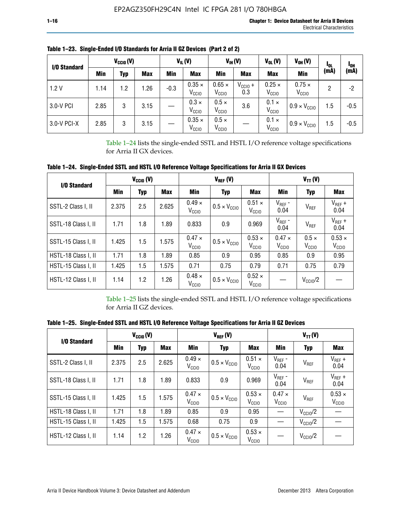| I/O Standard | $V_{\text{CCIO}}(V)$ |     | $V_{IL}(V)$ |        | $V_{IH} (V)$                       |                                    | $V_{OL}(V)$         | $V_{OH} (V)$                       | <b>I</b> OL                        | l <sub>oh</sub> |        |
|--------------|----------------------|-----|-------------|--------|------------------------------------|------------------------------------|---------------------|------------------------------------|------------------------------------|-----------------|--------|
|              | Min                  | Typ | <b>Max</b>  | Min    | <b>Max</b>                         | Min                                | <b>Max</b>          | <b>Max</b>                         | Min                                | (mA)            | (mA)   |
| 1.2V         | 1.14                 | 1.2 | l.26        | $-0.3$ | $0.35 \times$<br>V <sub>CCIO</sub> | $0.65 \times$<br>V <sub>CCIO</sub> | $V_{CC10}$ +<br>0.3 | $0.25 \times$<br>V <sub>CCIO</sub> | $0.75 \times$<br>V <sub>CCIO</sub> | 2               | -2     |
| 3.0-V PCI    | 2.85                 | 3   | 3.15        |        | $0.3 \times$<br>V <sub>CCIO</sub>  | $0.5 \times$<br>V <sub>CCIO</sub>  | 3.6                 | $0.1 \times$<br>V <sub>CCIO</sub>  | $0.9 \times V_{\text{CC10}}$       | 1.5             | $-0.5$ |
| 3.0-V PCI-X  | 2.85                 | 3   | 3.15        |        | $0.35 \times$<br>V <sub>CCIO</sub> | $0.5 \times$<br>V <sub>CCIO</sub>  |                     | $0.1 \times$<br>V <sub>CCIO</sub>  | $0.9 \times V_{\text{CC10}}$       | 1.5             | $-0.5$ |

**Table 1–23. Single-Ended I/O Standards for Arria II GZ Devices (Part 2 of 2)**

Table 1–24 lists the single-ended SSTL and HSTL I/O reference voltage specifications for Arria II GX devices.

**Table 1–24. Single-Ended SSTL and HSTL I/O Reference Voltage Specifications for Arria II GX Devices**

| I/O Standard        |       | $V_{CGI0} (V)$ |            |                                                                    | $V_{REF}(V)$                 |                                    |                                 | $V_{TT} (V)$                      |                                    |
|---------------------|-------|----------------|------------|--------------------------------------------------------------------|------------------------------|------------------------------------|---------------------------------|-----------------------------------|------------------------------------|
|                     | Min   | <b>Typ</b>     | <b>Max</b> | Min                                                                | Typ                          | Max                                | Min                             | <b>Typ</b>                        | <b>Max</b>                         |
| SSTL-2 Class I, II  | 2.375 | 2.5            | 2.625      | $0.49 \times$<br>V <sub>CCIO</sub>                                 | $0.5 \times V_{\text{CCIO}}$ | $0.51 \times$<br>V <sub>CCIO</sub> | $V_{REF}$ -<br>0.04             | $V_{REF}$                         | $V_{REF}$ +<br>0.04                |
| SSTL-18 Class I, II | 1.71  | 1.8            | 1.89       | 0.833                                                              | 0.9                          | 0.969                              | $V_{REF}$ -<br>0.04             | V <sub>REF</sub>                  | $V_{REF}$ +<br>0.04                |
| SSTL-15 Class I, II | 1.425 | 1.5            | 1.575      | $0.47 \times$<br>V <sub>CCIO</sub>                                 | $0.5 \times V_{\text{CC10}}$ | $0.53 \times$<br>V <sub>CCIO</sub> | $0.47 \times$<br>$V_{\rm CClO}$ | $0.5 \times$<br>V <sub>CCIO</sub> | $0.53 \times$<br>V <sub>CCIO</sub> |
| HSTL-18 Class I, II | 1.71  | 1.8            | 1.89       | 0.85                                                               | 0.9                          | 0.95                               | 0.85                            | 0.9                               | 0.95                               |
| HSTL-15 Class I, II | 1.425 | 1.5            | 1.575      | 0.71                                                               | 0.75                         | 0.79                               | 0.71                            | 0.75                              | 0.79                               |
| HSTL-12 Class I, II | 1.14  | 1.2            | 1.26       | $0.48 \times$<br>$0.5 \times V_{\text{CC10}}$<br>V <sub>CCIO</sub> |                              | $0.52 \times$<br>V <sub>CCIO</sub> |                                 | $V_{\text{CClO}}/2$               |                                    |

Table 1–25 lists the single-ended SSTL and HSTL I/O reference voltage specifications for Arria II GZ devices.

**Table 1–25. Single-Ended SSTL and HSTL I/O Reference Voltage Specifications for Arria II GZ Devices** 

| I/O Standard        |       | $V_{CClO}(V)$ |            |                                    | $V_{REF}(V)$                                                       |                                    |                                    | $V_{TT}(V)$         |                                    |
|---------------------|-------|---------------|------------|------------------------------------|--------------------------------------------------------------------|------------------------------------|------------------------------------|---------------------|------------------------------------|
|                     | Min   | <b>Typ</b>    | <b>Max</b> | Min                                | Typ                                                                | Max                                | Min                                | Typ                 | Max                                |
| SSTL-2 Class I. II  | 2.375 | 2.5           | 2.625      | $0.49 \times$<br>V <sub>CCD</sub>  | $0.51 \times$<br>$0.5 \times V_{\text{CC10}}$<br>V <sub>CCIO</sub> |                                    | $V_{REF}$ -<br>0.04                | V <sub>REF</sub>    | $V_{REF}$ +<br>0.04                |
| SSTL-18 Class I, II | 1.71  | 1.8           | 1.89       | 0.833                              | 0.9                                                                | 0.969                              | $V_{REF}$ -<br>0.04                | V <sub>REF</sub>    | $V_{REF}$ +<br>0.04                |
| SSTL-15 Class I, II | 1.425 | 1.5           | 1.575      | $0.47 \times$<br>V <sub>CCIO</sub> | $0.53 \times$<br>$0.5 \times V_{\text{CCIO}}$<br>V <sub>CCIO</sub> |                                    | $0.47 \times$<br>V <sub>CCIO</sub> | V <sub>REF</sub>    | $0.53 \times$<br>V <sub>CCIO</sub> |
| HSTL-18 Class I, II | 1.71  | 1.8           | 1.89       | 0.85                               | 0.9                                                                | 0.95                               |                                    | $V_{\rm CClO}/2$    |                                    |
| HSTL-15 Class I, II | 1.425 | 1.5           | 1.575      | 0.68                               | 0.75                                                               | 0.9                                |                                    | $V_{\rm CC10}$ /2   |                                    |
| HSTL-12 Class I, II | 1.14  | 1.2           | 1.26       | $0.47 \times$<br>V <sub>CCIO</sub> | $0.5 \times V_{\text{CCIO}}$                                       | $0.53 \times$<br>V <sub>CCIO</sub> |                                    | $V_{\text{CC10}}/2$ |                                    |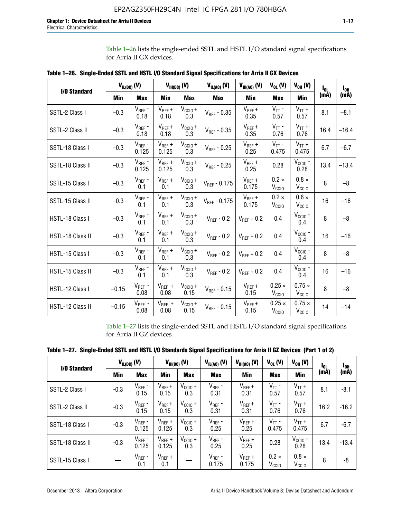Table 1–26 lists the single-ended SSTL and HSTL I/O standard signal specifications for Arria II GX devices.

| <b>I/O Standard</b> | $V_{IL(DC)}(V)$ |                      |                      | $V_{IH(DC)}(V)$             | $V_{IL(AC)}(V)$   | $V_{IH(AC)}$ (V)     | $V_{OL}$ (V)                       | $V_{OH} (V)$                       | l <sub>ol.</sub> | $I_{0H}$ |
|---------------------|-----------------|----------------------|----------------------|-----------------------------|-------------------|----------------------|------------------------------------|------------------------------------|------------------|----------|
|                     | Min             | <b>Max</b>           | Min                  | <b>Max</b>                  | <b>Max</b>        | Min                  | <b>Max</b>                         | Min                                | (mA)             | (mA)     |
| SSTL-2 Class I      | $-0.3$          | $V_{REF}$ -<br>0.18  | $V_{REF} +$<br>0.18  | $V_{\text{CC1O}} +$<br>0.3  | $V_{REF}$ - 0.35  | $V_{REF} +$<br>0.35  | $V_{TT}$ -<br>0.57                 | $V_{TT}$ +<br>0.57                 | 8.1              | $-8.1$   |
| SSTL-2 Class II     | $-0.3$          | $V_{REF}$ -<br>0.18  | $V_{REF} +$<br>0.18  | $V_{\text{CCIO}} +$<br>0.3  | $V_{REF} - 0.35$  | $V_{REF} +$<br>0.35  | $V_{TT}$ -<br>0.76                 | $V_{TT}$ +<br>0.76                 | 16.4             | $-16.4$  |
| SSTL-18 Class I     | $-0.3$          | $V_{REF}$ -<br>0.125 | $V_{REF}$ +<br>0.125 | $V_{\text{CCIO}} +$<br>0.3  | $V_{REF}$ - 0.25  | $V_{REF}$ +<br>0.25  | $V_{TT}$ -<br>0.475                | $V_{TT}$ +<br>0.475                | 6.7              | $-6.7$   |
| SSTL-18 Class II    | $-0.3$          | $V_{REF}$ -<br>0.125 | $V_{REF}$ +<br>0.125 | $V_{\text{CC1O}} +$<br>0.3  | $V_{REF}$ - 0.25  | $V_{REF}$ +<br>0.25  | 0.28                               | $V_{CGIO}$ -<br>0.28               | 13.4             | $-13.4$  |
| SSTL-15 Class I     | $-0.3$          | $V_{REF}$ -<br>0.1   | $V_{REF}$ +<br>0.1   | $V_{\text{CCIO}} +$<br>0.3  | $V_{REF}$ - 0.175 | $V_{REF}$ +<br>0.175 | $0.2 \times$<br>V <sub>CCIO</sub>  | $0.8 \times$<br>V <sub>CCIO</sub>  | 8                | $-8$     |
| SSTL-15 Class II    | $-0.3$          | $V_{REF}$ -<br>0.1   | $V_{REF}$ +<br>0.1   | $V_{\text{CC1O}} +$<br>0.3  | $V_{REF} - 0.175$ | $V_{REF}$ +<br>0.175 | $0.2 \times$<br>V <sub>CCIO</sub>  | $0.8 \times$<br>V <sub>CCIO</sub>  | 16               | $-16$    |
| HSTL-18 Class I     | $-0.3$          | $V_{REF}$ -<br>0.1   | $V_{REF}$ +<br>0.1   | $V_{\text{CCIO}} +$<br>0.3  | $V_{REF} - 0.2$   | $V_{REF}$ + 0.2      | 0.4                                | $V_{CGIO}$ -<br>0.4                | 8                | $-8$     |
| HSTL-18 Class II    | $-0.3$          | $V_{REF}$ -<br>0.1   | $V_{REF}$ +<br>0.1   | $V_{\text{CC1O}} +$<br>0.3  | $V_{REF} - 0.2$   | $V_{REF}$ + 0.2      | 0.4                                | $V_{CGIO}$ -<br>0.4                | 16               | $-16$    |
| HSTL-15 Class I     | $-0.3$          | $V_{REF}$ -<br>0.1   | $V_{REF}$ +<br>0.1   | $V_{\text{CCIO}} +$<br>0.3  | $V_{REF}$ - 0.2   | $V_{REF}$ + 0.2      | 0.4                                | $V_{CCIO}$ -<br>0.4                | 8                | $-8$     |
| HSTL-15 Class II    | $-0.3$          | $V_{REF}$ -<br>0.1   | $V_{REF}$ +<br>0.1   | $V_{\text{CCIO}} +$<br>0.3  | $V_{REF}$ - 0.2   | $V_{REF}$ + 0.2      | 0.4                                | V <sub>CCIO</sub> -<br>0.4         | 16               | $-16$    |
| HSTL-12 Class I     | $-0.15$         | $V_{REF}$ -<br>0.08  | $V_{REF}$ +<br>0.08  | $V_{\text{CC1O}} +$<br>0.15 | $V_{REF}$ - 0.15  | $V_{REF} +$<br>0.15  | $0.25 \times$<br>V <sub>CCIO</sub> | $0.75 \times$<br>V <sub>CCIO</sub> | 8                | $-8$     |
| HSTL-12 Class II    | $-0.15$         | $V_{REF}$ -<br>0.08  | $V_{REF}$ +<br>0.08  | $V_{\text{CCIO}} +$<br>0.15 | $V_{REF} - 0.15$  | $V_{REF} +$<br>0.15  | $0.25 \times$<br>V <sub>CCIO</sub> | $0.75 \times$<br>V <sub>CCIO</sub> | 14               | $-14$    |

**Table 1–26. Single-Ended SSTL and HSTL I/O Standard Signal Specifications for Arria II GX Devices** 

Table 1–27 lists the single-ended SSTL and HSTL I/O standard signal specifications for Arria II GZ devices.

| Table 1–27. Single-Ended SSTL and HSTL I/O Standards Signal Specifications for Arria II GZ Devices (Part 1 of 2) |  |  |  |  |
|------------------------------------------------------------------------------------------------------------------|--|--|--|--|
|                                                                                                                  |  |  |  |  |

| I/O Standard     |        | $V_{IL(DC)}$ (V)     |                      | $V_{IH(DC)}$ (V)           | $V_{IL(AC)}$ (V)     | $V_{IH(AC)}(V)$      | $V_{OL}$ (V)                      | $V_{OH} (V)$                   | l <sub>OL</sub> | 1 <sub>0H</sub> |
|------------------|--------|----------------------|----------------------|----------------------------|----------------------|----------------------|-----------------------------------|--------------------------------|-----------------|-----------------|
|                  | Min    | <b>Max</b>           | <b>Min</b>           | <b>Max</b>                 | <b>Max</b>           | Min                  | <b>Max</b>                        | Min                            | (mA)            | (mA)            |
| SSTL-2 Class I   | $-0.3$ | $V_{REF}$ -<br>0.15  | $V_{REF} +$<br>0.15  | $V_{CCIO} +$<br>0.3        | $V_{REF}$ -<br>0.31  | $V_{REF} +$<br>0.31  | $V_{TT}$ -<br>0.57                | $V_{TT}$ +<br>0.57             | 8.1             | $-8.1$          |
| SSTL-2 Class II  | $-0.3$ | $V_{REF}$ -<br>0.15  | $V_{REF} +$<br>0.15  | $V_{\text{CC1O}} +$<br>0.3 | $V_{REF}$ -<br>0.31  | $V_{REF} +$<br>0.31  | $V_{TT}$ -<br>0.76                | $V_{TT}$ +<br>0.76             | 16.2            | $-16.2$         |
| SSTL-18 Class I  | $-0.3$ | $V_{REF}$ -<br>0.125 | $V_{REF}$ +<br>0.125 | $V_{\text{CC1O}} +$<br>0.3 | $V_{REF}$ -<br>0.25  | $V_{REF}$ +<br>0.25  | $V_{TT}$ -<br>0.475               | $V_{TT}$ +<br>0.475            | 6.7             | $-6.7$          |
| SSTL-18 Class II | $-0.3$ | $V_{REF}$ -<br>0.125 | $V_{REF}$ +<br>0.125 | $V_{\text{CC1O}} +$<br>0.3 | $V_{REF}$ -<br>0.25  | $V_{REF}$ +<br>0.25  | 0.28                              | $V_{\rm CCIO}$ -<br>0.28       | 13.4            | $-13.4$         |
| SSTL-15 Class I  |        | $V_{REF}$ -<br>0.1   | $V_{REF}$ +<br>0.1   |                            | $V_{REF}$ -<br>0.175 | $V_{REF}$ +<br>0.175 | $0.2 \times$<br>V <sub>CCIO</sub> | $0.8 \times$<br>$V_{\rm CClO}$ | 8               | -8              |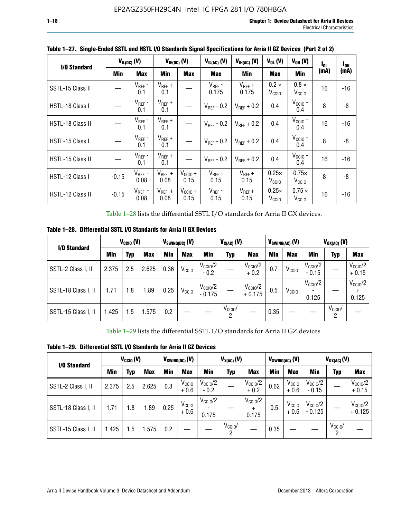| I/O Standard     |            | $V_{IL(DC)}$ (V)    |                                   | $V_{IH(DC)}$ (V)            | $V_{IL(AC)}$ (V)       | $V_{IH(AC)}(V)$        | $V_{OL}$ (V)                      | $V_{OH} (V)$                      | l <sub>ol</sub> | $I_{0H}$ |
|------------------|------------|---------------------|-----------------------------------|-----------------------------|------------------------|------------------------|-----------------------------------|-----------------------------------|-----------------|----------|
|                  | <b>Min</b> | <b>Max</b>          | Min                               | <b>Max</b>                  | <b>Max</b>             | Min                    | <b>Max</b>                        | Min                               | (mA)            | (mA)     |
| SSTL-15 Class II |            | $V_{REF}$ -<br>0.1  | $V_{REF}$ +<br>0.1<br>$V_{REF}$ + |                             | $V_{REF}$ -<br>0.175   | $V_{REF}$ +<br>0.175   | $0.2 \times$<br>V <sub>CCIO</sub> | $0.8 \times$<br>V <sub>CCIO</sub> | 16              | $-16$    |
| HSTL-18 Class I  |            | $V_{REF}$ -<br>0.1  | 0.1                               |                             | $V_{\text{RFF}}$ - 0.2 | $V_{RFF}$ + 0.2        | 0.4                               | $VCCIO$ -<br>0.4                  | 8               | -8       |
| HSTL-18 Class II |            | $V_{REF}$ -<br>0.1  | $V_{REF}$ +<br>0.1                |                             | $V_{\text{RFF}}$ - 0.2 | $V_{RFF}$ + 0.2        | 0.4                               | $V_{CCIO}$ -<br>0.4               | 16              | $-16$    |
| HSTL-15 Class I  |            | $V_{REF}$ -<br>0.1  | $V_{REF}$ +<br>0.1                |                             | $V_{\text{RFF}}$ - 0.2 | $V_{\text{RFF}} + 0.2$ | 0.4                               | $V_{CCIO}$ -<br>0.4               | 8               | -8       |
| HSTL-15 Class II |            | $V_{REF}$ -<br>0.1  | $V_{REF}$ +<br>0.1                |                             | $V_{REF}$ - 0.2        | $V_{RFF}$ + 0.2        | 0.4                               | $V_{\text{CCIO}}$ -<br>0.4        | 16              | -16      |
| HSTL-12 Class I  | $-0.15$    | $V_{REF}$ -<br>0.08 | $V_{REF}$ +<br>0.08               | $V_{CCIO} +$<br>0.15        | $V_{REF}$ -<br>0.15    | $V_{REF} +$<br>0.15    | $0.25\times$<br>V <sub>CCIO</sub> | $0.75\times$<br>V <sub>CCIO</sub> | 8               | -8       |
| HSTL-12 Class II | $-0.15$    | $V_{REF}$ -<br>0.08 | $V_{REF}$ +<br>0.08               | $V_{\text{CC1O}} +$<br>0.15 | $V_{REF}$ -<br>0.15    | $V_{REF}$ +<br>0.15    | $0.25\times$<br>V <sub>CCIO</sub> | $0.75 \times$<br>$V_{\rm CClO}$   | 16              | -16      |

**Table 1–27. Single-Ended SSTL and HSTL I/O Standards Signal Specifications for Arria II GZ Devices (Part 2 of 2)**

Table 1–28 lists the differential SSTL I/O standards for Arria II GX devices.

**Table 1–28. Differential SSTL I/O Standards for Arria II GX Devices**

| I/O Standard        |       | $V_{\text{CCIO}}(V)$ |            |            | $V_{SWING(DC)}$ (V) |                                 | $V_{X(AC)}(V)$  |                                 |      | $V_{SWING(AC)}$ (V) |                              | $V_{OX(AC)}$ (V) |                                |
|---------------------|-------|----------------------|------------|------------|---------------------|---------------------------------|-----------------|---------------------------------|------|---------------------|------------------------------|------------------|--------------------------------|
|                     | Min   | Typ                  | <b>Max</b> | <b>Min</b> | <b>Max</b>          | Min                             | Typ             | <b>Max</b>                      | Min  | <b>Max</b>          | Min                          | Typ              | <b>Max</b>                     |
| SSTL-2 Class I, II  | 2.375 | 2.5                  | 2.625      | 0.36       | V <sub>CCIO</sub>   | $V_{\text{CC10}}/2$<br>$-0.2$   |                 | $V_{\rm CC10}$ /2<br>$+0.2$     | 0.7  | V <sub>CCIO</sub>   | $V_{\rm CC10}$ /2<br>$-0.15$ |                  | $V_{\text{CCIO}}/2$<br>$+0.15$ |
| SSTL-18 Class I, II | 1.71  | 1.8                  | l.89       | 0.25       | V <sub>CCIO</sub>   | $V_{\text{CCIO}}/2$<br>$-0.175$ |                 | $V_{\text{CC10}}/2$<br>$+0.175$ | 0.5  | V <sub>CCIO</sub>   | $V_{\text{CC10}}/2$<br>0.125 |                  | $V_{\text{CCIO}}/2$<br>0.125   |
| SSTL-15 Class I, II | 1.425 | 1.5                  | .575       | 0.2        |                     |                                 | $V_{CCIO}$<br>2 |                                 | 0.35 |                     |                              | $V_{CCIO}$<br>റ  |                                |

Table 1–29 lists the differential SSTL I/O standards for Arria II GZ devices

**Table 1–29. Differential SSTL I/O Standards for Arria II GZ Devices**

| I/O Standard        |       | $V_{\text{CCIO}}(V)$ |            |      | $V_{SWING(DC)}(V)$          |                               | $V_{X(AC)}(V)$      |                                   |      | $V_{SWING(AC)}$ (V)         |                                | $V_{OX(AC)}(V)$ |                                 |
|---------------------|-------|----------------------|------------|------|-----------------------------|-------------------------------|---------------------|-----------------------------------|------|-----------------------------|--------------------------------|-----------------|---------------------------------|
|                     | Min   | Typ                  | <b>Max</b> | Min  | <b>Max</b>                  | Min                           | Typ                 | <b>Max</b>                        | Min  | <b>Max</b>                  | Min                            | Typ             | <b>Max</b>                      |
| SSTL-2 Class I, II  | 2.375 | 2.5                  | 2.625      | 0.3  | V <sub>CCIO</sub><br>$+0.6$ | $V_{\text{CC1O}}/2$<br>$-0.2$ |                     | $V_{\text{CCIO}}/2$<br>$+0.2$     | 0.62 | V <sub>CCIO</sub><br>$+0.6$ | $V_{\text{CC10}}/2$<br>$-0.15$ |                 | $V_{\text{CC10}}/2$<br>$+0.15$  |
| SSTL-18 Class I, II | 1.71  | 1.8                  | 1.89       | 0.25 | V <sub>CCIO</sub><br>$+0.6$ | $V_{\text{CCIO}}/2$<br>0.175  |                     | $V_{\text{CCIO}}/2$<br>÷<br>0.175 | 0.5  | V <sub>CCIO</sub><br>$+0.6$ | $V_{\text{CC10}}/2$<br>- 0.125 |                 | $V_{\text{CC10}}/2$<br>$+0.125$ |
| SSTL-15 Class I, II | 1.425 | 1.5                  | .575       | 0.2  |                             |                               | $V_{\rm CCIO}$<br>2 |                                   | 0.35 |                             |                                | $V_{CClO}$<br>2 |                                 |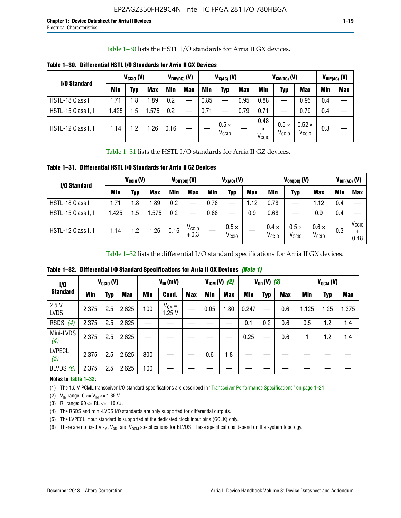Table 1–30 lists the HSTL I/O standards for Arria II GX devices.

| I/O Standard        |            | $V_{CGI0} (V)$ |            |      | $V_{\text{DIF(DC)}}$ (V) |            | $V_{X(AC)}(V)$                    |            |                                       | $V_{CM(DC)}(V)$                   |                                    |     | $V_{DIF(AC)}(V)$ |
|---------------------|------------|----------------|------------|------|--------------------------|------------|-----------------------------------|------------|---------------------------------------|-----------------------------------|------------------------------------|-----|------------------|
|                     | <b>Min</b> | Typ            | <b>Max</b> | Min  | <b>Max</b>               | <b>Min</b> | Typ                               | <b>Max</b> | Min                                   | Typ                               | <b>Max</b>                         | Min | <b>Max</b>       |
| HSTL-18 Class I     | 1.71       | . 8            | .89        | 0.2  | —                        | 0.85       |                                   | 0.95       | 0.88                                  |                                   | 0.95                               | 0.4 |                  |
| HSTL-15 Class I, II | l.425      | .5             | .575       | 0.2  |                          | 0.71       |                                   | 0.79       | 0.71                                  |                                   | 0.79                               | 0.4 |                  |
| HSTL-12 Class I, II | 1.14       | $\cdot$ .2     | .26        | 0.16 |                          |            | $0.5 \times$<br>V <sub>CCIO</sub> |            | 0.48<br>$\times$<br>V <sub>CCIO</sub> | $0.5 \times$<br>V <sub>CCIO</sub> | $0.52 \times$<br>V <sub>CCIO</sub> | 0.3 |                  |

**Table 1–30. Differential HSTL I/O Standards for Arria II GX Devices**

Table 1–31 lists the HSTL I/O standards for Arria II GZ devices.

**Table 1–31. Differential HSTL I/O Standards for Arria II GZ Devices**

| I/O Standard        |       | $V_{\text{CCIO}}(V)$ |            |            | $V_{\text{DIF(DC)}}(V)$     |      | $V_{X(AC)}(V)$                    |            |                                   | $V_{CM(DC)}$ (V)                  |                                   |     | $V_{DIF(AC)}$ (V)         |
|---------------------|-------|----------------------|------------|------------|-----------------------------|------|-----------------------------------|------------|-----------------------------------|-----------------------------------|-----------------------------------|-----|---------------------------|
|                     | Min   | Typ                  | <b>Max</b> | <b>Min</b> | <b>Max</b>                  | Min  | Typ                               | <b>Max</b> | <b>Min</b>                        | Typ                               | <b>Max</b>                        | Min | <b>Max</b>                |
| HSTL-18 Class I     | 71، ، | 1.8                  | .89        | 0.2        | —                           | 0.78 |                                   | 1.12       | 0.78                              |                                   | 1.12                              | 0.4 |                           |
| HSTL-15 Class I, II | .425  | $1.5\,$              | .575       | 0.2        | —                           | 0.68 |                                   | 0.9        | 0.68                              |                                   | 0.9                               | 0.4 |                           |
| HSTL-12 Class I, II | l.14  | 1.2                  | .26        | 0.16       | V <sub>CCIO</sub><br>$+0.3$ |      | $0.5 \times$<br>V <sub>CCIO</sub> |            | $0.4 \times$<br>V <sub>CCIO</sub> | $0.5 \times$<br>V <sub>CCIO</sub> | $0.6 \times$<br>V <sub>CCIO</sub> | 0.3 | V <sub>CCIO</sub><br>0.48 |

Table 1–32 lists the differential I/O standard specifications for Arria II GX devices.

**Table 1–32. Differential I/O Standard Specifications for Arria II GX Devices** *(Note 1)*

| I/O                  |       | $V_{CGI0} (V)$ |            |     | $V_{ID}$ (mV)       |            |      | $V_{IGM} (V)$ (2) |       | $V_{OD} (V)$ (3) |            |       | $V_{OCM}$ (V) |            |
|----------------------|-------|----------------|------------|-----|---------------------|------------|------|-------------------|-------|------------------|------------|-------|---------------|------------|
| <b>Standard</b>      | Min   | Typ            | <b>Max</b> | Min | Cond.               | <b>Max</b> | Min  | <b>Max</b>        | Min   | <b>Typ</b>       | <b>Max</b> | Min   | Typ           | <b>Max</b> |
| 2.5V<br><b>LVDS</b>  | 2.375 | 2.5            | 2.625      | 100 | $V_{CM} =$<br>1.25V |            | 0.05 | 1.80              | 0.247 |                  | 0.6        | 1.125 | 1.25          | 1.375      |
| <b>RSDS</b><br>(4)   | 2.375 | 2.5            | 2.625      |     |                     |            |      |                   | 0.1   | 0.2              | 0.6        | 0.5   | 1.2           | 1.4        |
| Mini-LVDS<br>(4)     | 2.375 | 2.5            | 2.625      |     |                     |            |      |                   | 0.25  |                  | 0.6        |       | 1.2           | 1.4        |
| <b>LVPECL</b><br>(5) | 2.375 | 2.5            | 2.625      | 300 |                     |            | 0.6  | 1.8               |       |                  |            |       |               |            |
| BLVDS $(6)$          | 2.375 | 2.5            | 2.625      | 100 |                     |            |      |                   |       |                  |            |       |               |            |

### **Notes to Table 1–32***:*

(1) The 1.5 V PCML transceiver I/O standard specifications are described in "Transceiver Performance Specifications" on page 1–21.

(2)  $V_{IN}$  range:  $0 \le V_{IN} \le 1.85$  V.

(3) R<sub>L</sub> range:  $90 \leq R$ L  $\leq 110 \Omega$ .

- (4) The RSDS and mini-LVDS I/O standards are only supported for differential outputs.
- (5) The LVPECL input standard is supported at the dedicated clock input pins (GCLK) only.
- (6) There are no fixed  $V_{ICM}$ ,  $V_{OD}$ , and  $V_{OCM}$  specifications for BLVDS. These specifications depend on the system topology.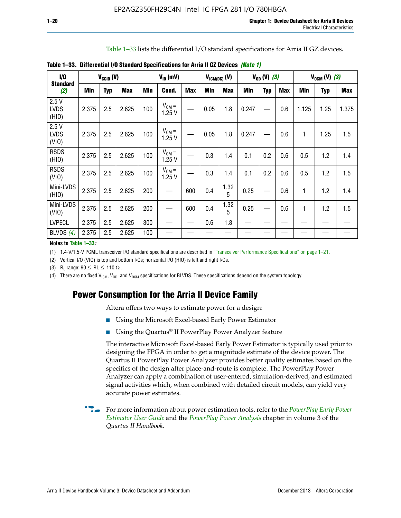Table 1–33 lists the differential I/O standard specifications for Arria II GZ devices.

| 1/0                          |       | $V_{CCl0} (V)$ |            |     | $V_{ID}$ (mV)       |            | $V_{IGM(DC)}$ (V) |            |       | $V_{OD} (V) (3)$ |            |              | $V_{OCM} (V) (3)$ |            |
|------------------------------|-------|----------------|------------|-----|---------------------|------------|-------------------|------------|-------|------------------|------------|--------------|-------------------|------------|
| <b>Standard</b><br>(2)       | Min   | <b>Typ</b>     | <b>Max</b> | Min | Cond.               | <b>Max</b> | Min               | <b>Max</b> | Min   | <b>Typ</b>       | <b>Max</b> | Min          | <b>Typ</b>        | <b>Max</b> |
| 2.5V<br><b>LVDS</b><br>(HIO) | 2.375 | 2.5            | 2.625      | 100 | $V_{CM} =$<br>1.25V |            | 0.05              | 1.8        | 0.247 |                  | 0.6        | 1.125        | 1.25              | 1.375      |
| 2.5V<br><b>LVDS</b><br>(VIO) | 2.375 | 2.5            | 2.625      | 100 | $V_{CM} =$<br>1.25V |            | 0.05              | 1.8        | 0.247 |                  | 0.6        | 1            | 1.25              | 1.5        |
| <b>RSDS</b><br>(HIO)         | 2.375 | 2.5            | 2.625      | 100 | $V_{CM} =$<br>1.25V |            | 0.3               | 1.4        | 0.1   | 0.2              | 0.6        | 0.5          | 1.2               | 1.4        |
| <b>RSDS</b><br>(VIO)         | 2.375 | 2.5            | 2.625      | 100 | $V_{CM} =$<br>1.25V |            | 0.3               | 1.4        | 0.1   | 0.2              | 0.6        | 0.5          | 1.2               | 1.5        |
| Mini-LVDS<br>(HIO)           | 2.375 | 2.5            | 2.625      | 200 |                     | 600        | 0.4               | 1.32<br>5  | 0.25  |                  | 0.6        | $\mathbf{1}$ | 1.2               | 1.4        |
| Mini-LVDS<br>(VIO)           | 2.375 | 2.5            | 2.625      | 200 |                     | 600        | 0.4               | 1.32<br>5  | 0.25  |                  | 0.6        | 1            | 1.2               | 1.5        |
| <b>LVPECL</b>                | 2.375 | 2.5            | 2.625      | 300 |                     |            | 0.6               | 1.8        |       |                  |            |              |                   |            |
| BLVDS $(4)$                  | 2.375 | 2.5            | 2.625      | 100 |                     |            |                   |            |       |                  |            |              |                   |            |

**Table 1–33. Differential I/O Standard Specifications for Arria II GZ Devices** *(Note 1)*

#### **Notes to Table 1–33***:*

(1) 1.4-V/1.5-V PCML transceiver I/O standard specifications are described in "Transceiver Performance Specifications" on page 1–21.

(2) Vertical I/O (VIO) is top and bottom I/Os; horizontal I/O (HIO) is left and right I/Os.

(3) R<sub>l</sub> range:  $90 \leq R L \leq 110 \Omega$ .

(4) There are no fixed  $V_{IGM}$ ,  $V_{OD}$ , and  $V_{OCM}$  specifications for BLVDS. These specifications depend on the system topology.

# **Power Consumption for the Arria II Device Family**

Altera offers two ways to estimate power for a design:

- Using the Microsoft Excel-based Early Power Estimator
- Using the Quartus<sup>®</sup> II PowerPlay Power Analyzer feature

The interactive Microsoft Excel-based Early Power Estimator is typically used prior to designing the FPGA in order to get a magnitude estimate of the device power. The Quartus II PowerPlay Power Analyzer provides better quality estimates based on the specifics of the design after place-and-route is complete. The PowerPlay Power Analyzer can apply a combination of user-entered, simulation-derived, and estimated signal activities which, when combined with detailed circuit models, can yield very accurate power estimates.

f For more information about power estimation tools, refer to the *[PowerPlay Early Power](http://www.altera.com/literature/ug/ug_epe.pdf?GSA_pos=5&WT.oss_r=1&WT.oss=powerplay early power estimator)  [Estimator User Guide](http://www.altera.com/literature/ug/ug_epe.pdf?GSA_pos=5&WT.oss_r=1&WT.oss=powerplay early power estimator)* and the *[PowerPlay Power Analysis](http://www.altera.com/literature/hb/qts/qts_qii53013.pdf)* chapter in volume 3 of the *Quartus II Handbook*.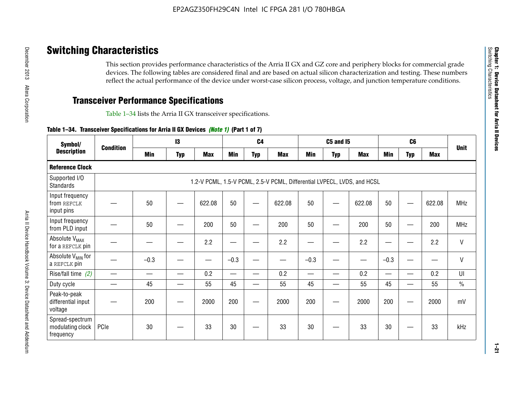# **Switching Characteristics**

This section provides performance characteristics of the Arria II GX and GZ core and periphery blocks for commercial grade devices. The following tables are considered final and are based on actual silicon characterization and testing. These numbers reflect the actual performance of the device under worst-case silicon process, voltage, and junction temperature conditions.

# **Transceiver Performance Specifications**

Table 1–34 lists the Arria II GX transceiver specifications.

### **Table 1–34. Transceiver Specifications for Arria II GX Devices** *(Note 1)* **(Part 1 of 7)**

| Symbol/                                          | <b>Condition</b> |        | 13         |            |            | C <sub>4</sub> |                                                                         |        | <b>C5 and 15</b> |            |                 | C <sub>6</sub> |            |               |
|--------------------------------------------------|------------------|--------|------------|------------|------------|----------------|-------------------------------------------------------------------------|--------|------------------|------------|-----------------|----------------|------------|---------------|
| <b>Description</b>                               |                  | Min    | <b>Typ</b> | <b>Max</b> | <b>Min</b> | <b>Typ</b>     | <b>Max</b>                                                              | Min    | <b>Typ</b>       | <b>Max</b> | Min             | <b>Typ</b>     | <b>Max</b> | <b>Unit</b>   |
| <b>Reference Clock</b>                           |                  |        |            |            |            |                |                                                                         |        |                  |            |                 |                |            |               |
| Supported I/O<br>Standards                       |                  |        |            |            |            |                | 1.2-V PCML, 1.5-V PCML, 2.5-V PCML, Differential LVPECL, LVDS, and HCSL |        |                  |            |                 |                |            |               |
| Input frequency<br>from REFCLK<br>input pins     |                  | 50     |            | 622.08     | 50         |                | 622.08                                                                  | 50     | –                | 622.08     | 50              |                | 622.08     | <b>MHz</b>    |
| Input frequency<br>from PLD input                |                  | 50     |            | 200        | 50         |                | 200                                                                     | 50     |                  | 200        | 50              |                | 200        | <b>MHz</b>    |
| Absolute V <sub>MAX</sub><br>for a REFCLK pin    |                  |        |            | 2.2        | —          |                | 2.2                                                                     | -      |                  | 2.2        |                 |                | 2.2        | $\mathsf{V}$  |
| Absolute V <sub>MIN</sub> for<br>a REFCLK pin    |                  | $-0.3$ |            |            | $-0.3$     |                |                                                                         | $-0.3$ |                  |            | $-0.3$          |                |            | $\mathsf{V}$  |
| Rise/fall time (2)                               |                  |        |            | 0.2        |            |                | 0.2                                                                     | $\sim$ |                  | 0.2        | $\qquad \qquad$ |                | 0.2        | UI            |
| Duty cycle                                       |                  | 45     | —          | 55         | 45         | —              | 55                                                                      | 45     | —                | 55         | 45              | —              | 55         | $\frac{0}{0}$ |
| Peak-to-peak<br>differential input<br>voltage    |                  | 200    |            | 2000       | 200        |                | 2000                                                                    | 200    | —                | 2000       | 200             | -              | 2000       | mV            |
| Spread-spectrum<br>modulating clock<br>frequency | PCIe             | 30     |            | 33         | 30         |                | 33                                                                      | 30     |                  | 33         | 30              |                | 33         | kHz           |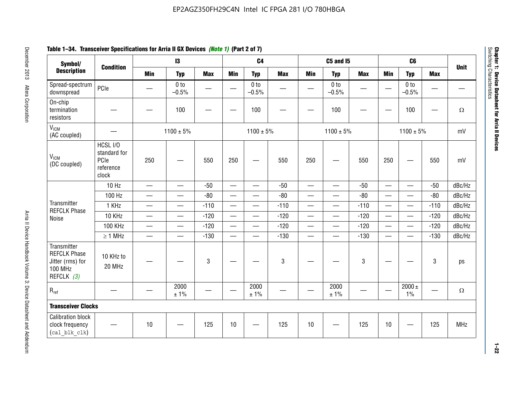# **Table 1–34. Transceiver Specifications for Arria II GX Devices** *(Note 1)* **(Part 2 of 7)**

| Symbol/                                                                                |                                                        |                          | $\mathbf{13}$              |                          |                          | C <sub>4</sub>             |            |                          | <b>C5 and 15</b>           |            |                          | C <sub>6</sub>             |                          |             |
|----------------------------------------------------------------------------------------|--------------------------------------------------------|--------------------------|----------------------------|--------------------------|--------------------------|----------------------------|------------|--------------------------|----------------------------|------------|--------------------------|----------------------------|--------------------------|-------------|
| <b>Description</b>                                                                     | <b>Condition</b>                                       | <b>Min</b>               | <b>Typ</b>                 | <b>Max</b>               | <b>Min</b>               | <b>Typ</b>                 | <b>Max</b> | <b>Min</b>               | <b>Typ</b>                 | <b>Max</b> | <b>Min</b>               | <b>Typ</b>                 | <b>Max</b>               | <b>Unit</b> |
| Spread-spectrum<br>downspread                                                          | PCIe                                                   |                          | 0 <sub>to</sub><br>$-0.5%$ | $\overline{\phantom{0}}$ | $\hspace{0.05cm}$        | 0 <sub>to</sub><br>$-0.5%$ | —          |                          | 0 <sub>to</sub><br>$-0.5%$ |            |                          | 0 <sub>to</sub><br>$-0.5%$ | $\overline{\phantom{0}}$ |             |
| On-chip<br>termination<br>resistors                                                    |                                                        |                          | 100                        | —                        | $\frac{1}{2}$            | 100                        |            |                          | 100                        |            | <u>—</u>                 | 100                        |                          | $\Omega$    |
| V <sub>ICM</sub><br>(AC coupled)                                                       |                                                        |                          | $1100 \pm 5\%$             |                          |                          | $1100 \pm 5\%$             |            |                          | $1100 \pm 5\%$             |            |                          | $1100 \pm 5\%$             |                          | mV          |
| V <sub>ICM</sub><br>(DC coupled)                                                       | HCSL I/O<br>standard for<br>PCIe<br>reference<br>clock | 250                      |                            | 550                      | 250                      | $\hspace{0.05cm}$          | 550        | 250                      | $\hspace{0.05cm}$          | 550        | 250                      |                            | 550                      | mV          |
|                                                                                        | $10$ Hz                                                | $\overline{\phantom{0}}$ | $\equiv$                   | $-50$                    |                          |                            | $-50$      | $\overline{\phantom{0}}$ |                            | $-50$      | $\overline{\phantom{0}}$ | $\equiv$                   | $-50$                    | dBc/Hz      |
|                                                                                        | 100 Hz                                                 | $\overline{\phantom{0}}$ | $\overline{\phantom{0}}$   | $-80$                    | $\overline{\phantom{0}}$ |                            | $-80$      | $\overline{\phantom{0}}$ | $\overline{\phantom{0}}$   | $-80$      |                          | $\overline{\phantom{0}}$   | $-80$                    | dBc/Hz      |
| Transmitter<br><b>REFCLK Phase</b>                                                     | 1 KHz                                                  |                          | $\overline{\phantom{0}}$   | $-110$                   |                          | $\qquad \qquad -$          | $-110$     | $\overline{\phantom{0}}$ |                            | $-110$     |                          |                            | $-110$                   | dBc/Hz      |
| Noise                                                                                  | 10 KHz                                                 | $\overline{\phantom{m}}$ | $\overline{\phantom{0}}$   | $-120$                   |                          | $\overline{\phantom{0}}$   | $-120$     | $\overline{\phantom{0}}$ |                            | $-120$     |                          | $\overline{\phantom{0}}$   | $-120$                   | dBc/Hz      |
|                                                                                        | <b>100 KHz</b>                                         | $\overline{\phantom{0}}$ | $\overline{\phantom{0}}$   | $-120$                   |                          | $\overline{\phantom{0}}$   | $-120$     | $\overline{\phantom{0}}$ | $\qquad \qquad$            | $-120$     | $\overline{\phantom{0}}$ | $\overline{\phantom{0}}$   | $-120$                   | dBc/Hz      |
|                                                                                        | $\geq 1$ MHz                                           | $\overline{\phantom{0}}$ | $\qquad \qquad$            | $-130$                   |                          | $\overline{\phantom{m}}$   | $-130$     | $\qquad \qquad$          | $\qquad \qquad -$          | $-130$     | $\overline{\phantom{0}}$ | $\overline{\phantom{0}}$   | $-130$                   | dBc/Hz      |
| Transmitter<br><b>REFCLK Phase</b><br>Jitter (rms) for<br><b>100 MHz</b><br>REFCLK (3) | 10 KHz to<br>20 MHz                                    |                          |                            | $\sqrt{3}$               |                          |                            | 3          |                          |                            | 3          |                          |                            | 3                        | ps          |
| $R_{ref}$                                                                              |                                                        |                          | 2000<br>± 1%               |                          | $\hspace{0.05cm}$        | 2000<br>± 1%               |            |                          | 2000<br>± 1%               |            |                          | 2000 $\pm$<br>$1\%$        | —                        | $\Omega$    |
| <b>Transceiver Clocks</b>                                                              |                                                        |                          |                            |                          |                          |                            |            |                          |                            |            |                          |                            |                          |             |
| <b>Calibration block</b><br>clock frequency<br>(cal blk clk)                           |                                                        | 10                       |                            | 125                      | 10                       |                            | 125        | 10                       |                            | 125        | 10                       |                            | 125                      | <b>MHz</b>  |

December 2013 Altera Corporation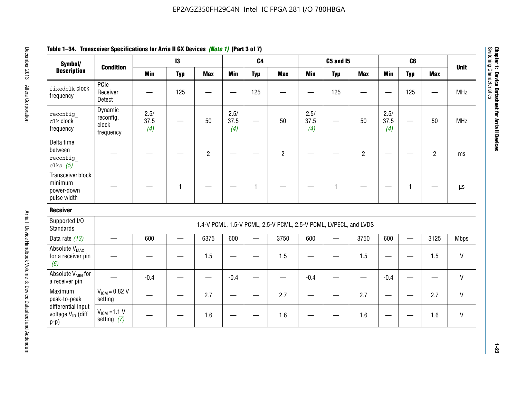| Symbol/                                                   |                                            | 13                  |            | C4             |                     | C <sub>5</sub> and I <sub>5</sub> |                                                                  |                     | C6         |                |                     |            |                |             |
|-----------------------------------------------------------|--------------------------------------------|---------------------|------------|----------------|---------------------|-----------------------------------|------------------------------------------------------------------|---------------------|------------|----------------|---------------------|------------|----------------|-------------|
| <b>Description</b>                                        | <b>Condition</b>                           | <b>Min</b>          | <b>Typ</b> | <b>Max</b>     | <b>Min</b>          | <b>Typ</b>                        | <b>Max</b>                                                       | <b>Min</b>          | <b>Typ</b> | <b>Max</b>     | <b>Min</b>          | <b>Typ</b> | <b>Max</b>     | <b>Unit</b> |
| fixedclk Clock<br>frequency                               | PCle<br>Receiver<br>Detect                 |                     | 125        |                |                     | 125                               |                                                                  |                     | 125        |                |                     | 125        |                | <b>MHz</b>  |
| reconfiq<br>clk clock<br>frequency                        | Dynamic<br>reconfig.<br>clock<br>frequency | 2.5/<br>37.5<br>(4) |            | 50             | 2.5/<br>37.5<br>(4) |                                   | 50                                                               | 2.5/<br>37.5<br>(4) |            | 50             | 2.5/<br>37.5<br>(4) |            | 50             | <b>MHz</b>  |
| Delta time<br>between<br>reconfig<br>clks $(5)$           |                                            |                     |            | $\overline{2}$ |                     |                                   | $\overline{c}$                                                   |                     |            | $\overline{c}$ |                     |            | $\overline{2}$ | ms          |
| Transceiver block<br>minimum<br>power-down<br>pulse width |                                            |                     |            |                |                     | 1                                 |                                                                  |                     | 1          |                |                     |            |                | $\mu s$     |
| Receiver                                                  |                                            |                     |            |                |                     |                                   |                                                                  |                     |            |                |                     |            |                |             |
| Supported I/O<br><b>Standards</b>                         |                                            |                     |            |                |                     |                                   | 1.4-V PCML, 1.5-V PCML, 2.5-V PCML, 2.5-V PCML, LVPECL, and LVDS |                     |            |                |                     |            |                |             |
| Data rate (13)                                            | $\equiv$                                   | 600                 |            | 6375           | 600                 |                                   | 3750                                                             | 600                 |            | 3750           | 600                 |            | 3125           | Mbps        |
| Absolute V <sub>MAX</sub><br>for a receiver pin<br>(6)    |                                            |                     |            | 1.5            |                     |                                   | 1.5                                                              |                     |            | 1.5            |                     |            | 1.5            | V           |
| Absolute V <sub>MIN</sub> for<br>a receiver pin           |                                            | $-0.4$              |            |                | $-0.4$              |                                   |                                                                  | $-0.4$              |            |                | $-0.4$              |            |                | V           |
| Maximum<br>peak-to-peak                                   | $V_{IGM} = 0.82 V$<br>setting              |                     |            | 2.7            |                     |                                   | 2.7                                                              |                     |            | 2.7            |                     |            | 2.7            | $\vee$      |

setting *(7)*  $\begin{vmatrix} - & - \\ - & - \end{vmatrix}$  -  $\begin{vmatrix} 1.6 \\ - & - \end{vmatrix}$  -  $\begin{vmatrix} - & 1.6 \\ - & - \end{vmatrix}$  -  $\begin{vmatrix} - & - \\ - & - \end{vmatrix}$  - 1.6  $\begin{vmatrix} - & - \\ - & - \end{vmatrix}$  - 1.6  $\begin{vmatrix} 0 \\ 0 \\ 0 \end{vmatrix}$  - V

# **Table 1–34. Transceiver Specifications for Arria II GX Devices** *(Note 1)* **(Part 3 of 7)**

peak-to-peak differential input voltage  $V_{ID}$  (diff

 $V_{ICM} = 1.1 V$ 

p-p)

**1–23**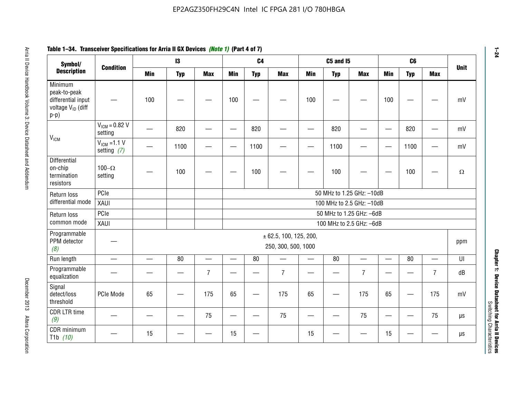| Symbol/                                                                                  | <b>Condition</b>                  |                          | 13         |                          |                          | C <sub>4</sub>           |                                               |            | <b>C5 and I5</b> |                           |                          | C6              |                | <b>Unit</b> |
|------------------------------------------------------------------------------------------|-----------------------------------|--------------------------|------------|--------------------------|--------------------------|--------------------------|-----------------------------------------------|------------|------------------|---------------------------|--------------------------|-----------------|----------------|-------------|
| <b>Description</b>                                                                       |                                   | <b>Min</b>               | <b>Typ</b> | <b>Max</b>               | <b>Min</b>               | <b>Typ</b>               | <b>Max</b>                                    | <b>Min</b> | <b>Typ</b>       | <b>Max</b>                | Min                      | <b>Typ</b>      | <b>Max</b>     |             |
| Minimum<br>peak-to-peak<br>differential input<br>voltage V <sub>ID</sub> (diff<br>$p-p)$ |                                   | 100                      |            |                          | 100                      |                          |                                               | 100        |                  |                           | 100                      |                 |                |             |
| V <sub>ICM</sub>                                                                         | $V_{IGM} = 0.82 V$<br>setting     |                          | 820        |                          |                          | 820                      |                                               |            | 820              |                           | $\overline{\phantom{0}}$ | 820             |                |             |
|                                                                                          | $V_{ICM}$ =1.1 V<br>setting $(7)$ |                          | 1100       |                          | —                        | 1100                     |                                               |            | 1100             |                           |                          | 1100            |                |             |
| Differential<br>on-chip<br>termination<br>resistors                                      | 100 $-\Omega$<br>setting          |                          | 100        |                          |                          | 100                      |                                               |            | 100              |                           |                          | 100             |                |             |
| Return loss                                                                              | PCle                              |                          |            |                          |                          |                          |                                               |            |                  | 50 MHz to 1.25 GHz: -10dB |                          |                 |                |             |
| differential mode                                                                        | XAUI                              |                          |            |                          |                          |                          |                                               |            |                  | 100 MHz to 2.5 GHz: -10dB |                          |                 |                |             |
| Return loss                                                                              | PCIe                              |                          |            |                          |                          |                          |                                               |            |                  | 50 MHz to 1.25 GHz: -6dB  |                          |                 |                |             |
| common mode                                                                              | XAUI                              |                          |            |                          |                          |                          |                                               |            |                  | 100 MHz to 2.5 GHz: -6dB  |                          |                 |                |             |
| Programmable<br>PPM detector<br>(8)                                                      |                                   |                          |            |                          |                          |                          | ± 62.5, 100, 125, 200,<br>250, 300, 500, 1000 |            |                  |                           |                          |                 |                | ppm         |
| Run length                                                                               | $\equiv$                          | $\overline{\phantom{0}}$ | 80         | $\overline{\phantom{0}}$ | —                        | 80                       |                                               | $\equiv$   | 80               | $\overline{\phantom{0}}$  |                          | 80              |                |             |
| Programmable<br>equalization                                                             |                                   |                          |            | $\overline{7}$           |                          |                          | $\overline{7}$                                |            |                  | $\overline{7}$            |                          |                 | $\overline{7}$ |             |
| Signal<br>detect/loss<br>threshold                                                       | PCIe Mode                         | 65                       | —          | 175                      | 65                       | $\overline{\phantom{0}}$ | 175                                           | 65         | —<br>—           | 175                       | 65                       |                 | 175            |             |
| <b>CDR LTR time</b><br>(9)                                                               |                                   |                          |            | 75                       | $\overline{\phantom{0}}$ | —                        | 75                                            | —          |                  | 75                        | $\qquad \qquad$          | $\qquad \qquad$ | 75             |             |
| CDR minimum<br>T <sub>1</sub> b $(10)$                                                   |                                   | 15                       |            |                          | 15                       |                          |                                               | 15         |                  |                           | 15                       |                 |                |             |

# **Table 1–34. Transceiver Specifications for Arria II GX Devices** *(Note 1)* **(Part 4 of 7)**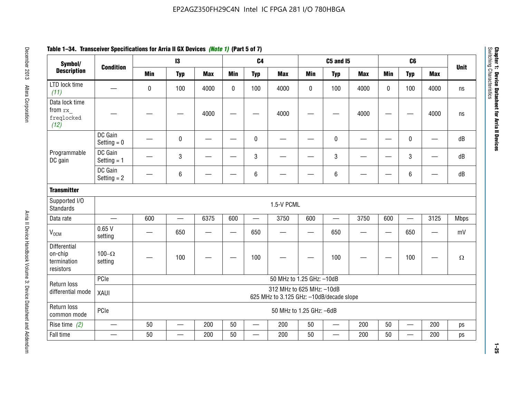| Symbol/                                                    |                          |                                                                       | $\mathbf{13}$            |            |              | C <sub>4</sub>           |                           |                   | <b>C5 and I5</b>         |            |                   | C <sub>6</sub>           |                   |             |
|------------------------------------------------------------|--------------------------|-----------------------------------------------------------------------|--------------------------|------------|--------------|--------------------------|---------------------------|-------------------|--------------------------|------------|-------------------|--------------------------|-------------------|-------------|
| <b>Description</b>                                         | <b>Condition</b>         | <b>Min</b>                                                            | <b>Typ</b>               | <b>Max</b> | <b>Min</b>   | <b>Typ</b>               | <b>Max</b>                | <b>Min</b>        | <b>Typ</b>               | <b>Max</b> | <b>Min</b>        | <b>Typ</b>               | <b>Max</b>        | <b>Unit</b> |
| LTD lock time<br>(11)                                      |                          | 0                                                                     | 100                      | 4000       | $\mathbf{0}$ | 100                      | 4000                      | 0                 | 100                      | 4000       | $\mathbf{0}$      | 100                      | 4000              | ns          |
| Data lock time<br>from rx<br>freqlocked<br>(12)            |                          |                                                                       |                          | 4000       |              |                          | 4000                      |                   |                          | 4000       |                   |                          | 4000              | ns          |
|                                                            | DC Gain<br>Setting $= 0$ |                                                                       | $\pmb{0}$                |            |              | $\mathbf 0$              |                           |                   | $\mathbf 0$              | –          |                   | 0                        |                   | dB          |
| Programmable<br>DC gain                                    | DC Gain<br>Setting $= 1$ |                                                                       | 3                        |            |              | 3                        |                           |                   | 3                        |            |                   | 3                        |                   | dB          |
|                                                            | DC Gain<br>Setting $= 2$ |                                                                       | $\,6\,$                  |            |              | 6                        |                           |                   | 6                        |            |                   | 6                        |                   | dB          |
| <b>Transmitter</b>                                         |                          |                                                                       |                          |            |              |                          |                           |                   |                          |            |                   |                          |                   |             |
| Supported I/O<br><b>Standards</b>                          |                          |                                                                       |                          |            |              |                          | 1.5-V PCML                |                   |                          |            |                   |                          |                   |             |
| Data rate                                                  | $\qquad \qquad$          | 600                                                                   | $\overline{\phantom{0}}$ | 6375       | 600          | $\overline{\phantom{0}}$ | 3750                      | 600               | $\overline{\phantom{0}}$ | 3750       | 600               | $\qquad \qquad$          | 3125              | <b>Mbps</b> |
| V <sub>OCM</sub>                                           | 0.65V<br>setting         |                                                                       | 650                      | —          |              | 650                      |                           | $\hspace{0.05cm}$ | 650                      | —          | $\hspace{0.05cm}$ | 650                      | $\hspace{0.05cm}$ | mV          |
| <b>Differential</b><br>on-chip<br>termination<br>resistors | 100 $-\Omega$<br>setting |                                                                       | 100                      |            |              | 100                      |                           |                   | 100                      |            |                   | 100                      |                   | $\Omega$    |
| Return loss                                                | PCle                     |                                                                       |                          |            |              |                          | 50 MHz to 1.25 GHz: -10dB |                   |                          |            |                   |                          |                   |             |
| differential mode                                          | XAUI                     | 312 MHz to 625 MHz: -10dB<br>625 MHz to 3.125 GHz: -10dB/decade slope |                          |            |              |                          |                           |                   |                          |            |                   |                          |                   |             |
| Return loss<br>common mode                                 | PCle                     | 50 MHz to 1.25 GHz: -6dB                                              |                          |            |              |                          |                           |                   |                          |            |                   |                          |                   |             |
| Rise time $(2)$                                            | $\overline{\phantom{0}}$ | 50                                                                    | $\qquad \qquad$          | 200        | 50           | $\overline{\phantom{0}}$ | 200                       | 50                | $\overline{\phantom{0}}$ | 200        | 50                | $\overline{\phantom{m}}$ | 200               | ps          |
| Fall time                                                  |                          | 50                                                                    |                          | 200        | 50           |                          | 200                       | 50                |                          | 200        | 50                |                          | 200               | ps          |

# **Table 1–34. Transceiver Specifications for Arria II GX Devices** *(Note 1)* **(Part 5 of 7)**

**1–25**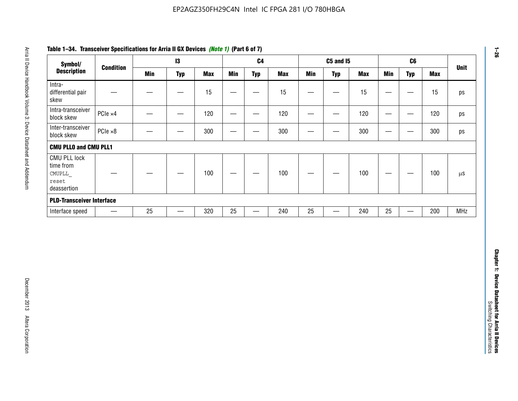| Symbol/                                                            |                  |            | 13                |            |                          | C <sub>4</sub>    |            |                   | <b>C5 and 15</b>                 |            |                                   | C6                               |            | <b>Unit</b>   |
|--------------------------------------------------------------------|------------------|------------|-------------------|------------|--------------------------|-------------------|------------|-------------------|----------------------------------|------------|-----------------------------------|----------------------------------|------------|---------------|
| <b>Description</b>                                                 | <b>Condition</b> | <b>Min</b> | <b>Typ</b>        | <b>Max</b> | <b>Min</b>               | <b>Typ</b>        | <b>Max</b> | <b>Min</b>        | <b>Typ</b>                       | <b>Max</b> | <b>Min</b>                        | <b>Typ</b>                       | <b>Max</b> |               |
| Intra-<br>differential pair<br>skew                                |                  |            |                   | 15         |                          | —                 | 15         | $\qquad \qquad$   | $\qquad \qquad$                  | 15         | $\overbrace{\phantom{123221111}}$ | $\overline{\phantom{m}}$         | 15         |               |
| Intra-transceiver<br>block skew                                    | PCIe ×4          |            | $\hspace{0.05cm}$ | 120        | $\hspace{0.05cm}$        | $\hspace{0.05cm}$ | 120        | $\hspace{0.05cm}$ | $\hspace{0.05cm}$                | 120        |                                   | $\hspace{0.05cm}$                | 120        |               |
| Inter-transceiver<br>block skew                                    | $PCle \times 8$  |            | -                 | 300        |                          | -                 | 300        |                   | -                                | 300        | —                                 | —                                | 300        |               |
| <b>CMU PLLO and CMU PLL1</b>                                       |                  |            |                   |            |                          |                   |            |                   |                                  |            |                                   |                                  |            |               |
| <b>CMU PLL lock</b><br>time from<br>CMUPLL<br>reset<br>deassertion |                  |            |                   | 100        | $\overline{\phantom{m}}$ |                   | 100        |                   |                                  | 100        |                                   | $\overbrace{\phantom{12322111}}$ | 100        | $\mu\text{S}$ |
| <b>PLD-Transceiver Interface</b>                                   |                  |            |                   |            |                          |                   |            |                   |                                  |            |                                   |                                  |            |               |
| Interface speed                                                    |                  | 25         | $\qquad \qquad -$ | 320        | 25                       | $\qquad \qquad$   | 240        | 25                | $\overbrace{\phantom{12322111}}$ | 240        | $25\,$                            | $\overline{\phantom{0}}$         | 200        | <b>MHz</b>    |
|                                                                    |                  |            |                   |            |                          |                   |            |                   |                                  |            |                                   |                                  |            |               |
|                                                                    |                  |            |                   |            |                          |                   |            |                   |                                  |            |                                   |                                  |            |               |
|                                                                    |                  |            |                   |            |                          |                   |            |                   |                                  |            |                                   |                                  |            |               |

# **Table 1–34. Transceiver Specifications for Arria II GX Devices** *(Note 1)* **(Part 6 of 7)**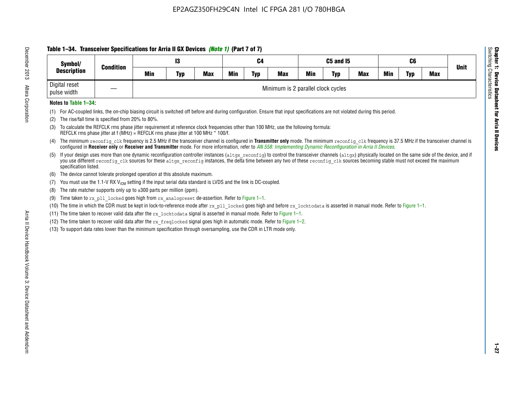# **Table 1–34. Transceiver Specifications for Arria II GX Devices** *(Note 1)* **(Part 7 of 7)**

| Symbol/                      | <b>Condition</b>  | C5 and I5<br>13<br>C4 |            |            |     |            |                                    |            | C6         |            |            |     |            |             |
|------------------------------|-------------------|-----------------------|------------|------------|-----|------------|------------------------------------|------------|------------|------------|------------|-----|------------|-------------|
| <b>Description</b>           |                   | <b>Min</b>            | <b>Typ</b> | <b>Max</b> | Min | <b>Typ</b> | <b>Max</b>                         | <b>Min</b> | <b>Typ</b> | <b>Max</b> | <b>Min</b> | Typ | <b>Max</b> | <b>Unit</b> |
| Digital reset<br>pulse width | $\hspace{0.05cm}$ |                       |            |            |     |            | Minimum is 2 parallel clock cycles |            |            |            |            |     |            |             |

### **Notes to Table 1–34:**

- (1) For AC-coupled links, the on-chip biasing circuit is switched off before and during configuration. Ensure that input specifications are not violated during this period.
- (2) The rise/fall time is specified from 20% to 80%.
- (3) To calculate the REFCLK rms phase jitter requirement at reference clock frequencies other than 100 MHz, use the following formula: REFCLK rms phase jitter at f (MHz) = REFCLK rms phase jitter at 100 MHz \* 100/f.
- (4) The minimum reconfig clk frequency is 2.5 MHz if the transceiver channel is configured in **Transmitter only** mode. The minimum reconfig clk frequency is 37.5 MHz if the transceiver channel is configured in **Receiver only** or **Receiver and Transmitter** mode. For more information, refer to *AN [558: Implementing Dynamic Reconfiguration in Arria II Devices](www.altera.com/literature/hb/arria-ii-gx/an558.pdf)*.
- (5) If your design uses more than one dynamic reconfiguration controller instances (altgx reconfig) to control the transceiver channels (altgx) physically located on the same side of the device, and if you use different reconfig clk sources for these altgx reconfig instances, the delta time between any two of these reconfig clk sources becoming stable must not exceed the maximum specification listed.
- (6) The device cannot tolerate prolonged operation at this absolute maximum.
- (7) You must use the 1.1-V RX  $V_{ICM}$  setting if the input serial data standard is LVDS and the link is DC-coupled.
- (8) The rate matcher supports only up to  $\pm 300$  parts per million (ppm).
- (9) Time taken to rx\_pll\_locked goes high from rx\_analogreset de-assertion. Refer to Figure 1–1.
- (10) The time in which the CDR must be kept in lock-to-reference mode after rx pll locked goes high and before rx locktodata is asserted in manual mode. Refer to Figure 1-1.
- (11) The time taken to recover valid data after the  $rx$  locktodata signal is asserted in manual mode. Refer to Figure 1–1.
- (12) The time taken to recover valid data after the  $rx$  freqlocked signal goes high in automatic mode. Refer to Figure 1–2.
- (13) To support data rates lower than the minimum specification through oversampling, use the CDR in LTR mode only.

**Chapter 1: Device Datasheet for Arria II Devices**

**Device Datasheet for Arria II Devices** 

Switching Characteristics

Chapter 1: Device Datas<br>Switching Characteristics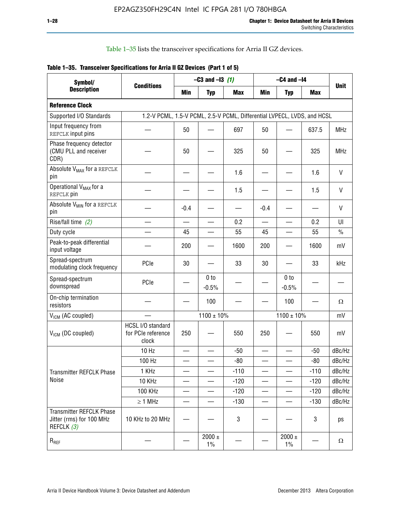Table 1–35 lists the transceiver specifications for Arria II GZ devices.

|  | Table 1-35. Transceiver Specifications for Arria II GZ Devices (Part 1 of 5) |  |
|--|------------------------------------------------------------------------------|--|
|  |                                                                              |  |

| Symbol/<br><b>Description</b>                                             |                                                                         |                          | $-C3$ and $-13$ (1)        |            |                          | $-C4$ and $-I4$            |            |             |
|---------------------------------------------------------------------------|-------------------------------------------------------------------------|--------------------------|----------------------------|------------|--------------------------|----------------------------|------------|-------------|
|                                                                           | <b>Conditions</b>                                                       | Min                      | <b>Typ</b>                 | <b>Max</b> | <b>Min</b>               | <b>Typ</b>                 | <b>Max</b> | <b>Unit</b> |
| <b>Reference Clock</b>                                                    |                                                                         |                          |                            |            |                          |                            |            |             |
| Supported I/O Standards                                                   | 1.2-V PCML, 1.5-V PCML, 2.5-V PCML, Differential LVPECL, LVDS, and HCSL |                          |                            |            |                          |                            |            |             |
| Input frequency from<br>REFCLK input pins                                 |                                                                         | 50                       |                            | 697        | 50                       |                            | 637.5      | <b>MHz</b>  |
| Phase frequency detector<br>(CMU PLL and receiver<br>CDR)                 |                                                                         | 50                       |                            | 325        | 50                       |                            | 325        | <b>MHz</b>  |
| Absolute V <sub>MAX</sub> for a REFCLK<br>pin                             |                                                                         |                          |                            | 1.6        |                          |                            | 1.6        | $\vee$      |
| Operational V <sub>MAX</sub> for a<br>REFCLK pin                          |                                                                         |                          |                            | 1.5        |                          |                            | 1.5        | V           |
| Absolute V <sub>MIN</sub> for a REFCLK<br>pin                             |                                                                         | $-0.4$                   |                            |            | $-0.4$                   |                            |            | V           |
| Rise/fall time (2)                                                        |                                                                         | $\overline{\phantom{0}}$ |                            | 0.2        | $\overline{\phantom{0}}$ | $\overline{\phantom{0}}$   | 0.2        | UI          |
| Duty cycle                                                                |                                                                         | 45                       |                            | 55         | 45                       |                            | 55         | $\%$        |
| Peak-to-peak differential<br>input voltage                                |                                                                         | 200                      |                            | 1600       | 200                      |                            | 1600       | mV          |
| Spread-spectrum<br>modulating clock frequency                             | PCIe                                                                    | 30                       |                            | 33         | 30                       |                            | 33         | kHz         |
| Spread-spectrum<br>downspread                                             | PCIe                                                                    |                          | 0 <sub>to</sub><br>$-0.5%$ |            |                          | 0 <sub>to</sub><br>$-0.5%$ |            |             |
| On-chip termination<br>resistors                                          |                                                                         |                          | 100                        |            |                          | 100                        |            | Ω           |
| $V_{IGM}$ (AC coupled)                                                    |                                                                         |                          | $1100 \pm 10\%$            |            |                          | $1100 \pm 10\%$            |            | mV          |
| V <sub>ICM</sub> (DC coupled)                                             | HCSL I/O standard<br>for PCIe reference<br>clock                        | 250                      |                            | 550        | 250                      |                            | 550        | mV          |
|                                                                           | 10 Hz                                                                   | $\overline{\phantom{0}}$ |                            | $-50$      | $\sim$                   |                            | $-50$      | dBc/Hz      |
|                                                                           | 100 Hz                                                                  |                          |                            | $-80$      |                          |                            | $-80$      | dBc/Hz      |
| Transmitter REFCLK Phase                                                  | 1 KHz                                                                   |                          | $\overline{\phantom{0}}$   | $-110$     | $\overline{\phantom{0}}$ | —                          | $-110$     | dBc/Hz      |
| Noise                                                                     | 10 KHz                                                                  |                          |                            | $-120$     |                          |                            | $-120$     | dBc/Hz      |
|                                                                           | <b>100 KHz</b>                                                          |                          |                            | $-120$     | —                        | $\qquad \qquad -$          | $-120$     | dBc/Hz      |
|                                                                           | $\geq 1$ MHz                                                            |                          |                            | $-130$     | $\overline{\phantom{0}}$ | $\overline{\phantom{0}}$   | $-130$     | dBc/Hz      |
| <b>Transmitter REFCLK Phase</b><br>Jitter (rms) for 100 MHz<br>REFCLK (3) | 10 KHz to 20 MHz                                                        |                          |                            | 3          |                          |                            | 3          | ps          |
| $R_{REF}$                                                                 |                                                                         |                          | $2000 \pm$<br>$1\%$        |            |                          | 2000 $\pm$<br>$1\%$        |            | $\Omega$    |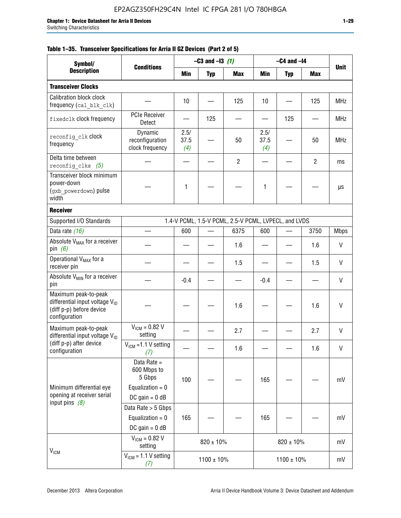|  |  | Table 1–35. Transceiver Specifications for Arria II GZ Devices (Part 2 of 5) |  |  |  |
|--|--|------------------------------------------------------------------------------|--|--|--|
|--|--|------------------------------------------------------------------------------|--|--|--|

| Symbol/<br><b>Description</b>                                                                            |                                                                                |                     | $-C3$ and $-13$ (1) |                                                      |                     | $-C4$ and $-I4$ |                |              |
|----------------------------------------------------------------------------------------------------------|--------------------------------------------------------------------------------|---------------------|---------------------|------------------------------------------------------|---------------------|-----------------|----------------|--------------|
|                                                                                                          | <b>Conditions</b>                                                              | Min                 | <b>Typ</b>          | <b>Max</b>                                           | Min                 | <b>Typ</b>      | <b>Max</b>     | <b>Unit</b>  |
| <b>Transceiver Clocks</b>                                                                                |                                                                                |                     |                     |                                                      |                     |                 |                |              |
| <b>Calibration block clock</b><br>frequency (cal blk clk)                                                |                                                                                | 10                  |                     | 125                                                  | 10                  |                 | 125            | <b>MHz</b>   |
| fixedclk clock frequency                                                                                 | <b>PCIe Receiver</b><br>Detect                                                 |                     | 125                 |                                                      |                     | 125             |                | <b>MHz</b>   |
| reconfig clk Clock<br>frequency                                                                          | Dynamic<br>reconfiguration<br>clock frequency                                  | 2.5/<br>37.5<br>(4) | —                   | 50                                                   | 2.5/<br>37.5<br>(4) |                 | 50             | <b>MHz</b>   |
| Delta time between<br>reconfig clks $(5)$                                                                |                                                                                |                     |                     | $\overline{2}$                                       |                     |                 | $\overline{2}$ | ms           |
| Transceiver block minimum<br>power-down<br>(gxb powerdown) pulse<br>width                                |                                                                                | 1                   |                     |                                                      | 1                   |                 |                | μs           |
| <b>Receiver</b>                                                                                          |                                                                                |                     |                     |                                                      |                     |                 |                |              |
| Supported I/O Standards                                                                                  |                                                                                |                     |                     | 1.4-V PCML, 1.5-V PCML, 2.5-V PCML, LVPECL, and LVDS |                     |                 |                |              |
| Data rate (16)                                                                                           |                                                                                | 600                 |                     | 6375                                                 | 600                 |                 | 3750           | <b>Mbps</b>  |
| Absolute V <sub>MAX</sub> for a receiver<br>pin $(6)$                                                    |                                                                                |                     |                     | 1.6                                                  |                     |                 | 1.6            | V            |
| Operational V <sub>MAX</sub> for a<br>receiver pin                                                       |                                                                                |                     |                     | 1.5                                                  |                     |                 | 1.5            | V            |
| Absolute V <sub>MIN</sub> for a receiver<br>pin                                                          |                                                                                | $-0.4$              |                     |                                                      | $-0.4$              |                 |                | V            |
| Maximum peak-to-peak<br>differential input voltage $V_{ID}$<br>(diff p-p) before device<br>configuration |                                                                                |                     |                     | 1.6                                                  |                     |                 | 1.6            | V            |
| Maximum peak-to-peak<br>differential input voltage V <sub>ID</sub>                                       | $V_{ICM} = 0.82 V$<br>setting                                                  |                     |                     | 2.7                                                  |                     |                 | 2.7            | $\mathsf{V}$ |
| (diff p-p) after device<br>configuration                                                                 | $V_{ICM}$ =1.1 V setting<br>(7)                                                |                     |                     | 1.6                                                  |                     |                 | 1.6            | V            |
| Minimum differential eye<br>opening at receiver serial                                                   | Data Rate =<br>600 Mbps to<br>5 Gbps<br>Equalization = $0$<br>DC gain = $0$ dB | 100                 |                     |                                                      | 165                 |                 |                | mV           |
| input pins $(8)$                                                                                         | Data Rate > 5 Gbps<br>Equalization = $0$<br>DC gain = $0$ dB                   | 165                 |                     |                                                      | 165                 |                 |                | mV           |
| V <sub>ICM</sub>                                                                                         | $V_{ICM} = 0.82 V$<br>setting                                                  |                     | $820 \pm 10\%$      |                                                      |                     | $820 \pm 10\%$  |                | mV           |
|                                                                                                          | $VICM = 1.1 V setting$<br>(7)                                                  |                     | $1100 \pm 10\%$     |                                                      |                     | $1100 \pm 10\%$ |                | mV           |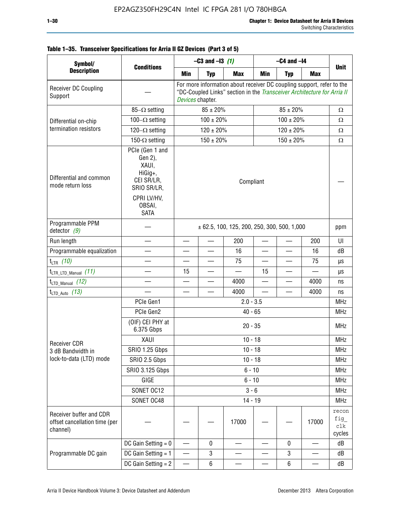#### Receiver DC Coupling Support — For more information about receiver DC coupling support, refer to the "DC-Coupled Links" section in the *[Transceiver Architecture for Arria II](http://www.altera.com/literature/hb/arria-ii-gx/aiigx_52001.pdf)  [Devices](http://www.altera.com/literature/hb/arria-ii-gx/aiigx_52001.pdf)* chapter. Differential on-chip termination resistors  $85-\Omega$  setting  $85 \pm 20\%$  85  $\pm 20\%$  85  $\pm 20\%$   $\Omega$ 100 - Ω setting  $100 \pm 20\%$  100 ± 20%  $20\%$ 120 -  $\Omega$  setting 120 ± 20% 120 ± 20% 120 ± 20% 120 ± 20% 150- $\Omega$  setting  $150 \pm 20\%$  150  $\pm 20\%$  150  $\pm 20\%$   $\Omega$ Differential and common mode return loss PCIe (Gen 1 and Gen 2), XAUI, HiGig+, CEI SR/LR, SRIO SR/LR, CPRI LV/HV, OBSAI, SATA Compliant — Programmable PPM<br>detector  $(9)$  $\vert$   $\pm$  62.5, 100, 125, 200, 250, 300, 500, 1,000 ppm Run length — — — 200 — — 200 UI Programmable equalization — — — 16 — — 16 dB t<sub>LTR</sub> (10) — | — | — | 75 | — | <del>7</del>5 | µs tLTR\_LTD\_Manual *(11)* — 15 — — 15 — — µs t<sub>LTD</sub> Manual (12) – – – – – – – – – 4000 – – – 4000 ns t<sub>LTD\_Auto</sub> (13)  $4000$   $4000$  ns Receiver CDR 3 dB Bandwidth in lock-to-data (LTD) mode PCIe Gen1 | 2.0 - 3.5 MHz PCIe Gen2 | MHz (OIF) CEI PHY at  $6.375$  Gbps  $20 - 35$  MHz XAUI 10 - 18 MHz SRIO 1.25 Gbps | MHz SRIO 2.5 Gbps | MHz SRIO 3.125 Gbps 6 - 10 6 - 10 GIGE | MHz SONET OC12 | 3 - 6 MHz SONET OC48 14 - 19 MHz Receiver buffer and CDR offset cancellation time (per channel) — | — | | 17000 | — | | 17000 recon fig\_ clk cycles Programmable DC gain DC Gain Setting = 0 — 0 — — 0 — dB DC Gain Setting = 1  $3$   $3$   $dB$ DC Gain Setting = 2  $6$   $6$   $dB$ **Symbol/ Description Conditions –C3 and –I3** *(1)* **–C4 and –I4 Unit Min Typ Max Min Typ Max**

#### **Table 1–35. Transceiver Specifications for Arria II GZ Devices (Part 3 of 5)**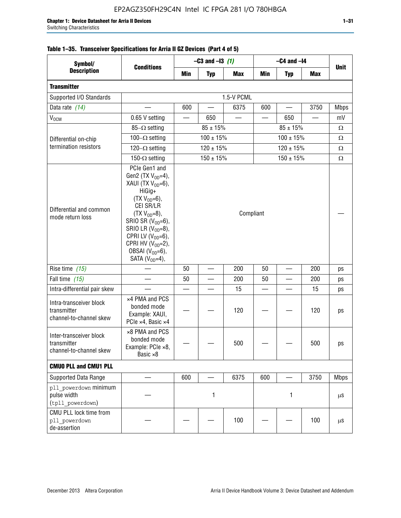| Symbol/                                                           |                                                                                                                                                                                                                                                                                                    |     | $-C3$ and $-13$ (1)      |            |     | $-C4$ and $-I4$          |            |             |
|-------------------------------------------------------------------|----------------------------------------------------------------------------------------------------------------------------------------------------------------------------------------------------------------------------------------------------------------------------------------------------|-----|--------------------------|------------|-----|--------------------------|------------|-------------|
| <b>Description</b>                                                | <b>Conditions</b>                                                                                                                                                                                                                                                                                  | Min | <b>Typ</b>               | <b>Max</b> | Min | <b>Typ</b>               | <b>Max</b> | <b>Unit</b> |
| <b>Transmitter</b>                                                |                                                                                                                                                                                                                                                                                                    |     |                          |            |     |                          |            |             |
| Supported I/O Standards                                           |                                                                                                                                                                                                                                                                                                    |     |                          | 1.5-V PCML |     |                          |            |             |
| Data rate (14)                                                    |                                                                                                                                                                                                                                                                                                    | 600 |                          | 6375       | 600 |                          | 3750       | <b>Mbps</b> |
| $V_{OCM}$                                                         | 0.65 V setting                                                                                                                                                                                                                                                                                     |     | 650                      |            |     | 650                      |            | mV          |
|                                                                   | $85-\Omega$ setting                                                                                                                                                                                                                                                                                |     | $85 \pm 15\%$            |            |     | $85 \pm 15\%$            |            | $\Omega$    |
| Differential on-chip                                              | 100 $-\Omega$ setting                                                                                                                                                                                                                                                                              |     | $100 \pm 15%$            |            |     | $100 \pm 15%$            |            | Ω           |
| termination resistors                                             | 120 $-\Omega$ setting                                                                                                                                                                                                                                                                              |     | $120 \pm 15\%$           |            |     | $120 \pm 15\%$           |            | Ω           |
|                                                                   | 150- $\Omega$ setting                                                                                                                                                                                                                                                                              |     | $150 \pm 15%$            |            |     | $150 \pm 15%$            |            | Ω           |
| Differential and common<br>mode return loss                       | PCIe Gen1 and<br>Gen2 (TX $V_{OD} = 4$ ),<br>XAUI (TX V <sub>OD</sub> =6),<br>HiGig+<br>$(TX V_{OD} = 6),$<br>CEI SR/LR<br>$(TX V_{OD} = 8),$<br>SRIO SR $(V_{OD} = 6)$ ,<br>SRIO LR $(V_{OD} = 8)$ ,<br>CPRI LV $(V_{OD}=6)$ ,<br>CPRI HV $(V_{OD}=2)$ ,<br>OBSAI $(VOD=6)$ ,<br>SATA $(VOD=4)$ , |     |                          | Compliant  |     |                          |            |             |
| Rise time $(15)$                                                  |                                                                                                                                                                                                                                                                                                    | 50  | $\overline{\phantom{0}}$ | 200        | 50  | $\overline{\phantom{0}}$ | 200        | ps          |
| Fall time (15)                                                    |                                                                                                                                                                                                                                                                                                    | 50  |                          | 200        | 50  |                          | 200        | ps          |
| Intra-differential pair skew                                      |                                                                                                                                                                                                                                                                                                    |     |                          | 15         |     |                          | 15         | ps          |
| Intra-transceiver block<br>transmitter<br>channel-to-channel skew | x4 PMA and PCS<br>bonded mode<br>Example: XAUI,<br>PCIe ×4, Basic ×4                                                                                                                                                                                                                               |     |                          | 120        |     |                          | 120        | ps          |
| Inter-transceiver block<br>transmitter<br>channel-to-channel skew | ×8 PMA and PCS<br>bonded mode<br>Example: PCle ×8,<br>Basic ×8                                                                                                                                                                                                                                     |     |                          | 500        |     |                          | 500        | ps          |
| <b>CMUO PLL and CMU1 PLL</b>                                      |                                                                                                                                                                                                                                                                                                    |     |                          |            |     |                          |            |             |
| Supported Data Range                                              |                                                                                                                                                                                                                                                                                                    | 600 |                          | 6375       | 600 |                          | 3750       | <b>Mbps</b> |
| pll powerdown minimum<br>pulse width<br>(tpll powerdown)          |                                                                                                                                                                                                                                                                                                    |     | 1                        |            |     | 1                        |            | $\mu$ S     |
| CMU PLL lock time from<br>pll powerdown<br>de-assertion           |                                                                                                                                                                                                                                                                                                    |     |                          | 100        |     |                          | 100        | $\mu$ S     |

### **Table 1–35. Transceiver Specifications for Arria II GZ Devices (Part 4 of 5)**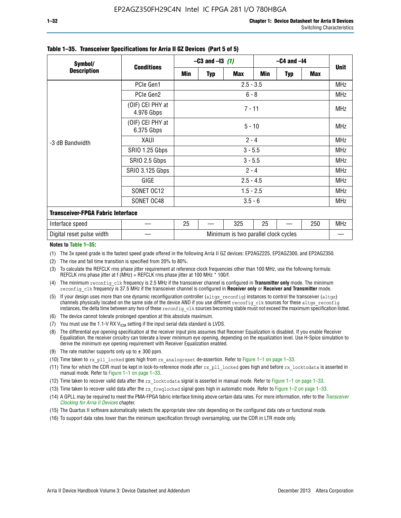| Symbol/                                  | <b>Conditions</b>              | $-C3$ and $-13$ (1)                  |          |            | $-C4$ and $-I4$ |            |            |             |  |
|------------------------------------------|--------------------------------|--------------------------------------|----------|------------|-----------------|------------|------------|-------------|--|
| <b>Description</b>                       |                                | Min                                  | Typ      | <b>Max</b> | Min             | <b>Typ</b> | <b>Max</b> | <b>Unit</b> |  |
|                                          | PCIe Gen1                      | $2.5 - 3.5$                          |          |            |                 |            |            | <b>MHz</b>  |  |
| -3 dB Bandwidth                          | PCIe Gen2                      | $6 - 8$                              |          |            |                 |            |            | <b>MHz</b>  |  |
|                                          | (OIF) CEI PHY at<br>4.976 Gbps | $7 - 11$                             |          |            |                 |            |            | <b>MHz</b>  |  |
|                                          | (OIF) CEI PHY at<br>6.375 Gbps |                                      | $5 - 10$ |            |                 |            |            |             |  |
|                                          | XAUI                           | $2 - 4$                              |          |            |                 |            |            | <b>MHz</b>  |  |
|                                          | SRIO 1.25 Gbps                 | $3 - 5.5$                            |          |            |                 |            |            | <b>MHz</b>  |  |
|                                          | SRIO 2.5 Gbps                  | $3 - 5.5$                            |          |            |                 |            |            | <b>MHz</b>  |  |
|                                          | <b>SRIO 3.125 Gbps</b>         | $2 - 4$                              |          |            |                 |            |            | <b>MHz</b>  |  |
|                                          | GIGE                           | $2.5 - 4.5$                          |          |            |                 |            |            | <b>MHz</b>  |  |
|                                          | SONET OC12                     | $1.5 - 2.5$                          |          |            |                 |            |            | <b>MHz</b>  |  |
|                                          | SONET OC48                     | $3.5 - 6$                            |          |            |                 |            |            | <b>MHz</b>  |  |
| <b>Transceiver-FPGA Fabric Interface</b> |                                |                                      |          |            |                 |            |            |             |  |
| Interface speed                          |                                | 25                                   |          | 325        | 25              |            | 250        | <b>MHz</b>  |  |
| Digital reset pulse width                |                                | Minimum is two parallel clock cycles |          |            |                 |            |            |             |  |

#### **Table 1–35. Transceiver Specifications for Arria II GZ Devices (Part 5 of 5)**

#### **Notes to Table 1–35:**

(1) The 3x speed grade is the fastest speed grade offered in the following Arria II GZ devices: EP2AGZ225, EP2AGZ300, and EP2AGZ350.

- (2) The rise and fall time transition is specified from 20% to 80%.
- (3) To calculate the REFCLK rms phase jitter requirement at reference clock frequencies other than 100 MHz, use the following formula: REFCLK rms phase jitter at f (MHz) = REFCLK rms phase jitter at 100 MHz  $*$  100/f.
- (4) The minimum reconfig clk frequency is 2.5 MHz if the transceiver channel is configured in **Transmitter only** mode. The minimum reconfig\_clk frequency is 37.5 MHz if the transceiver channel is configured in **Receiver only** or **Receiver and Transmitter** mode.
- (5) If your design uses more than one dynamic reconfiguration controller (altgx reconfig) instances to control the transceiver (altgx) channels physically located on the same side of the device AND if you use different reconfig clk sources for these altgx reconfig instances, the delta time between any two of these reconfig clk sources becoming stable must not exceed the maximum specification listed.
- (6) The device cannot tolerate prolonged operation at this absolute maximum.
- (7) You must use the 1.1-V RX  $V_{ICM}$  setting if the input serial data standard is LVDS.
- (8) The differential eye opening specification at the receiver input pins assumes that Receiver Equalization is disabled. If you enable Receiver Equalization, the receiver circuitry can tolerate a lower minimum eye opening, depending on the equalization level. Use H-Spice simulation to derive the minimum eye opening requirement with Receiver Equalization enabled.
- (9) The rate matcher supports only up to  $\pm$  300 ppm.
- (10) Time taken to rx\_pll\_locked goes high from rx\_analogreset de-assertion. Refer to Figure 1–1 on page 1–33.
- (11) Time for which the CDR must be kept in lock-to-reference mode after rx pll\_locked goes high and before rx\_locktodata is asserted in manual mode. Refer to Figure 1–1 on page 1–33.
- (12) Time taken to recover valid data after the rx locktodata signal is asserted in manual mode. Refer to Figure 1–1 on page 1–33.
- (13) Time taken to recover valid data after the rx\_freqlocked signal goes high in automatic mode. Refer to Figure 1–2 on page 1–33.
- (14) A GPLL may be required to meet the PMA-FPGA fabric interface timing above certain data rates. For more information, refer to the *[Transceiver](http://www.altera.com/literature/hb/arria-ii-gx/aiigx_52002.pdf)  [Clocking for Arria II Devices](http://www.altera.com/literature/hb/arria-ii-gx/aiigx_52002.pdf)* chapter.
- (15) The Quartus II software automatically selects the appropriate slew rate depending on the configured data rate or functional mode.
- (16) To support data rates lower than the minimum specification through oversampling, use the CDR in LTR mode only.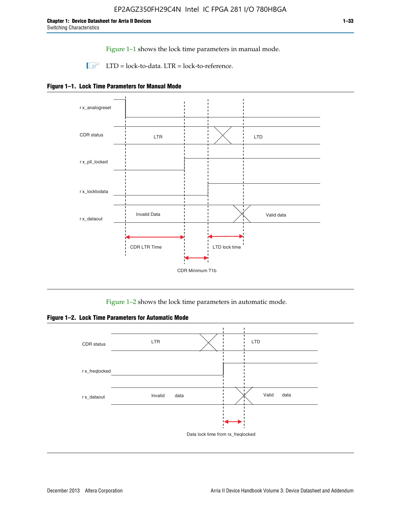Figure 1–1 shows the lock time parameters in manual mode.

 $\Box$  LTD = lock-to-data. LTR = lock-to-reference.





Figure 1–2 shows the lock time parameters in automatic mode.

**Figure 1–2. Lock Time Parameters for Automatic Mode**

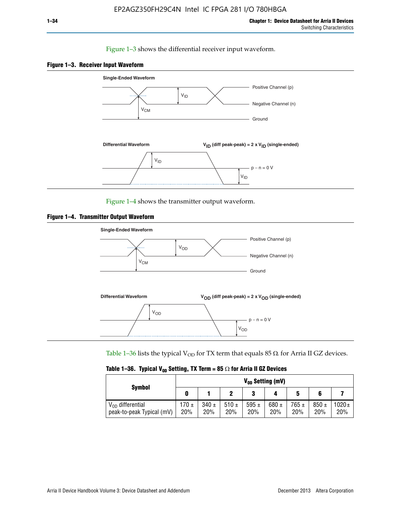#### Figure 1–3 shows the differential receiver input waveform.





Figure 1–4 shows the transmitter output waveform.





Table 1–36 lists the typical V<sub>OD</sub> for TX term that equals 85  $\Omega$  for Arria II GZ devices.

|  |  |  | Table 1–36. Typical V <sub>op</sub> Setting, TX Term = 85 $\Omega$ for Arria II GZ Devices |
|--|--|--|--------------------------------------------------------------------------------------------|
|--|--|--|--------------------------------------------------------------------------------------------|

| <b>Symbol</b>                                      | V <sub>on</sub> Setting (mV) |                  |             |                  |                  |                  |                  |                   |  |  |
|----------------------------------------------------|------------------------------|------------------|-------------|------------------|------------------|------------------|------------------|-------------------|--|--|
|                                                    | 0                            |                  |             | 3                |                  | 5                | 6                |                   |  |  |
| $V_{OD}$ differential<br>peak-to-peak Typical (mV) | 170 ±<br>20%                 | $340 \pm$<br>20% | 510±<br>20% | 595 $\pm$<br>20% | 680 $\pm$<br>20% | $765 \pm$<br>20% | $850 \pm$<br>20% | $1020 \pm$<br>20% |  |  |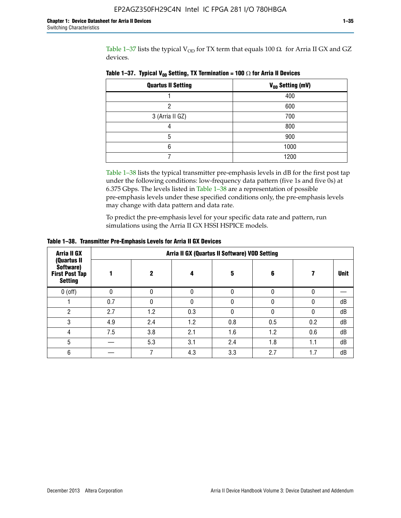Table 1–37 lists the typical  $V_{OD}$  for TX term that equals 100  $\Omega$  for Arria II GX and GZ devices.

| <b>Quartus II Setting</b> | V <sub>OD</sub> Setting (mV) |
|---------------------------|------------------------------|
|                           | 400                          |
| ი                         | 600                          |
| 3 (Arria II GZ)           | 700                          |
|                           | 800                          |
| 5                         | 900                          |
| 6                         | 1000                         |
|                           | 1200                         |

**Table 1–37. Typical V<sub>OD</sub> Setting, TX Termination = 100**  $\Omega$  for Arria II Devices

Table 1–38 lists the typical transmitter pre-emphasis levels in dB for the first post tap under the following conditions: low-frequency data pattern (five 1s and five 0s) at 6.375 Gbps. The levels listed in Table 1–38 are a representation of possible pre-emphasis levels under these specified conditions only, the pre-emphasis levels may change with data pattern and data rate.

To predict the pre-emphasis level for your specific data rate and pattern, run simulations using the Arria II GX HSSI HSPICE models.

| <b>Arria II GX</b>                                                  | Arria II GX (Quartus II Software) VOD Setting |     |     |     |     |     |             |  |  |
|---------------------------------------------------------------------|-----------------------------------------------|-----|-----|-----|-----|-----|-------------|--|--|
| (Quartus II<br>Software)<br><b>First Post Tap</b><br><b>Setting</b> |                                               | 2   | 4   | 5   | 6   |     | <b>Unit</b> |  |  |
| $0$ (off)                                                           | 0                                             |     | U   |     |     |     |             |  |  |
|                                                                     | 0.7                                           |     | U   |     |     |     | dB          |  |  |
| ŋ                                                                   | 2.7                                           | 1.2 | 0.3 |     |     |     | dB          |  |  |
| 3                                                                   | 4.9                                           | 2.4 | 1.2 | 0.8 | 0.5 | 0.2 | dB          |  |  |
| 4                                                                   | 7.5                                           | 3.8 | 2.1 | 1.6 | 1.2 | 0.6 | dB          |  |  |
| 5                                                                   |                                               | 5.3 | 3.1 | 2.4 | 1.8 | 1.1 | dB          |  |  |
| 6                                                                   |                                               |     | 4.3 | 3.3 | 2.7 | 1.7 | dB          |  |  |

**Table 1–38. Transmitter Pre-Emphasis Levels for Arria II GX Devices**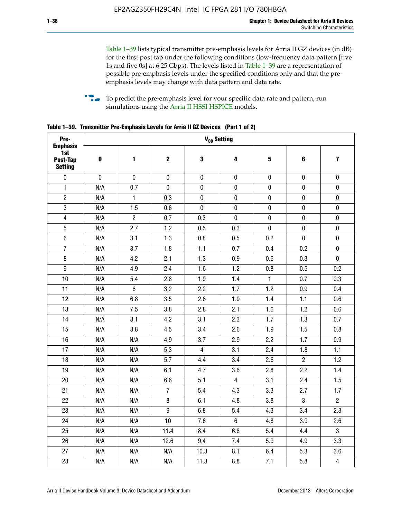Table 1–39 lists typical transmitter pre-emphasis levels for Arria II GZ devices (in dB) for the first post tap under the following conditions (low-frequency data pattern [five 1s and five 0s] at 6.25 Gbps). The levels listed in Table 1–39 are a representation of possible pre-emphasis levels under the specified conditions only and that the preemphasis levels may change with data pattern and data rate.

**follow** To predict the pre-emphasis level for your specific data rate and pattern, run simulations using the [Arria II HSSI HSPICE](http://www.altera.com/support/software/download/hspice/hsp-index.html) models.

| Pre-                                                 |           |                |                |                | V <sub>op</sub> Setting |              |                |                         |
|------------------------------------------------------|-----------|----------------|----------------|----------------|-------------------------|--------------|----------------|-------------------------|
| <b>Emphasis</b><br>1st<br>Post-Tap<br><b>Setting</b> | 0         | 1              | $\mathbf 2$    | 3              | 4                       | 5            | 6              | $\overline{\mathbf{z}}$ |
| $\pmb{0}$                                            | $\pmb{0}$ | $\pmb{0}$      | $\pmb{0}$      | $\pmb{0}$      | $\pmb{0}$               | $\pmb{0}$    | $\pmb{0}$      | $\pmb{0}$               |
| $\mathbf{1}$                                         | N/A       | 0.7            | $\pmb{0}$      | $\pmb{0}$      | $\pmb{0}$               | 0            | $\pmb{0}$      | $\pmb{0}$               |
| $\overline{2}$                                       | N/A       | $\mathbf{1}$   | 0.3            | $\mathbf 0$    | 0                       | 0            | $\pmb{0}$      | $\pmb{0}$               |
| $\sqrt{3}$                                           | N/A       | 1.5            | 0.6            | $\pmb{0}$      | $\pmb{0}$               | $\pmb{0}$    | $\pmb{0}$      | $\pmb{0}$               |
| $\overline{4}$                                       | N/A       | $\overline{2}$ | 0.7            | 0.3            | $\pmb{0}$               | $\pmb{0}$    | $\pmb{0}$      | $\pmb{0}$               |
| 5                                                    | N/A       | 2.7            | 1.2            | 0.5            | 0.3                     | $\mathbf 0$  | $\mathbf 0$    | $\pmb{0}$               |
| $6\phantom{1}$                                       | N/A       | 3.1            | 1.3            | 0.8            | 0.5                     | 0.2          | $\pmb{0}$      | $\pmb{0}$               |
| $\boldsymbol{7}$                                     | N/A       | 3.7            | 1.8            | 1.1            | 0.7                     | 0.4          | 0.2            | $\pmb{0}$               |
| $\bf 8$                                              | N/A       | 4.2            | 2.1            | 1.3            | 0.9                     | 0.6          | 0.3            | $\pmb{0}$               |
| $\boldsymbol{9}$                                     | N/A       | 4.9            | 2.4            | 1.6            | 1.2                     | 0.8          | 0.5            | 0.2                     |
| 10                                                   | N/A       | 5.4            | 2.8            | 1.9            | 1.4                     | $\mathbf{1}$ | 0.7            | 0.3                     |
| 11                                                   | N/A       | $\,6\,$        | 3.2            | 2.2            | 1.7                     | 1.2          | 0.9            | 0.4                     |
| 12                                                   | N/A       | 6.8            | 3.5            | 2.6            | 1.9                     | 1.4          | 1.1            | 0.6                     |
| 13                                                   | N/A       | 7.5            | 3.8            | 2.8            | 2.1                     | 1.6          | 1.2            | 0.6                     |
| 14                                                   | N/A       | 8.1            | 4.2            | 3.1            | 2.3                     | 1.7          | 1.3            | 0.7                     |
| 15                                                   | N/A       | 8.8            | 4.5            | 3.4            | 2.6                     | 1.9          | 1.5            | 0.8                     |
| 16                                                   | N/A       | N/A            | 4.9            | 3.7            | 2.9                     | 2.2          | 1.7            | 0.9                     |
| 17                                                   | N/A       | N/A            | 5.3            | $\overline{4}$ | 3.1                     | 2.4          | 1.8            | 1.1                     |
| 18                                                   | N/A       | N/A            | 5.7            | 4.4            | 3.4                     | 2.6          | $\overline{2}$ | 1.2                     |
| 19                                                   | N/A       | N/A            | 6.1            | 4.7            | 3.6                     | 2.8          | 2.2            | 1.4                     |
| 20                                                   | N/A       | N/A            | 6.6            | 5.1            | $\overline{4}$          | 3.1          | 2.4            | 1.5                     |
| 21                                                   | N/A       | N/A            | $\overline{7}$ | 5.4            | 4.3                     | 3.3          | 2.7            | 1.7                     |
| 22                                                   | N/A       | N/A            | 8              | 6.1            | 4.8                     | 3.8          | $\mathbf 3$    | $\overline{2}$          |
| 23                                                   | N/A       | N/A            | 9              | 6.8            | 5.4                     | 4.3          | 3.4            | 2.3                     |
| 24                                                   | N/A       | N/A            | 10             | 7.6            | $6\phantom{.}$          | 4.8          | 3.9            | 2.6                     |
| 25                                                   | N/A       | N/A            | 11.4           | 8.4            | 6.8                     | 5.4          | 4.4            | $\mathbf{3}$            |
| 26                                                   | N/A       | N/A            | 12.6           | 9.4            | 7.4                     | 5.9          | 4.9            | 3.3                     |
| 27                                                   | N/A       | N/A            | N/A            | 10.3           | 8.1                     | 6.4          | 5.3            | 3.6                     |
| 28                                                   | N/A       | N/A            | N/A            | 11.3           | 8.8                     | 7.1          | 5.8            | $\overline{4}$          |

**Table 1–39. Transmitter Pre-Emphasis Levels for Arria II GZ Devices (Part 1 of 2)**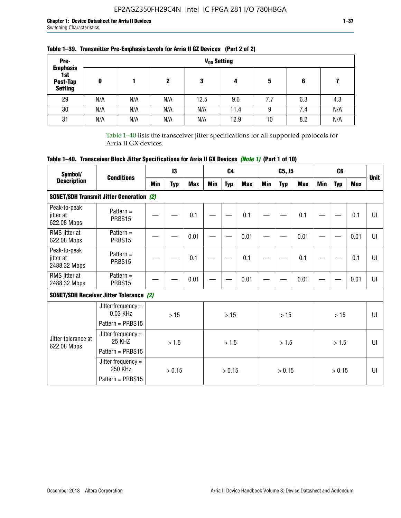| Pre-                                                 |     |     |     |      | V <sub>op</sub> Setting |     |     |     |
|------------------------------------------------------|-----|-----|-----|------|-------------------------|-----|-----|-----|
| <b>Emphasis</b><br>1st<br>Post-Tap<br><b>Setting</b> | 0   |     | 2   | 3    | 4                       | 5   | 6   |     |
| 29                                                   | N/A | N/A | N/A | 12.5 | 9.6                     | 7.7 | 6.3 | 4.3 |
| 30                                                   | N/A | N/A | N/A | N/A  | 11.4                    | 9   | 7.4 | N/A |
| 31                                                   | N/A | N/A | N/A | N/A  | 12.9                    | 10  | 8.2 | N/A |

## **Table 1–39. Transmitter Pre-Emphasis Levels for Arria II GZ Devices (Part 2 of 2)**

Table 1–40 lists the transceiver jitter specifications for all supported protocols for Arria II GX devices.

# **Table 1–40. Transceiver Block Jitter Specifications for Arria II GX Devices** *(Note 1)* **(Part 1 of 10)**

| Symbol/                                   |                                                         |     | 13         |            |     | C <sub>4</sub> |            |     | C5, I5     |            |     | C <sub>6</sub> |            |              |
|-------------------------------------------|---------------------------------------------------------|-----|------------|------------|-----|----------------|------------|-----|------------|------------|-----|----------------|------------|--------------|
| <b>Description</b>                        | <b>Conditions</b>                                       | Min | <b>Typ</b> | <b>Max</b> | Min | <b>Typ</b>     | <b>Max</b> | Min | <b>Typ</b> | <b>Max</b> | Min | <b>Typ</b>     | <b>Max</b> | <b>Unit</b>  |
|                                           | <b>SONET/SDH Transmit Jitter Generation (2)</b>         |     |            |            |     |                |            |     |            |            |     |                |            |              |
| Peak-to-peak<br>jitter at<br>622.08 Mbps  | Pattern $=$<br>PRBS15                                   |     |            | 0.1        |     |                | 0.1        |     |            | 0.1        |     |                | 0.1        | UI           |
| RMS jitter at<br>622.08 Mbps              | Pattern $=$<br>PRBS15                                   |     |            | 0.01       |     |                | 0.01       |     |            | 0.01       |     |                | 0.01       | $\mathbf{U}$ |
| Peak-to-peak<br>jitter at<br>2488.32 Mbps | Pattern $=$<br>PRBS15                                   |     |            | 0.1        |     |                | 0.1        |     |            | 0.1        |     |                | 0.1        | UI           |
| RMS jitter at<br>2488.32 Mbps             | Pattern $=$<br>PRBS15                                   |     |            | 0.01       |     |                | 0.01       |     |            | 0.01       |     |                | 0.01       | UI           |
|                                           | <b>SONET/SDH Receiver Jitter Tolerance (2)</b>          |     |            |            |     |                |            |     |            |            |     |                |            |              |
|                                           | Jitter frequency $=$<br>0.03 KHz<br>Pattern = PRBS15    |     | >15        |            |     | >15            |            |     | >15        |            |     | >15            |            | $\mathbf{U}$ |
| Jitter tolerance at<br>622.08 Mbps        | Jitter frequency =<br><b>25 KHZ</b><br>Pattern = PRBS15 |     | > 1.5      |            |     | > 1.5          |            |     | > 1.5      |            |     | > 1.5          |            | $\mathbf{U}$ |
|                                           | Jitter frequency =<br>250 KHz<br>Pattern = PRBS15       |     | > 0.15     |            |     | > 0.15         |            |     | > 0.15     |            |     | > 0.15         |            | Ш            |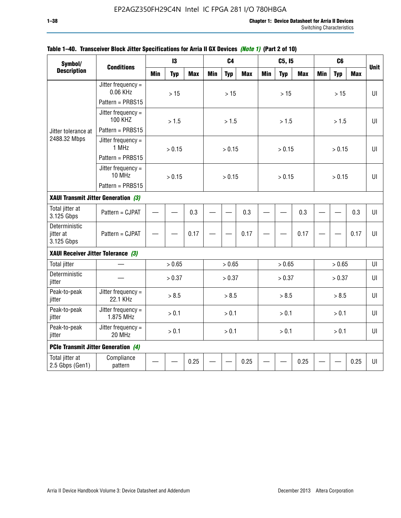| Symbol/                                  |                                        |            | 13         |            |            | C <sub>4</sub> |            |            | C5, I5     |            |            | C <sub>6</sub> |            |             |
|------------------------------------------|----------------------------------------|------------|------------|------------|------------|----------------|------------|------------|------------|------------|------------|----------------|------------|-------------|
| <b>Description</b>                       | <b>Conditions</b>                      | <b>Min</b> | <b>Typ</b> | <b>Max</b> | <b>Min</b> | <b>Typ</b>     | <b>Max</b> | <b>Min</b> | <b>Typ</b> | <b>Max</b> | <b>Min</b> | <b>Typ</b>     | <b>Max</b> | <b>Unit</b> |
|                                          | Jitter frequency $=$<br>0.06 KHz       |            | >15        |            |            | >15            |            |            | >15        |            |            | >15            |            | $U\Gamma$   |
|                                          | Pattern = PRBS15                       |            |            |            |            |                |            |            |            |            |            |                |            |             |
|                                          | Jitter frequency $=$<br><b>100 KHZ</b> |            | > 1.5      |            |            | > 1.5          |            |            | > 1.5      |            |            | > 1.5          |            | $U\Gamma$   |
| Jitter tolerance at                      | Pattern = PRBS15                       |            |            |            |            |                |            |            |            |            |            |                |            |             |
| 2488.32 Mbps                             | Jitter frequency $=$<br>1 MHz          |            | > 0.15     |            |            | > 0.15         |            |            | > 0.15     |            |            | > 0.15         |            | $U\Gamma$   |
|                                          | Pattern = PRBS15                       |            |            |            |            |                |            |            |            |            |            |                |            |             |
|                                          | Jitter frequency $=$<br>10 MHz         |            | > 0.15     |            |            | > 0.15         |            |            | > 0.15     |            |            | > 0.15         |            | $U\Gamma$   |
|                                          | Pattern = PRBS15                       |            |            |            |            |                |            |            |            |            |            |                |            |             |
| XAUI Transmit Jitter Generation (3)      |                                        | 0.3        |            |            |            |                |            |            |            |            |            |                |            |             |
| Total jitter at<br>3.125 Gbps            | Pattern = CJPAT                        |            |            |            |            |                | 0.3        |            |            | 0.3        |            |                | 0.3        | UI          |
| Deterministic<br>jitter at<br>3.125 Gbps | Pattern = CJPAT                        |            |            | 0.17       |            |                | 0.17       |            |            | 0.17       |            |                | 0.17       | U           |
| XAUI Receiver Jitter Tolerance (3)       |                                        |            |            |            |            |                |            |            |            |            |            |                |            |             |
| <b>Total jitter</b>                      |                                        |            | > 0.65     |            |            | > 0.65         |            |            | > 0.65     |            |            | > 0.65         |            | UI          |
| Deterministic<br>jitter                  |                                        |            | > 0.37     |            |            | > 0.37         |            |            | > 0.37     |            |            | > 0.37         |            | UI          |
| Peak-to-peak<br>jitter                   | Jitter frequency $=$<br>22.1 KHz       |            | > 8.5      |            |            | > 8.5          |            |            | > 8.5      |            |            | > 8.5          |            | UI          |
| Peak-to-peak<br>jitter                   | Jitter frequency $=$<br>1.875 MHz      |            | > 0.1      |            |            | > 0.1          |            |            | > 0.1      |            |            | > 0.1          |            | $U\Gamma$   |
| Peak-to-peak<br>jitter                   | Jitter frequency $=$<br>20 MHz         | > 0.1      |            |            |            | > 0.1          |            |            | > 0.1      |            |            | > 0.1          |            | UI          |
| PCIe Transmit Jitter Generation (4)      |                                        |            |            |            |            |                |            |            |            |            |            |                |            |             |
| Total jitter at<br>2.5 Gbps (Gen1)       | Compliance<br>pattern                  |            |            | 0.25       |            |                | 0.25       |            |            | 0.25       |            |                | 0.25       | $U\Gamma$   |

### **Table 1–40. Transceiver Block Jitter Specifications for Arria II GX Devices** *(Note 1)* **(Part 2 of 10)**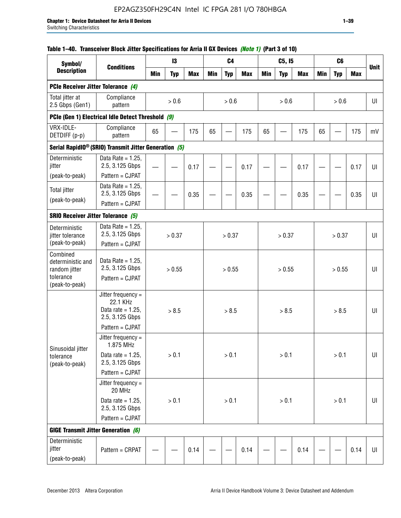# EP2AGZ350FH29C4N Intel IC FPGA 281 I/O 780HBGA

### **Table 1–40. Transceiver Block Jitter Specifications for Arria II GX Devices** *(Note 1)* **(Part 3 of 10)**

| Symbol/                                             |                                                                           |            | 13         |            |     | C <sub>4</sub> |            |            | C5, I5     |            |            | C <sub>6</sub> |            |             |
|-----------------------------------------------------|---------------------------------------------------------------------------|------------|------------|------------|-----|----------------|------------|------------|------------|------------|------------|----------------|------------|-------------|
| <b>Description</b>                                  | <b>Conditions</b>                                                         | <b>Min</b> | <b>Typ</b> | <b>Max</b> | Min | <b>Typ</b>     | <b>Max</b> | <b>Min</b> | <b>Typ</b> | <b>Max</b> | <b>Min</b> | <b>Typ</b>     | <b>Max</b> | <b>Unit</b> |
| PCIe Receiver Jitter Tolerance (4)                  |                                                                           |            |            |            |     |                |            |            |            |            |            |                |            |             |
| Total jitter at<br>2.5 Gbps (Gen1)                  | Compliance<br>pattern                                                     |            | $> 0.6$    |            |     | > 0.6          |            |            | > 0.6      |            |            | > 0.6          |            | UI          |
|                                                     | PCIe (Gen 1) Electrical Idle Detect Threshold (9)                         |            |            |            |     |                |            |            |            |            |            |                |            |             |
| VRX-IDLE-<br>DETDIFF (p-p)                          | Compliance<br>pattern                                                     | 65         |            | 175        | 65  |                | 175        | 65         |            | 175        | 65         |                | 175        | mV          |
|                                                     | Serial RapidIO <sup>®</sup> (SRIO) Transmit Jitter Generation (5)         |            |            |            |     |                |            |            |            |            |            |                |            |             |
| Deterministic<br>jitter                             | Data Rate = $1.25$ ,<br>2.5, 3.125 Gbps<br>Pattern = CJPAT                |            |            | 0.17       |     |                | 0.17       |            |            | 0.17       |            |                | 0.17       | UI          |
| (peak-to-peak)                                      | Data Rate = $1.25$ ,                                                      |            |            |            |     |                |            |            |            |            |            |                |            |             |
| <b>Total jitter</b>                                 | 2.5, 3.125 Gbps                                                           |            |            | 0.35       |     |                | 0.35       |            |            | 0.35       |            |                | 0.35       | UI          |
| (peak-to-peak)                                      | Pattern = CJPAT                                                           |            |            |            |     |                |            |            |            |            |            |                |            |             |
| <b>SRIO Receiver Jitter Tolerance (5)</b>           |                                                                           |            |            |            |     |                |            |            |            |            |            |                |            |             |
| Deterministic<br>jitter tolerance<br>(peak-to-peak) | Data Rate = $1.25$ ,<br>2.5, 3.125 Gbps<br>Pattern = CJPAT                |            | > 0.37     |            |     | > 0.37         |            |            | > 0.37     |            |            | > 0.37         |            | UI          |
| Combined<br>deterministic and<br>random jitter      | Data Rate = $1.25$ ,<br>2.5, 3.125 Gbps                                   | > 0.55     |            |            |     | > 0.55         |            |            | > 0.55     |            |            | > 0.55         |            | U           |
| tolerance<br>(peak-to-peak)                         | Pattern = CJPAT                                                           |            |            |            |     |                |            |            |            |            |            |                |            |             |
|                                                     | Jitter frequency =<br>22.1 KHz<br>Data rate = $1.25$ .<br>2.5, 3.125 Gbps |            | > 8.5      |            |     | > 8.5          |            |            | > 8.5      |            |            | > 8.5          |            | UI          |
|                                                     | Pattern = CJPAT                                                           |            |            |            |     |                |            |            |            |            |            |                |            |             |
| Sinusoidal jitter                                   | Jitter frequency $=$<br>1.875 MHz                                         |            |            |            |     |                |            |            |            |            |            |                |            |             |
| tolerance<br>(peak-to-peak)                         | Data rate = $1.25$ ,<br>2.5, 3.125 Gbps                                   |            | > 0.1      |            |     | > 0.1          |            |            | > 0.1      |            |            | $> 0.1$        |            | UI          |
|                                                     | Pattern = CJPAT                                                           |            |            |            |     |                |            |            |            |            |            |                |            |             |
|                                                     | Jitter frequency =<br>20 MHz                                              |            |            |            |     |                |            |            |            |            |            |                |            |             |
|                                                     | Data rate = $1.25$ ,<br>2.5, 3.125 Gbps                                   | $> 0.1$    |            |            |     | > 0.1          |            |            | > 0.1      |            |            | $> 0.1$        |            | UI          |
|                                                     | Pattern = CJPAT                                                           |            |            |            |     |                |            |            |            |            |            |                |            |             |
| <b>GIGE Transmit Jitter Generation (6)</b>          |                                                                           |            |            |            |     |                |            |            |            |            |            |                |            |             |
| Deterministic<br>jitter<br>(peak-to-peak)           | Pattern = CRPAT                                                           |            |            | 0.14       |     |                | 0.14       |            |            | 0.14       |            |                | 0.14       | UI          |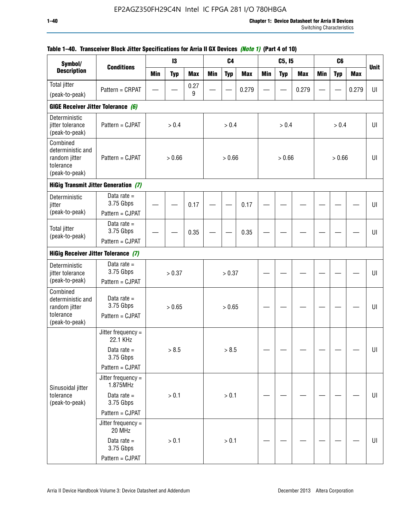| Symbol/                                                                       |                                             |            | 13         |            |            | C <sub>4</sub> |            |            | C5, I5     |            |            | C <sub>6</sub> |            |             |
|-------------------------------------------------------------------------------|---------------------------------------------|------------|------------|------------|------------|----------------|------------|------------|------------|------------|------------|----------------|------------|-------------|
| <b>Description</b>                                                            | <b>Conditions</b>                           | <b>Min</b> | <b>Typ</b> | <b>Max</b> | <b>Min</b> | <b>Typ</b>     | <b>Max</b> | <b>Min</b> | <b>Typ</b> | <b>Max</b> | <b>Min</b> | <b>Typ</b>     | <b>Max</b> | <b>Unit</b> |
| <b>Total jitter</b>                                                           | Pattern = CRPAT                             |            |            | 0.27       |            |                | 0.279      |            |            | 0.279      |            |                | 0.279      | UI          |
| (peak-to-peak)                                                                |                                             |            |            | 9          |            |                |            |            |            |            |            |                |            |             |
| GIGE Receiver Jitter Tolerance (6)                                            |                                             |            |            |            |            |                |            |            |            |            |            |                |            |             |
| Deterministic<br>jitter tolerance<br>(peak-to-peak)                           | Pattern = CJPAT                             |            | > 0.4      |            |            | > 0.4          |            |            | > 0.4      |            |            | > 0.4          |            | UI          |
| Combined<br>deterministic and<br>random jitter<br>tolerance<br>(peak-to-peak) | Pattern = CJPAT                             |            | > 0.66     |            |            | > 0.66         |            |            | > 0.66     |            |            | > 0.66         |            | UI          |
|                                                                               | <b>HiGig Transmit Jitter Generation (7)</b> |            |            |            |            |                |            |            |            |            |            |                |            |             |
| Deterministic<br>jitter                                                       | Data rate $=$<br>3.75 Gbps                  |            |            | 0.17       |            |                | 0.17       |            |            |            |            |                |            | U           |
| (peak-to-peak)                                                                | Pattern = CJPAT                             |            |            |            |            |                |            |            |            |            |            |                |            |             |
| <b>Total jitter</b><br>(peak-to-peak)                                         | Data rate $=$<br>3.75 Gbps                  |            |            | 0.35       |            |                | 0.35       |            |            |            |            |                |            | U           |
|                                                                               | Pattern = CJPAT                             |            |            |            |            |                |            |            |            |            |            |                |            |             |
| <b>HiGig Receiver Jitter Tolerance (7)</b>                                    |                                             |            |            |            |            |                |            |            |            |            |            |                |            |             |
| Deterministic<br>jitter tolerance                                             | Data rate $=$<br>3.75 Gbps                  |            | > 0.37     |            |            | > 0.37         |            |            |            |            |            |                |            | U           |
| (peak-to-peak)                                                                | Pattern = CJPAT                             |            |            |            |            |                |            |            |            |            |            |                |            |             |
| Combined<br>deterministic and<br>random jitter                                | Data rate $=$<br>3.75 Gbps                  |            | > 0.65     |            |            | > 0.65         |            |            |            |            |            |                |            | UI          |
| tolerance<br>(peak-to-peak)                                                   | Pattern = CJPAT                             |            |            |            |            |                |            |            |            |            |            |                |            |             |
|                                                                               | Jitter frequency $=$<br>22.1 KHz            |            |            |            |            |                |            |            |            |            |            |                |            |             |
|                                                                               | Data rate $=$<br>3.75 Gbps                  |            | > 8.5      |            |            | > 8.5          |            |            |            |            |            |                |            | U           |
|                                                                               | Pattern = CJPAT                             |            |            |            |            |                |            |            |            |            |            |                |            |             |
| Sinusoidal jitter                                                             | Jitter frequency $=$<br>1.875MHz            |            |            |            |            |                |            |            |            |            |            |                |            |             |
| tolerance<br>(peak-to-peak)                                                   | Data rate $=$<br>3.75 Gbps                  |            | $> 0.1$    |            |            | > 0.1          |            |            |            |            |            |                |            | UI          |
|                                                                               | Pattern = CJPAT                             |            |            |            |            |                |            |            |            |            |            |                |            |             |
|                                                                               | Jitter frequency =<br>20 MHz                |            |            |            |            |                |            |            |            |            |            |                |            |             |
|                                                                               | Data rate $=$<br>3.75 Gbps                  |            | > 0.1      |            |            | > 0.1          |            |            |            |            |            |                |            | UI          |
|                                                                               | Pattern = CJPAT                             |            |            |            |            |                |            |            |            |            |            |                |            |             |

## **Table 1–40. Transceiver Block Jitter Specifications for Arria II GX Devices** *(Note 1)* **(Part 4 of 10)**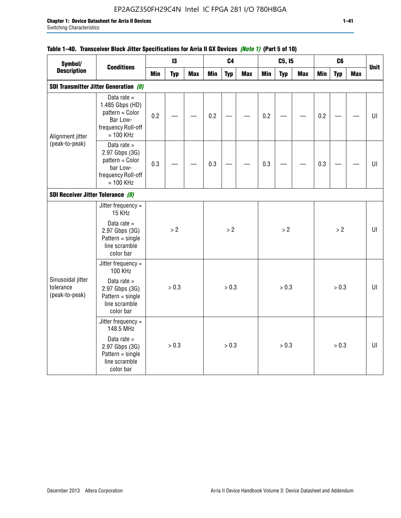# EP2AGZ350FH29C4N Intel IC FPGA 281 I/O 780HBGA

### **Table 1–40. Transceiver Block Jitter Specifications for Arria II GX Devices** *(Note 1)* **(Part 5 of 10)**

| Symbol/<br><b>Description</b>                    |                                                                                                      |     | 13         |            |            | C <sub>4</sub> |            |            | C5, I5     |            |            | C6         |            |             |
|--------------------------------------------------|------------------------------------------------------------------------------------------------------|-----|------------|------------|------------|----------------|------------|------------|------------|------------|------------|------------|------------|-------------|
|                                                  | <b>Conditions</b>                                                                                    | Min | <b>Typ</b> | <b>Max</b> | <b>Min</b> | <b>Typ</b>     | <b>Max</b> | <b>Min</b> | <b>Typ</b> | <b>Max</b> | <b>Min</b> | <b>Typ</b> | <b>Max</b> | <b>Unit</b> |
|                                                  | <b>SDI Transmitter Jitter Generation (8)</b>                                                         |     |            |            |            |                |            |            |            |            |            |            |            |             |
| Alignment jitter                                 | Data rate $=$<br>1.485 Gbps (HD)<br>pattern = Color<br>Bar Low-<br>frequency Roll-off<br>$= 100$ KHz | 0.2 |            |            | 0.2        |                |            | 0.2        |            |            | 0.2        |            |            | UI          |
| (peak-to-peak)                                   | Data rate $=$<br>2.97 Gbps (3G)<br>pattern = Color<br>bar Low-<br>frequency Roll-off<br>$= 100$ KHz  | 0.3 |            |            | 0.3        |                |            | 0.3        |            |            | 0.3        |            |            | UI          |
|                                                  |                                                                                                      |     |            |            |            |                |            |            |            |            |            |            |            |             |
| SDI Receiver Jitter Tolerance (8)                | Jitter frequency =<br>15 KHz                                                                         |     |            |            |            |                |            |            |            |            |            |            |            |             |
|                                                  | Data rate $=$<br>2.97 Gbps (3G)<br>$Pattern = single$<br>line scramble<br>color bar                  |     | > 2        |            |            | > 2            |            |            | >2         |            |            | > 2        |            | U           |
|                                                  | Jitter frequency =<br>100 KHz                                                                        |     |            |            |            |                |            |            |            |            |            |            |            |             |
| Sinusoidal jitter<br>tolerance<br>(peak-to-peak) | Data rate $=$<br>2.97 Gbps (3G)<br>$Pattern = single$<br>line scramble<br>color bar                  |     | > 0.3      |            |            | > 0.3          |            |            | > 0.3      |            |            | > 0.3      |            | U           |
|                                                  | Jitter frequency =<br>148.5 MHz                                                                      |     |            |            |            |                |            |            |            |            |            |            |            |             |
|                                                  | Data rate $=$<br>2.97 Gbps (3G)<br>$Pattern = single$<br>line scramble<br>color bar                  |     | > 0.3      |            |            | > 0.3          |            |            | > 0.3      |            |            | > 0.3      |            | UI          |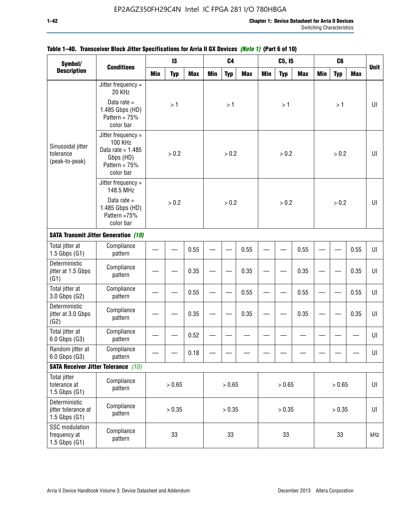| Symbol/                                                  |                                                                                                            |            | 13         |            |     | C <sub>4</sub> |            |            | C5, I5     |            |            | C <sub>6</sub> |            |             |
|----------------------------------------------------------|------------------------------------------------------------------------------------------------------------|------------|------------|------------|-----|----------------|------------|------------|------------|------------|------------|----------------|------------|-------------|
| <b>Description</b>                                       | <b>Conditions</b>                                                                                          | <b>Min</b> | <b>Typ</b> | <b>Max</b> | Min | <b>Typ</b>     | <b>Max</b> | <b>Min</b> | <b>Typ</b> | <b>Max</b> | <b>Min</b> | <b>Typ</b>     | <b>Max</b> | <b>Unit</b> |
|                                                          | Jitter frequency $=$<br>20 KHz                                                                             |            |            |            |     |                |            |            |            |            |            |                |            |             |
|                                                          | Data rate $=$<br>1.485 Gbps (HD)<br>Pattern = $75%$<br>color bar                                           |            | >1         |            |     | >1             |            |            | >1         |            |            | >1             |            | UI          |
| Sinusoidal jitter<br>tolerance<br>(peak-to-peak)         | Jitter frequency $=$<br><b>100 KHz</b><br>Data rate = $1.485$<br>Gbps (HD)<br>Pattern = $75%$<br>color bar |            | > 0.2      |            |     | > 0.2          |            |            | > 0.2      |            |            | > 0.2          |            | UI          |
|                                                          | Jitter frequency $=$<br>148.5 MHz                                                                          |            |            |            |     |                |            |            |            |            |            |                |            |             |
|                                                          | Data rate $=$<br>1.485 Gbps (HD)<br>Pattern = 75%<br>color bar                                             |            | > 0.2      |            |     | > 0.2          |            |            | > 0.2      |            |            | > 0.2          |            | UI          |
|                                                          | <b>SATA Transmit Jitter Generation (10)</b>                                                                | 0.55       |            |            |     |                |            |            |            |            |            |                |            |             |
| Total jitter at<br>$1.5$ Gbps $(G1)$                     | Compliance<br>pattern                                                                                      |            |            |            |     | 0.55           |            |            | 0.55       |            |            | 0.55           | UI         |             |
| Deterministic<br>jitter at 1.5 Gbps<br>(G1)              | Compliance<br>pattern                                                                                      | 0.35       |            |            |     | 0.35           |            |            | 0.35       |            |            | 0.35           | UI         |             |
| Total jitter at<br>3.0 Gbps (G2)                         | Compliance<br>pattern                                                                                      |            |            | 0.55       |     |                | 0.55       |            |            | 0.55       |            |                | 0.55       | UI          |
| Deterministic<br>jitter at 3.0 Gbps<br>(G2)              | Compliance<br>pattern                                                                                      |            |            | 0.35       |     |                | 0.35       |            |            | 0.35       |            |                | 0.35       | UI          |
| Total jitter at<br>6.0 Gbps (G3)                         | Compliance<br>pattern                                                                                      |            |            | 0.52       |     |                |            |            |            |            |            |                |            | UI          |
| Random jitter at<br>6.0 Gbps (G3)                        | Compliance<br>pattern                                                                                      |            |            | 0.18       |     |                |            |            |            |            |            |                |            | UI          |
|                                                          | <b>SATA Receiver Jitter Tolerance</b> (10)                                                                 |            |            |            |     |                |            |            |            |            |            |                |            |             |
| <b>Total jitter</b><br>tolerance at<br>$1.5$ Gbps $(G1)$ | Compliance<br>pattern                                                                                      | > 0.65     |            |            |     | > 0.65         |            |            | > 0.65     |            |            | > 0.65         |            | UI          |
| Deterministic<br>jitter tolerance at<br>1.5 Gbps $(G1)$  | Compliance<br>pattern                                                                                      | > 0.35     |            |            |     | > 0.35         |            |            | > 0.35     |            |            | > 0.35         |            | UI          |
| SSC modulation<br>frequency at<br>$1.5$ Gbps $(G1)$      | Compliance<br>pattern                                                                                      |            | 33         |            |     | 33             |            |            | 33         |            |            | 33             |            | kHz         |

## **Table 1–40. Transceiver Block Jitter Specifications for Arria II GX Devices** *(Note 1)* **(Part 6 of 10)**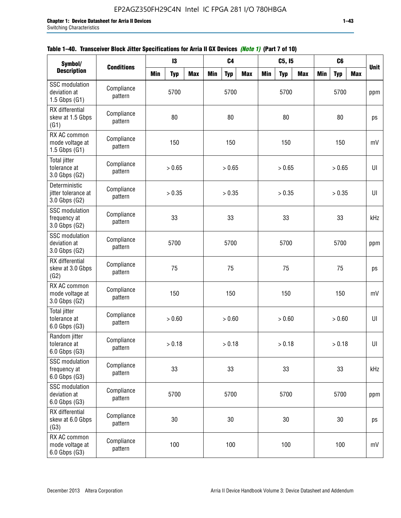| Table 1–40. Transceiver Block Jitter Specifications for Arria II GX Devices (Note 1) (Part 7 of 10) |  |  |
|-----------------------------------------------------------------------------------------------------|--|--|
|                                                                                                     |  |  |

| Symbol/                                                    |                       |            | 13         |            |            | C <sub>4</sub> |            |            | C5, I5     |            |            | C6         |            |             |
|------------------------------------------------------------|-----------------------|------------|------------|------------|------------|----------------|------------|------------|------------|------------|------------|------------|------------|-------------|
| <b>Description</b>                                         | <b>Conditions</b>     | <b>Min</b> | <b>Typ</b> | <b>Max</b> | <b>Min</b> | <b>Typ</b>     | <b>Max</b> | <b>Min</b> | <b>Typ</b> | <b>Max</b> | <b>Min</b> | <b>Typ</b> | <b>Max</b> | <b>Unit</b> |
| <b>SSC</b> modulation<br>deviation at<br>$1.5$ Gbps $(G1)$ | Compliance<br>pattern |            | 5700       |            |            | 5700           |            |            | 5700       |            |            | 5700       |            | ppm         |
| RX differential<br>skew at 1.5 Gbps<br>(G1)                | Compliance<br>pattern |            | 80         |            |            | 80             |            |            | 80         |            |            | 80         |            | ps          |
| RX AC common<br>mode voltage at<br>$1.5$ Gbps $(G1)$       | Compliance<br>pattern |            | 150        |            |            | 150            |            |            | 150        |            |            | 150        |            | mV          |
| <b>Total jitter</b><br>tolerance at<br>3.0 Gbps (G2)       | Compliance<br>pattern |            | > 0.65     |            |            | > 0.65         |            |            | > 0.65     |            |            | > 0.65     |            | $U\vert$    |
| Deterministic<br>jitter tolerance at<br>3.0 Gbps (G2)      | Compliance<br>pattern |            | > 0.35     |            |            | > 0.35         |            |            | > 0.35     |            |            | > 0.35     |            | UI          |
| <b>SSC</b> modulation<br>frequency at<br>3.0 Gbps (G2)     | Compliance<br>pattern |            | 33         |            |            | 33             |            |            | 33         |            |            | 33         |            | kHz         |
| <b>SSC</b> modulation<br>deviation at<br>3.0 Gbps (G2)     | Compliance<br>pattern |            | 5700       |            |            | 5700           |            |            | 5700       |            |            | 5700       |            | ppm         |
| RX differential<br>skew at 3.0 Gbps<br>(G2)                | Compliance<br>pattern |            | 75         |            |            | 75             |            |            | 75         |            |            | 75         |            | ps          |
| RX AC common<br>mode voltage at<br>3.0 Gbps (G2)           | Compliance<br>pattern |            | 150        |            |            | 150            |            |            | 150        |            |            | 150        |            | mV          |
| <b>Total jitter</b><br>tolerance at<br>$6.0$ Gbps $(G3)$   | Compliance<br>pattern |            | > 0.60     |            |            | > 0.60         |            |            | > 0.60     |            |            | > 0.60     |            | U           |
| Random jitter<br>tolerance at<br>$6.0$ Gbps $(G3)$         | Compliance<br>pattern |            | > 0.18     |            |            | > 0.18         |            |            | > 0.18     |            |            | > 0.18     |            | UI          |
| <b>SSC</b> modulation<br>frequency at<br>$6.0$ Gbps $(G3)$ | Compliance<br>pattern |            | 33         |            |            | 33             |            |            | 33         |            |            | 33         |            | kHz         |
| <b>SSC</b> modulation<br>deviation at<br>$6.0$ Gbps $(G3)$ | Compliance<br>pattern | 5700       |            |            |            | 5700           |            |            | 5700       |            |            | 5700       |            | ppm         |
| RX differential<br>skew at 6.0 Gbps<br>(G3)                | Compliance<br>pattern |            | 30         |            |            | 30             |            |            | 30         |            |            | 30         |            | ps          |
| RX AC common<br>mode voltage at<br>6.0 Gbps (G3)           | Compliance<br>pattern |            | 100        |            |            | 100            |            |            | 100        |            |            | 100        |            | mV          |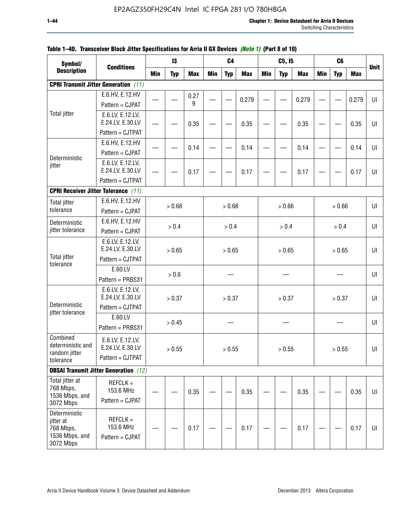| Symbol/                                                                |                                                          |            | 13         |            |            | C <sub>4</sub> |            |            | C5, I5     |            |            | C <sub>6</sub> |            |             |
|------------------------------------------------------------------------|----------------------------------------------------------|------------|------------|------------|------------|----------------|------------|------------|------------|------------|------------|----------------|------------|-------------|
| <b>Description</b>                                                     | <b>Conditions</b>                                        | <b>Min</b> | <b>Typ</b> | <b>Max</b> | <b>Min</b> | <b>Typ</b>     | <b>Max</b> | <b>Min</b> | <b>Typ</b> | <b>Max</b> | <b>Min</b> | <b>Typ</b>     | <b>Max</b> | <b>Unit</b> |
|                                                                        | <b>CPRI Transmit Jitter Generation</b> (11)              |            |            |            |            |                |            |            |            |            |            |                |            |             |
|                                                                        | E.6.HV, E.12.HV<br>Pattern = CJPAT                       |            |            | 0.27<br>9  |            |                | 0.279      |            |            | 0.279      |            |                | 0.279      | UI          |
| <b>Total jitter</b>                                                    | E.6.LV, E.12.LV,<br>E.24.LV, E.30.LV<br>Pattern = CJTPAT |            |            | 0.35       |            |                | 0.35       |            |            | 0.35       |            |                | 0.35       | U           |
| Deterministic                                                          | E.6.HV, E.12.HV<br>Pattern = CJPAT                       |            |            | 0.14       |            |                | 0.14       |            |            | 0.14       |            |                | 0.14       | UI          |
| jitter                                                                 | E.6.LV, E.12.LV,<br>E.24.LV, E.30.LV<br>Pattern = CJTPAT |            |            | 0.17       |            |                | 0.17       |            |            | 0.17       |            |                | 0.17       | UI          |
| <b>CPRI Receiver Jitter Tolerance (11)</b>                             |                                                          |            |            |            |            |                |            |            |            |            |            |                |            |             |
| <b>Total jitter</b><br>tolerance                                       | E.6.HV, E.12.HV<br>Pattern = CJPAT                       |            | > 0.66     |            |            | > 0.66         |            |            | > 0.66     |            |            | > 0.66         |            | U           |
| Deterministic<br>jitter tolerance                                      | E.6.HV, E.12.HV<br>Pattern = CJPAT                       |            | > 0.4      |            |            | > 0.4          |            |            | > 0.4      |            |            | > 0.4          |            | UI          |
| <b>Total jitter</b>                                                    | E.6.LV, E.12.LV,<br>E.24.LV, E.30.LV<br>Pattern = CJTPAT | > 0.65     |            |            |            | > 0.65         |            |            | > 0.65     |            |            | > 0.65         |            | UI          |
| tolerance                                                              | E.60.LV<br>Pattern = PRBS31                              |            | > 0.6      |            |            |                |            |            |            |            |            |                |            | UI          |
| Deterministic                                                          | E.6.LV, E.12.LV,<br>E.24.LV, E.30.LV<br>Pattern = CJTPAT |            | > 0.37     |            |            | > 0.37         |            |            | > 0.37     |            |            | > 0.37         |            | UI          |
| jitter tolerance                                                       | E.60.LV<br>Pattern = PRBS31                              |            | > 0.45     |            |            |                |            |            |            |            |            |                |            | UI          |
| Combined<br>deterministic and<br>random jitter<br>tolerance            | E.6.LV, E.12.LV,<br>E.24.LV, E.30.LV<br>Pattern = CJTPAT |            | $>0.55$    |            |            | > 0.55         |            |            | > 0.55     |            |            | > 0.55         |            | UI          |
|                                                                        | <b>OBSAI Transmit Jitter Generation</b> (12)             |            |            |            |            |                |            |            |            |            |            |                |            |             |
| Total jitter at<br>768 Mbps,<br>1536 Mbps, and<br>3072 Mbps            | $REFCLK =$<br>153.6 MHz<br>Pattern = CJPAT               |            |            | 0.35       |            |                | 0.35       |            |            | 0.35       |            |                | 0.35       | UI          |
| Deterministic<br>jitter at<br>768 Mbps,<br>1536 Mbps, and<br>3072 Mbps | $REFCLK =$<br>153.6 MHz<br>Pattern = CJPAT               |            |            | 0.17       |            |                | 0.17       |            |            | 0.17       |            |                | 0.17       | UI          |

### **Table 1–40. Transceiver Block Jitter Specifications for Arria II GX Devices** *(Note 1)* **(Part 8 of 10)**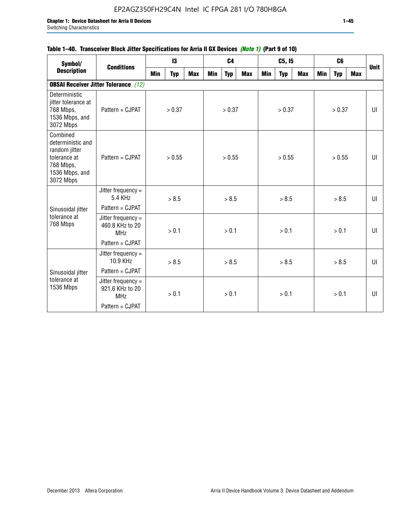## **Table 1–40. Transceiver Block Jitter Specifications for Arria II GX Devices** *(Note 1)* **(Part 9 of 10)**

| Symbol/                                                                                                    | <b>Conditions</b>                                   |     | $\mathbf{13}$ |            |     | C <sub>4</sub> |     |     | C5, I5     |     |     | C <sub>6</sub> |     | <b>Unit</b> |
|------------------------------------------------------------------------------------------------------------|-----------------------------------------------------|-----|---------------|------------|-----|----------------|-----|-----|------------|-----|-----|----------------|-----|-------------|
| <b>Description</b>                                                                                         |                                                     | Min | <b>Typ</b>    | <b>Max</b> | Min | <b>Typ</b>     | Max | Min | <b>Typ</b> | Max | Min | <b>Typ</b>     | Max |             |
|                                                                                                            | <b>OBSAI Receiver Jitter Tolerance</b> (12)         |     |               |            |     |                |     |     |            |     |     |                |     |             |
| Deterministic<br>jitter tolerance at<br>768 Mbps,<br>1536 Mbps, and<br>3072 Mbps                           | Pattern = CJPAT                                     |     | > 0.37        |            |     | > 0.37         |     |     | > 0.37     |     |     | > 0.37         |     | UI          |
| Combined<br>deterministic and<br>random jitter<br>tolerance at<br>768 Mbps,<br>1536 Mbps, and<br>3072 Mbps | Pattern = CJPAT                                     |     | > 0.55        |            |     | > 0.55         |     |     | > 0.55     |     |     | > 0.55         |     | UI          |
|                                                                                                            | Jitter frequency $=$<br>5.4 KHz                     |     | > 8.5         |            |     | > 8.5          |     |     | > 8.5      |     |     | > 8.5          |     | UI          |
| Sinusoidal jitter                                                                                          | Pattern = CJPAT                                     |     |               |            |     |                |     |     |            |     |     |                |     |             |
| tolerance at<br>768 Mbps                                                                                   | Jitter frequency =<br>460.8 KHz to 20<br><b>MHz</b> |     | > 0.1         |            |     | > 0.1          |     |     | > 0.1      |     |     | > 0.1          |     | UI          |
|                                                                                                            | Pattern = CJPAT                                     |     |               |            |     |                |     |     |            |     |     |                |     |             |
|                                                                                                            | Jitter frequency =<br>10.9 KHz                      |     | > 8.5         |            |     | > 8.5          |     |     | > 8.5      |     |     | > 8.5          |     | UI          |
| Sinusoidal jitter                                                                                          | Pattern = CJPAT                                     |     |               |            |     |                |     |     |            |     |     |                |     |             |
| tolerance at<br>1536 Mbps                                                                                  | Jitter frequency =<br>921.6 KHz to 20<br><b>MHz</b> |     | > 0.1         |            |     | > 0.1          |     |     | > 0.1      |     |     | > 0.1          |     | UI          |
|                                                                                                            | Pattern = CJPAT                                     |     |               |            |     |                |     |     |            |     |     |                |     |             |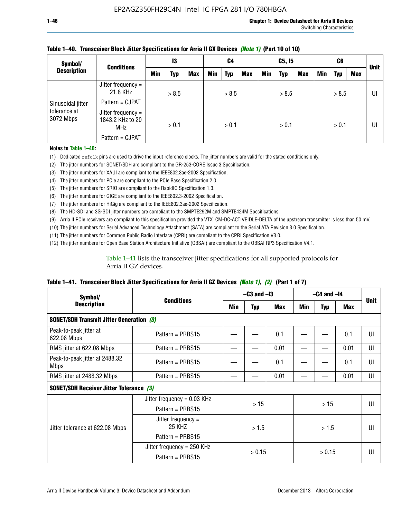| Symbol/                   | <b>Conditions</b>                                                       | 13  |       | C4         |     | C5, I5     |            |            | C6         |     |            | <b>Unit</b> |     |    |
|---------------------------|-------------------------------------------------------------------------|-----|-------|------------|-----|------------|------------|------------|------------|-----|------------|-------------|-----|----|
| <b>Description</b>        |                                                                         | Min | Typ   | <b>Max</b> | Min | <b>Typ</b> | <b>Max</b> | <b>Min</b> | <b>Typ</b> | Max | <b>Min</b> | <b>Typ</b>  | Max |    |
| Sinusoidal jitter         | Jitter frequency =<br>21.8 KHz<br>Pattern = CJPAT                       |     | > 8.5 |            |     | > 8.5      |            |            | > 8.5      |     |            | > 8.5       |     | UI |
| tolerance at<br>3072 Mbps | Jitter frequency =<br>1843.2 KHz to 20<br><b>MHz</b><br>Pattern = CJPAT |     | > 0.1 |            |     | > 0.1      |            |            | > 0.1      |     |            | > 0.1       |     | UI |

### **Table 1–40. Transceiver Block Jitter Specifications for Arria II GX Devices** *(Note 1)* **(Part 10 of 10)**

**Notes to Table 1–40:**

(1) Dedicated refclk pins are used to drive the input reference clocks. The jitter numbers are valid for the stated conditions only.

(2) The jitter numbers for SONET/SDH are compliant to the GR-253-CORE Issue 3 Specification.

(3) The jitter numbers for XAUI are compliant to the IEEE802.3ae-2002 Specification.

(4) The jitter numbers for PCIe are compliant to the PCIe Base Specification 2.0.

(5) The jitter numbers for SRIO are compliant to the RapidIO Specification 1.3.

(6) The jitter numbers for GIGE are compliant to the IEEE802.3-2002 Specification.

(7) The jitter numbers for HiGig are compliant to the IEEE802.3ae-2002 Specification.

(8) The HD-SDI and 3G-SDI jitter numbers are compliant to the SMPTE292M and SMPTE424M Specifications.

(9) Arria II PCIe receivers are compliant to this specification provided the VTX\_CM-DC-ACTIVEIDLE-DELTA of the upstream transmitter is less than 50 mV.

(10) The jitter numbers for Serial Advanced Technology Attachment (SATA) are compliant to the Serial ATA Revision 3.0 Specification.

(11) The jitter numbers for Common Public Radio Interface (CPRI) are compliant to the CPRI Specification V3.0.

(12) The jitter numbers for Open Base Station Architecture Initiative (OBSAI) are compliant to the OBSAI RP3 Specification V4.1.

Table 1–41 lists the transceiver jitter specifications for all supported protocols for Arria II GZ devices.

### **Table 1–41. Transceiver Block Jitter Specifications for Arria II GZ Devices** *(Note 1)***,** *(2)* **(Part 1 of 7)**

| Symbol/                                         |                               | $-$ C3 and $-$ I3 |            |            | $-C4$ and $-I4$ | <b>Unit</b> |            |    |
|-------------------------------------------------|-------------------------------|-------------------|------------|------------|-----------------|-------------|------------|----|
| <b>Description</b>                              | <b>Conditions</b>             | Min               | <b>Typ</b> | <b>Max</b> | Min             | <b>Typ</b>  | <b>Max</b> |    |
| <b>SONET/SDH Transmit Jitter Generation (3)</b> |                               |                   |            |            |                 |             |            |    |
| Peak-to-peak jitter at<br>622.08 Mbps           | Pattern = $PRBS15$            |                   |            | 0.1        |                 |             | 0.1        | UI |
| RMS jitter at 622.08 Mbps                       | Pattern = PRBS15              |                   |            | 0.01       |                 |             | 0.01       | UI |
| Peak-to-peak jitter at 2488.32<br><b>Mbps</b>   | Pattern = $PRBS15$            |                   |            | 0.1        |                 |             | 0.1        | UI |
| RMS jitter at 2488.32 Mbps                      | Pattern = PRBS15              |                   |            | 0.01       |                 |             | 0.01       | UI |
| <b>SONET/SDH Receiver Jitter Tolerance (3)</b>  |                               |                   |            |            |                 |             |            |    |
|                                                 | Jitter frequency = $0.03$ KHz |                   | >15        |            | >15             |             |            | UI |
|                                                 | Pattern = $PRBS15$            |                   |            |            |                 |             |            |    |
| Jitter tolerance at 622.08 Mbps                 | Jitter frequency =<br>25 KHZ  |                   | >1.5       |            | > 1.5           |             |            | UI |
|                                                 | Pattern = $PRBS15$            |                   |            |            |                 |             |            |    |
|                                                 | Jitter frequency = $250$ KHz  |                   | > 0.15     |            |                 | > 0.15      |            | UI |
|                                                 | Pattern = PRBS15              |                   |            |            |                 |             |            |    |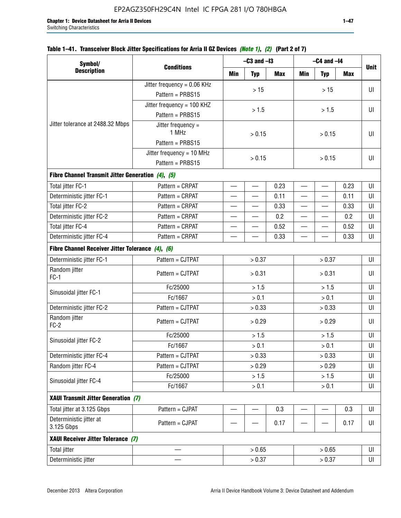|  | Table 1–41. Transceiver Block Jitter Specifications for Arria II GZ Devices <i>(Note 1), (2)</i> (Part 2 of 7) |  |  |
|--|----------------------------------------------------------------------------------------------------------------|--|--|
|  |                                                                                                                |  |  |

| Symbol/                                           |                               |                          | $-C3$ and $-I3$          |      | $-C4$ and $-I4$          |                          |            |             |
|---------------------------------------------------|-------------------------------|--------------------------|--------------------------|------|--------------------------|--------------------------|------------|-------------|
| <b>Description</b>                                | <b>Conditions</b>             | Min                      | <b>Typ</b>               | Max  | Min                      | <b>Typ</b>               | <b>Max</b> | <b>Unit</b> |
|                                                   | Jitter frequency = 0.06 KHz   |                          | $>15$                    |      |                          | >15                      |            | UI          |
|                                                   | Pattern = PRBS15              |                          |                          |      |                          |                          |            |             |
|                                                   | Jitter frequency = 100 KHZ    |                          | > 1.5                    |      |                          | > 1.5                    |            | UI          |
|                                                   | Pattern = PRBS15              |                          |                          |      |                          |                          |            |             |
| Jitter tolerance at 2488.32 Mbps                  | Jitter frequency $=$<br>1 MHz |                          | > 0.15                   |      | > 0.15                   |                          |            | UI          |
|                                                   | Pattern = PRBS15              |                          |                          |      |                          |                          |            |             |
|                                                   | Jitter frequency = $10$ MHz   |                          | > 0.15                   |      |                          | UI                       |            |             |
|                                                   | Pattern = PRBS15              |                          |                          |      |                          | > 0.15                   |            |             |
| Fibre Channel Transmit Jitter Generation (4), (5) |                               |                          |                          |      |                          |                          |            |             |
| Total jitter FC-1                                 | Pattern = CRPAT               | $\overline{\phantom{0}}$ | $\overline{\phantom{0}}$ | 0.23 | $\overline{\phantom{0}}$ | $\overline{\phantom{0}}$ | 0.23       | UI          |
| Deterministic jitter FC-1                         | Pattern = CRPAT               | $\overline{\phantom{0}}$ | —                        | 0.11 | $\overline{\phantom{0}}$ | $\overline{\phantom{0}}$ | 0.11       | UI          |
| Total jitter FC-2                                 | Pattern = CRPAT               | $\overline{\phantom{0}}$ |                          | 0.33 | $\overline{\phantom{0}}$ |                          | 0.33       | UI          |
| Deterministic jitter FC-2                         | Pattern = CRPAT               | —                        | —                        | 0.2  | $\overline{\phantom{0}}$ | —                        | 0.2        | UI          |
| Total jitter FC-4                                 | Pattern = CRPAT               |                          | —                        | 0.52 | $\equiv$                 | $\overline{\phantom{0}}$ | 0.52       | UI          |
| Deterministic jitter FC-4                         | Pattern = CRPAT               |                          |                          | 0.33 |                          |                          | 0.33       | UI          |
| Fibre Channel Receiver Jitter Tolerance (4), (6)  |                               |                          |                          |      |                          |                          |            |             |
| Deterministic jitter FC-1                         | Pattern = CJTPAT              |                          | > 0.37                   |      |                          | > 0.37                   |            | UI          |
| Random jitter<br>$FC-1$                           | Pattern = CJTPAT              |                          | > 0.31                   |      | > 0.31                   |                          |            | UI          |
| Sinusoidal jitter FC-1                            | Fc/25000                      |                          | > 1.5                    |      | > 1.5                    |                          |            | UI          |
|                                                   | Fc/1667                       |                          | > 0.1                    |      | $> 0.1$                  |                          |            | UI          |
| Deterministic jitter FC-2                         | Pattern = CJTPAT              |                          | > 0.33                   |      | > 0.33                   |                          |            | UI          |
| Random jitter<br>$FC-2$                           | Pattern = CJTPAT              |                          | > 0.29                   |      |                          | > 0.29                   |            | UI          |
| Sinusoidal jitter FC-2                            | Fc/25000                      |                          | > 1.5                    |      |                          | > 1.5                    |            | UI          |
|                                                   | Fc/1667                       |                          | > 0.1                    |      |                          | > 0.1                    |            | UI          |
| Deterministic jitter FC-4                         | Pattern = CJTPAT              |                          | > 0.33                   |      |                          | > 0.33                   |            | UI          |
| Random jitter FC-4                                | Pattern = CJTPAT              |                          | > 0.29                   |      |                          | > 0.29                   |            | UI          |
| Sinusoidal jitter FC-4                            | Fc/25000                      |                          | > 1.5                    |      |                          | > 1.5                    |            | UI          |
|                                                   | Fc/1667                       |                          | > 0.1                    |      |                          | $> 0.1$                  |            | UI          |
| XAUI Transmit Jitter Generation (7)               |                               |                          |                          |      |                          |                          |            |             |
| Total jitter at 3.125 Gbps                        | Pattern = CJPAT               | $\overline{\phantom{0}}$ | $\overline{\phantom{0}}$ | 0.3  | $\overline{\phantom{0}}$ | $\overline{\phantom{0}}$ | 0.3        | UI          |
| Deterministic jitter at<br>3.125 Gbps             | Pattern = CJPAT               |                          |                          | 0.17 |                          |                          | 0.17       | UI          |
| XAUI Receiver Jitter Tolerance (7)                |                               |                          |                          |      |                          |                          |            |             |
| <b>Total jitter</b>                               |                               |                          | > 0.65                   |      |                          | > 0.65                   |            | UI          |
| Deterministic jitter                              |                               |                          | > 0.37                   |      |                          | > 0.37                   |            |             |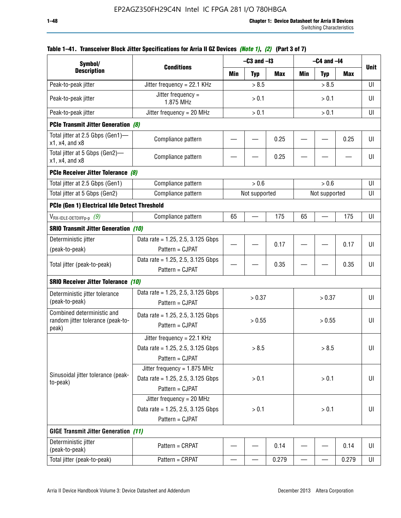| Symbol/                                                                       |                                                                                           |                | $-C3$ and $-I3$ |            | $-C4$ and $-I4$ |               |            |             |  |
|-------------------------------------------------------------------------------|-------------------------------------------------------------------------------------------|----------------|-----------------|------------|-----------------|---------------|------------|-------------|--|
| <b>Description</b>                                                            | <b>Conditions</b>                                                                         | Min            | <b>Typ</b>      | <b>Max</b> | Min             | <b>Typ</b>    | <b>Max</b> | <b>Unit</b> |  |
| Peak-to-peak jitter                                                           | Jitter frequency = 22.1 KHz                                                               |                | > 8.5           |            |                 | > 8.5         |            | UI          |  |
| Peak-to-peak jitter                                                           | Jitter frequency =<br>1.875 MHz                                                           | > 0.1          |                 |            |                 | UI            |            |             |  |
| Peak-to-peak jitter                                                           | Jitter frequency = $20$ MHz                                                               |                | > 0.1           |            |                 | > 0.1         |            |             |  |
| <b>PCIe Transmit Jitter Generation (8)</b>                                    |                                                                                           |                |                 |            |                 |               |            |             |  |
| Total jitter at 2.5 Gbps (Gen1)—<br>$x1$ , $x4$ , and $x8$                    | Compliance pattern                                                                        |                |                 | 0.25       |                 |               | 0.25       | UI          |  |
| Total jitter at 5 Gbps (Gen2)-<br>x1, x4, and x8                              | Compliance pattern                                                                        |                |                 | 0.25       |                 |               |            | UI          |  |
| PCIe Receiver Jitter Tolerance (8)                                            |                                                                                           |                |                 |            |                 |               |            |             |  |
| Total jitter at 2.5 Gbps (Gen1)                                               | Compliance pattern                                                                        |                | > 0.6           |            | > 0.6           |               |            | UI          |  |
| Total jitter at 5 Gbps (Gen2)                                                 | Compliance pattern                                                                        |                | Not supported   |            |                 | Not supported |            | UI          |  |
| PCIe (Gen 1) Electrical Idle Detect Threshold                                 |                                                                                           |                |                 |            |                 |               |            |             |  |
| $V_{\mathsf{RX}\text{-}\mathsf{IDLE}\text{-}\mathsf{DETDIFFp\text{-}p}$ $(9)$ | Compliance pattern                                                                        | 65             |                 | 175        | 65              |               | 175        | UI          |  |
| <b>SRIO Transmit Jitter Generation (10)</b>                                   |                                                                                           |                |                 |            |                 |               |            |             |  |
| Deterministic jitter                                                          | Data rate = 1.25, 2.5, 3.125 Gbps                                                         |                |                 | 0.17       |                 |               | 0.17       | UI          |  |
| (peak-to-peak)                                                                | Pattern = CJPAT                                                                           |                |                 |            |                 |               |            |             |  |
| Total jitter (peak-to-peak)                                                   | Data rate = $1.25$ , 2.5, 3.125 Gbps<br>Pattern = CJPAT                                   |                |                 | 0.35       |                 |               | 0.35       | U           |  |
| <b>SRIO Receiver Jitter Tolerance (10)</b>                                    |                                                                                           |                |                 |            |                 |               |            |             |  |
| Deterministic jitter tolerance<br>(peak-to-peak)                              | Data rate = $1.25$ , 2.5, 3.125 Gbps<br>Pattern = CJPAT                                   |                | > 0.37          |            |                 | > 0.37        |            | UI          |  |
| Combined deterministic and<br>random jitter tolerance (peak-to-<br>peak)      | Data rate = $1.25$ , 2.5, 3.125 Gbps<br>Pattern = CJPAT                                   |                | > 0.55          |            |                 | > 0.55        |            | UI          |  |
|                                                                               | Jitter frequency = 22.1 KHz<br>Data rate = $1.25$ , 2.5, 3.125 Gbps<br>Pattern = CJPAT    |                | > 8.5           |            |                 | > 8.5         |            | UI          |  |
| Sinusoidal jitter tolerance (peak-<br>to-peak)                                | Jitter frequency = $1.875$ MHz<br>Data rate = $1.25$ , 2.5, 3.125 Gbps<br>Pattern = CJPAT |                | > 0.1           |            |                 | > 0.1         |            | UI          |  |
|                                                                               | Jitter frequency = $20$ MHz<br>Data rate = 1.25, 2.5, 3.125 Gbps<br>Pattern = CJPAT       | > 0.1<br>> 0.1 |                 |            |                 | UI            |            |             |  |
| <b>GIGE Transmit Jitter Generation (11)</b>                                   |                                                                                           |                |                 |            |                 |               |            |             |  |
| Deterministic jitter<br>(peak-to-peak)                                        | Pattern = CRPAT                                                                           |                |                 | 0.14       |                 |               | 0.14       | UI          |  |
| Total jitter (peak-to-peak)                                                   | Pattern = CRPAT                                                                           |                |                 | 0.279      | —               |               | 0.279      | UI          |  |

## **Table 1–41. Transceiver Block Jitter Specifications for Arria II GZ Devices** *(Note 1)***,** *(2)* **(Part 3 of 7)**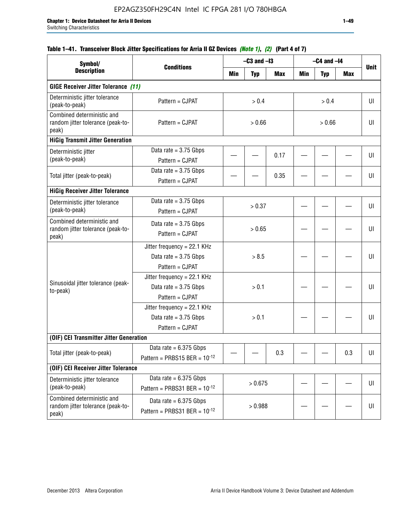## **Table 1–41. Transceiver Block Jitter Specifications for Arria II GZ Devices** *(Note 1)***,** *(2)* **(Part 4 of 7)**

| Symbol/                                                                  |                                                                             |        | $-C3$ and $-I3$ |            |        | $-C4$ and $-I4$ |     |             |
|--------------------------------------------------------------------------|-----------------------------------------------------------------------------|--------|-----------------|------------|--------|-----------------|-----|-------------|
| <b>Description</b>                                                       | <b>Conditions</b>                                                           | Min    | <b>Typ</b>      | <b>Max</b> | Min    | <b>Typ</b>      | Max | <b>Unit</b> |
| <b>GIGE Receiver Jitter Tolerance (11)</b>                               |                                                                             |        |                 |            |        |                 |     |             |
| Deterministic jitter tolerance<br>(peak-to-peak)                         | Pattern = CJPAT                                                             |        | > 0.4           |            |        | > 0.4           |     | UI          |
| Combined deterministic and<br>random jitter tolerance (peak-to-<br>peak) | Pattern = CJPAT                                                             | > 0.66 |                 |            | > 0.66 |                 |     | UI          |
| <b>HiGig Transmit Jitter Generation</b>                                  |                                                                             |        |                 |            |        |                 |     |             |
| Deterministic jitter<br>(peak-to-peak)                                   | Data rate = $3.75$ Gbps<br>Pattern = CJPAT                                  |        |                 | 0.17       |        |                 |     | UI          |
| Total jitter (peak-to-peak)                                              | Data rate = $3.75$ Gbps<br>Pattern = CJPAT                                  |        |                 | 0.35       |        |                 |     | UI          |
| <b>HiGig Receiver Jitter Tolerance</b>                                   |                                                                             |        |                 |            |        |                 |     |             |
| Deterministic jitter tolerance<br>(peak-to-peak)                         | Data rate = $3.75$ Gbps<br>Pattern = CJPAT                                  |        | > 0.37          |            |        |                 |     | UI          |
| Combined deterministic and<br>random jitter tolerance (peak-to-<br>peak) | Data rate = $3.75$ Gbps<br>Pattern = CJPAT                                  |        | > 0.65          |            |        |                 |     | UI          |
|                                                                          | Jitter frequency = 22.1 KHz<br>Data rate = $3.75$ Gbps<br>Pattern = CJPAT   | > 8.5  |                 |            |        |                 | UI  |             |
| Sinusoidal jitter tolerance (peak-<br>to-peak)                           | Jitter frequency = $22.1$ KHz<br>Data rate = $3.75$ Gbps<br>Pattern = CJPAT |        | > 0.1           |            |        |                 |     | UI          |
|                                                                          | Jitter frequency = 22.1 KHz<br>Data rate = $3.75$ Gbps<br>Pattern = CJPAT   |        | > 0.1           |            |        |                 |     | UI          |
| (OIF) CEI Transmitter Jitter Generation                                  |                                                                             |        |                 |            |        |                 |     |             |
| Total jitter (peak-to-peak)                                              | Data rate = $6.375$ Gbps<br>Pattern = PRBS15 BER = $10^{-12}$               |        |                 | 0.3        |        |                 | 0.3 | UI          |
| (OIF) CEI Receiver Jitter Tolerance                                      |                                                                             |        |                 |            |        |                 |     |             |
| Deterministic jitter tolerance<br>(peak-to-peak)                         | Data rate = $6.375$ Gbps<br>Pattern = PRBS31 BER = $10^{-12}$               |        | > 0.675         |            |        |                 |     | U           |
| Combined deterministic and<br>random jitter tolerance (peak-to-<br>peak) | Data rate = $6.375$ Gbps<br>Pattern = PRBS31 BER = $10^{-12}$               |        | > 0.988         |            |        |                 |     | U           |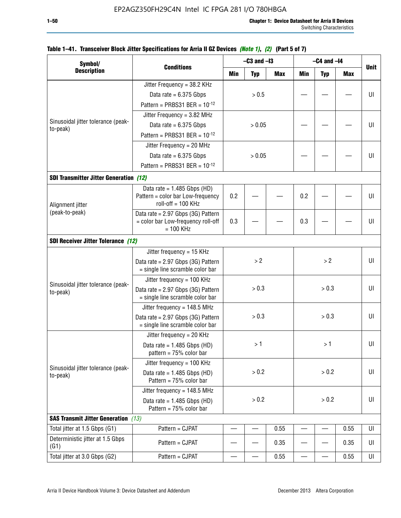| Symbol/                                        |                                                                          |       | $-C3$ and $-I3$ |       | $-C4$ and $-I4$ |            |            |             |
|------------------------------------------------|--------------------------------------------------------------------------|-------|-----------------|-------|-----------------|------------|------------|-------------|
| <b>Description</b>                             | <b>Conditions</b>                                                        | Min   | <b>Typ</b>      | Max   | <b>Min</b>      | <b>Typ</b> | <b>Max</b> | <b>Unit</b> |
|                                                | Jitter Frequency = 38.2 KHz                                              |       |                 |       |                 |            |            |             |
|                                                | Data rate = $6.375$ Gbps                                                 |       | > 0.5           |       |                 |            |            | U           |
|                                                | Pattern = PRBS31 BER = $10^{-12}$                                        |       |                 |       |                 |            |            |             |
|                                                | Jitter Frequency = 3.82 MHz                                              |       |                 |       |                 |            |            |             |
| Sinusoidal jitter tolerance (peak-             | Data rate = $6.375$ Gbps                                                 |       | > 0.05          |       |                 |            |            | U           |
| to-peak)                                       | Pattern = PRBS31 BER = $10^{-12}$                                        |       |                 |       |                 |            |            |             |
|                                                | Jitter Frequency = 20 MHz                                                |       |                 |       |                 |            |            |             |
|                                                | Data rate = $6.375$ Gbps                                                 |       | > 0.05          |       |                 |            |            | U           |
|                                                | Pattern = PRBS31 BER = $10^{-12}$                                        |       |                 |       |                 |            |            |             |
| <b>SDI Transmitter Jitter Generation (12)</b>  |                                                                          |       |                 |       |                 |            |            |             |
|                                                | Data rate = $1.485$ Gbps (HD)                                            |       |                 |       |                 |            |            |             |
|                                                | Pattern = color bar Low-frequency                                        | 0.2   |                 |       | 0.2             |            |            | U           |
| Alignment jitter                               | $roll-off = 100 KHz$                                                     |       |                 |       |                 |            |            |             |
| (peak-to-peak)                                 | Data rate = 2.97 Gbps (3G) Pattern<br>= color bar Low-frequency roll-off | 0.3   |                 |       | 0.3             |            |            | U           |
|                                                | $= 100$ KHz                                                              |       |                 |       |                 |            |            |             |
| SDI Receiver Jitter Tolerance (12)             |                                                                          |       |                 |       |                 |            |            |             |
|                                                | Jitter frequency = 15 KHz                                                |       |                 |       |                 |            |            |             |
|                                                | Data rate = 2.97 Gbps (3G) Pattern                                       |       | >2              |       |                 | >2         |            | U           |
|                                                | = single line scramble color bar                                         |       |                 |       |                 |            |            |             |
| Sinusoidal jitter tolerance (peak-             | Jitter frequency = $100$ KHz                                             |       |                 |       |                 |            |            |             |
| to-peak)                                       | Data rate = 2.97 Gbps (3G) Pattern                                       |       | > 0.3           |       |                 | > 0.3      |            | U           |
|                                                | = single line scramble color bar                                         |       |                 |       |                 |            |            |             |
|                                                | Jitter frequency = 148.5 MHz                                             |       |                 |       |                 |            |            |             |
|                                                | Data rate = 2.97 Gbps (3G) Pattern<br>= single line scramble color bar   |       | > 0.3           |       |                 | > 0.3      |            | U           |
|                                                | Jitter frequency = $20$ KHz                                              |       |                 |       |                 |            |            |             |
|                                                | Data rate = $1.485$ Gbps (HD)                                            |       | >1              |       |                 | >1         |            | UI          |
|                                                | pattern = $75%$ color bar                                                |       |                 |       |                 |            |            |             |
|                                                | Jitter frequency = 100 KHz                                               |       |                 |       |                 |            |            |             |
| Sinusoidal jitter tolerance (peak-<br>to-peak) | Data rate = $1.485$ Gbps (HD)                                            |       | > 0.2           |       |                 | > 0.2      |            | U           |
|                                                | Pattern = $75%$ color bar                                                |       |                 |       |                 |            |            |             |
|                                                | Jitter frequency = 148.5 MHz                                             |       |                 |       |                 |            |            |             |
|                                                | Data rate = $1.485$ Gbps (HD)<br>Pattern = 75% color bar                 | > 0.2 |                 | > 0.2 |                 |            | U          |             |
| <b>SAS Transmit Jitter Generation</b> (13)     |                                                                          |       |                 |       |                 |            |            |             |
| Total jitter at 1.5 Gbps (G1)                  | Pattern = CJPAT                                                          |       |                 | 0.55  |                 | —          | 0.55       | UI          |
| Deterministic jitter at 1.5 Gbps<br>(G1)       | Pattern = CJPAT                                                          |       |                 | 0.35  |                 |            | 0.35       | UI          |
| Total jitter at 3.0 Gbps (G2)                  | Pattern = CJPAT                                                          |       |                 | 0.55  |                 |            | 0.55       | UI          |

## **Table 1–41. Transceiver Block Jitter Specifications for Arria II GZ Devices** *(Note 1)***,** *(2)* **(Part 5 of 7)**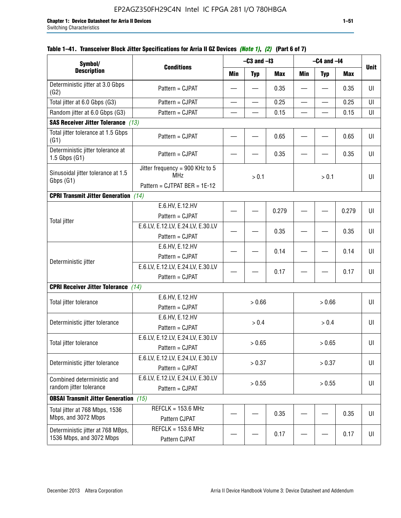| Symbol/                                                                                                                                                                                                                                                                                                                          |                                                                                                                                                                                                                                                                                                      |                          | $-C3$ and $-I3$                               |            |                                               | $-C4$ and $-I4$          |            |                            |
|----------------------------------------------------------------------------------------------------------------------------------------------------------------------------------------------------------------------------------------------------------------------------------------------------------------------------------|------------------------------------------------------------------------------------------------------------------------------------------------------------------------------------------------------------------------------------------------------------------------------------------------------|--------------------------|-----------------------------------------------|------------|-----------------------------------------------|--------------------------|------------|----------------------------|
| <b>Description</b>                                                                                                                                                                                                                                                                                                               | <b>Conditions</b>                                                                                                                                                                                                                                                                                    | <b>Min</b>               | <b>Typ</b>                                    | <b>Max</b> | <b>Min</b>                                    | <b>Typ</b>               | <b>Max</b> | <b>Unit</b>                |
| Deterministic jitter at 3.0 Gbps<br>(G2)                                                                                                                                                                                                                                                                                         | Pattern = CJPAT                                                                                                                                                                                                                                                                                      |                          |                                               | 0.35       |                                               |                          | 0.35       | UI                         |
| Total jitter at 6.0 Gbps (G3)                                                                                                                                                                                                                                                                                                    | Pattern = CJPAT                                                                                                                                                                                                                                                                                      | $\overline{\phantom{0}}$ | $\overline{\phantom{0}}$                      | 0.25       | $\overline{\phantom{0}}$                      | $\overline{\phantom{0}}$ | 0.25       | UI                         |
| Random jitter at 6.0 Gbps (G3)                                                                                                                                                                                                                                                                                                   | Pattern = CJPAT                                                                                                                                                                                                                                                                                      |                          |                                               | 0.15       |                                               |                          | 0.15       | UI                         |
| <b>SAS Receiver Jitter Tolerance</b> (13)                                                                                                                                                                                                                                                                                        |                                                                                                                                                                                                                                                                                                      |                          |                                               |            |                                               |                          |            |                            |
| Total jitter tolerance at 1.5 Gbps<br>(G1)                                                                                                                                                                                                                                                                                       | Pattern = CJPAT                                                                                                                                                                                                                                                                                      |                          |                                               | 0.65       |                                               |                          | 0.65       | UI                         |
| Deterministic jitter tolerance at<br>$1.5$ Gbps $(G1)$                                                                                                                                                                                                                                                                           | Pattern = CJPAT                                                                                                                                                                                                                                                                                      |                          |                                               | 0.35       |                                               |                          | 0.35       | UI                         |
| Sinusoidal jitter tolerance at 1.5<br>Gbps (G1)                                                                                                                                                                                                                                                                                  | Jitter frequency = 900 KHz to 5<br><b>MHz</b>                                                                                                                                                                                                                                                        |                          | > 0.1                                         |            |                                               | > 0.1                    |            | UI                         |
|                                                                                                                                                                                                                                                                                                                                  | Pattern = CJTPAT BER = 1E-12                                                                                                                                                                                                                                                                         |                          |                                               |            |                                               |                          |            |                            |
| <b>CPRI Transmit Jitter Generation</b> (14)                                                                                                                                                                                                                                                                                      |                                                                                                                                                                                                                                                                                                      |                          |                                               |            |                                               |                          |            |                            |
|                                                                                                                                                                                                                                                                                                                                  | E.6.HV, E.12.HV                                                                                                                                                                                                                                                                                      |                          |                                               | 0.279      |                                               |                          | 0.279      | UI                         |
| <b>Total jitter</b>                                                                                                                                                                                                                                                                                                              | Pattern = CJPAT                                                                                                                                                                                                                                                                                      |                          |                                               |            |                                               |                          |            |                            |
|                                                                                                                                                                                                                                                                                                                                  | E.6.LV, E.12.LV, E.24.LV, E.30.LV                                                                                                                                                                                                                                                                    |                          |                                               | 0.35       |                                               |                          | 0.35       | UI                         |
|                                                                                                                                                                                                                                                                                                                                  | Pattern = CJPAT<br>E.6.HV, E.12.HV                                                                                                                                                                                                                                                                   |                          |                                               |            |                                               |                          |            |                            |
|                                                                                                                                                                                                                                                                                                                                  |                                                                                                                                                                                                                                                                                                      |                          |                                               | 0.14       |                                               |                          | 0.14       | UI                         |
| Deterministic jitter                                                                                                                                                                                                                                                                                                             |                                                                                                                                                                                                                                                                                                      |                          |                                               |            |                                               |                          |            |                            |
|                                                                                                                                                                                                                                                                                                                                  |                                                                                                                                                                                                                                                                                                      |                          |                                               | 0.17       |                                               |                          | 0.17       | UI                         |
|                                                                                                                                                                                                                                                                                                                                  |                                                                                                                                                                                                                                                                                                      |                          |                                               |            |                                               |                          |            |                            |
|                                                                                                                                                                                                                                                                                                                                  |                                                                                                                                                                                                                                                                                                      |                          |                                               |            |                                               |                          |            |                            |
|                                                                                                                                                                                                                                                                                                                                  | Pattern = CJPAT                                                                                                                                                                                                                                                                                      |                          |                                               |            |                                               |                          |            |                            |
|                                                                                                                                                                                                                                                                                                                                  | E.6.HV, E.12.HV                                                                                                                                                                                                                                                                                      |                          |                                               |            |                                               |                          |            |                            |
|                                                                                                                                                                                                                                                                                                                                  | Pattern = CJPAT                                                                                                                                                                                                                                                                                      |                          |                                               |            |                                               |                          |            |                            |
|                                                                                                                                                                                                                                                                                                                                  | E.6.LV, E.12.LV, E.24.LV, E.30.LV                                                                                                                                                                                                                                                                    |                          |                                               |            |                                               |                          |            |                            |
|                                                                                                                                                                                                                                                                                                                                  | Pattern = CJPAT                                                                                                                                                                                                                                                                                      |                          |                                               |            |                                               |                          |            |                            |
|                                                                                                                                                                                                                                                                                                                                  |                                                                                                                                                                                                                                                                                                      |                          |                                               |            |                                               |                          |            |                            |
|                                                                                                                                                                                                                                                                                                                                  |                                                                                                                                                                                                                                                                                                      |                          |                                               |            |                                               |                          |            |                            |
| Combined deterministic and                                                                                                                                                                                                                                                                                                       |                                                                                                                                                                                                                                                                                                      |                          |                                               |            |                                               |                          |            |                            |
|                                                                                                                                                                                                                                                                                                                                  |                                                                                                                                                                                                                                                                                                      |                          |                                               |            |                                               |                          |            |                            |
|                                                                                                                                                                                                                                                                                                                                  |                                                                                                                                                                                                                                                                                                      |                          |                                               |            |                                               |                          |            |                            |
| Total jitter at 768 Mbps, 1536                                                                                                                                                                                                                                                                                                   |                                                                                                                                                                                                                                                                                                      |                          |                                               | 0.35       |                                               |                          | 0.35       | UI                         |
|                                                                                                                                                                                                                                                                                                                                  |                                                                                                                                                                                                                                                                                                      |                          |                                               |            |                                               |                          |            |                            |
|                                                                                                                                                                                                                                                                                                                                  |                                                                                                                                                                                                                                                                                                      |                          |                                               | 0.17       |                                               |                          | 0.17       | UI                         |
| <b>CPRI Receiver Jitter Tolerance</b><br>Total jitter tolerance<br>Deterministic jitter tolerance<br>Total jitter tolerance<br>Deterministic jitter tolerance<br>random jitter tolerance<br><b>OBSAI Transmit Jitter Generation</b> (15)<br>Mbps, and 3072 Mbps<br>Deterministic jitter at 768 MBps,<br>1536 Mbps, and 3072 Mbps | Pattern = CJPAT<br>E.6.LV, E.12.LV, E.24.LV, E.30.LV<br>Pattern = CJPAT<br>(14)<br>E.6.HV, E.12.HV<br>E.6.LV, E.12.LV, E.24.LV, E.30.LV<br>Pattern = CJPAT<br>E.6.LV, E.12.LV, E.24.LV, E.30.LV<br>Pattern = CJPAT<br>$REFCLK = 153.6 MHz$<br>Pattern CJPAT<br>$REFCLK = 153.6 MHz$<br>Pattern CJPAT |                          | > 0.66<br>> 0.4<br>> 0.65<br>> 0.37<br>> 0.55 |            | > 0.66<br>> 0.4<br>> 0.65<br>> 0.37<br>> 0.55 |                          |            | UI<br>UI<br>UI<br>UI<br>UI |

## **Table 1–41. Transceiver Block Jitter Specifications for Arria II GZ Devices** *(Note 1)***,** *(2)* **(Part 6 of 7)**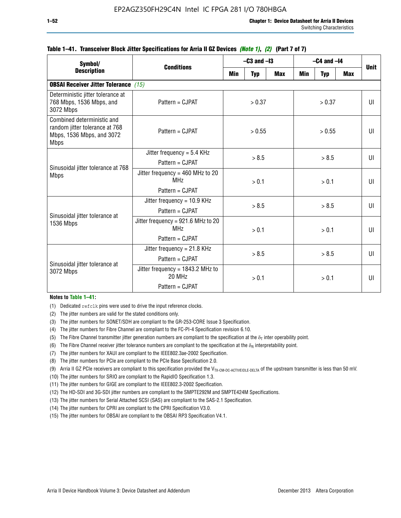| Symbol/                                                                                                  |                                                                          | $-C3$ and $-I3$ |            |            | $-C4$ and $-I4$ | <b>Unit</b> |            |              |
|----------------------------------------------------------------------------------------------------------|--------------------------------------------------------------------------|-----------------|------------|------------|-----------------|-------------|------------|--------------|
| <b>Description</b>                                                                                       | <b>Conditions</b>                                                        | Min             | <b>Typ</b> | <b>Max</b> | <b>Min</b>      | <b>Typ</b>  | <b>Max</b> |              |
| <b>OBSAI Receiver Jitter Tolerance</b> (15)                                                              |                                                                          |                 |            |            |                 |             |            |              |
| Deterministic jitter tolerance at<br>768 Mbps, 1536 Mbps, and<br>3072 Mbps                               | Pattern = CJPAT                                                          | > 0.37          |            | > 0.37     |                 |             | UI         |              |
| Combined deterministic and<br>random jitter tolerance at 768<br>Mbps, 1536 Mbps, and 3072<br><b>Mbps</b> | $Pattern = CJPATH$                                                       | > 0.55          |            |            | > 0.55          |             |            | UI           |
| Sinusoidal jitter tolerance at 768<br><b>Mbps</b>                                                        | Jitter frequency = $5.4$ KHz<br>Pattern = CJPAT                          | > 8.5           |            | > 8.5      |                 |             | UI         |              |
|                                                                                                          | Jitter frequency = $460$ MHz to 20<br>MH <sub>7</sub><br>Pattern = CJPAT |                 | > 0.1      |            |                 | > 0.1       |            | UI           |
| Sinusoidal jitter tolerance at                                                                           | Jitter frequency = $10.9$ KHz<br>Pattern = CJPAT                         | > 8.5           |            |            | > 8.5           |             |            | UI           |
| 1536 Mbps                                                                                                | Jitter frequency = 921.6 MHz to 20<br>MH <sub>7</sub><br>Pattern = CJPAT |                 | > 0.1      |            | > 0.1           |             |            | $\mathbf{U}$ |
| Sinusoidal jitter tolerance at                                                                           | Jitter frequency = $21.8$ KHz<br>$Pattern = C.IPATH$                     |                 | > 8.5      |            | > 8.5           |             |            | $\mathbf{U}$ |
| 3072 Mbps                                                                                                | Jitter frequency = $1843.2$ MHz to<br>20 MHz<br>Pattern = CJPAT          | > 0.1           |            | > 0.1      |                 | UI          |            |              |

### **Table 1–41. Transceiver Block Jitter Specifications for Arria II GZ Devices** *(Note 1)***,** *(2)* **(Part 7 of 7)**

#### **Notes to Table 1–41:**

(1) Dedicated refclk pins were used to drive the input reference clocks.

- (2) The jitter numbers are valid for the stated conditions only.
- (3) The jitter numbers for SONET/SDH are compliant to the GR-253-CORE Issue 3 Specification.
- (4) The jitter numbers for Fibre Channel are compliant to the FC-PI-4 Specification revision 6.10.
- (5) The Fibre Channel transmitter jitter generation numbers are compliant to the specification at the  $\delta_T$  inter operability point.
- (6) The Fibre Channel receiver jitter tolerance numbers are compliant to the specification at the  $\delta_R$  interpretability point.
- (7) The jitter numbers for XAUI are compliant to the IEEE802.3ae-2002 Specification.
- (8) The jitter numbers for PCIe are compliant to the PCIe Base Specification 2.0.
- (9) Arria II GZ PCIe receivers are compliant to this specification provided the V<sub>TX-CM-DC-ACTIVEIDLE-DELTA</sub> of the upstream transmitter is less than 50 mV.
- (10) The jitter numbers for SRIO are compliant to the RapidIO Specification 1.3.
- (11) The jitter numbers for GIGE are compliant to the IEEE802.3-2002 Specification.
- (12) The HD-SDI and 3G-SDI jitter numbers are compliant to the SMPTE292M and SMPTE424M Specifications.
- (13) The jitter numbers for Serial Attached SCSI (SAS) are compliant to the SAS-2.1 Specification.
- (14) The jitter numbers for CPRI are compliant to the CPRI Specification V3.0.
- (15) The jitter numbers for OBSAI are compliant to the OBSAI RP3 Specification V4.1.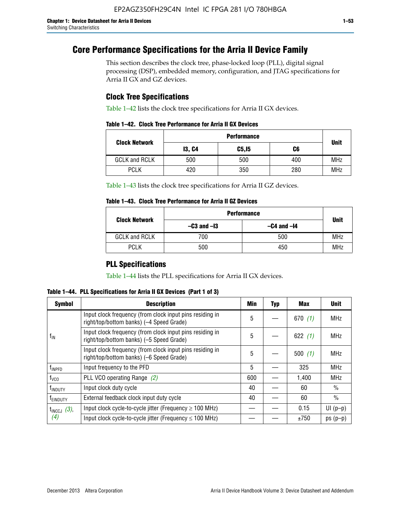# **Core Performance Specifications for the Arria II Device Family**

This section describes the clock tree, phase-locked loop (PLL), digital signal processing (DSP), embedded memory, configuration, and JTAG specifications for Arria II GX and GZ devices.

## **Clock Tree Specifications**

Table 1–42 lists the clock tree specifications for Arria II GX devices.

|                      | <b>Performance</b> |        |     |             |  |  |
|----------------------|--------------------|--------|-----|-------------|--|--|
| <b>Clock Network</b> | <b>13, C4</b>      | C5, I5 | C6  | <b>Unit</b> |  |  |
| <b>GCLK and RCLK</b> | 500                | 500    | 400 | <b>MHz</b>  |  |  |
| <b>PCLK</b>          | 420                | 350    | 280 | <b>MHz</b>  |  |  |

Table 1–43 lists the clock tree specifications for Arria II GZ devices.

### **Table 1–43. Clock Tree Performance for Arria II GZ Devices**

| <b>Clock Network</b> | <b>Performance</b> |                 |             |  |  |  |  |
|----------------------|--------------------|-----------------|-------------|--|--|--|--|
|                      | $-C3$ and $-I3$    | $-C4$ and $-I4$ | <b>Unit</b> |  |  |  |  |
| <b>GCLK and RCLK</b> | 700                | 500             | <b>MHz</b>  |  |  |  |  |
| <b>PCLK</b>          | 500                | 450             | <b>MHz</b>  |  |  |  |  |

## **PLL Specifications**

Table 1–44 lists the PLL specifications for Arria II GX devices.

**Table 1–44. PLL Specifications for Arria II GX Devices (Part 1 of 3)**

| <b>Symbol</b>           | <b>Description</b>                                                                                   | Min | <b>Typ</b> | Max       | <b>Unit</b>   |
|-------------------------|------------------------------------------------------------------------------------------------------|-----|------------|-----------|---------------|
|                         | Input clock frequency (from clock input pins residing in<br>right/top/bottom banks) (-4 Speed Grade) | 5   |            | 670(1)    | <b>MHz</b>    |
| $f_{\text{IN}}$         | Input clock frequency (from clock input pins residing in<br>right/top/bottom banks) (-5 Speed Grade) |     |            | 622 $(1)$ | <b>MHz</b>    |
|                         | Input clock frequency (from clock input pins residing in<br>right/top/bottom banks) (-6 Speed Grade) | 5   |            | 500(1)    | <b>MHz</b>    |
| f <sub>INPFD</sub>      | Input frequency to the PFD                                                                           | 5   |            | 325       | <b>MHz</b>    |
| $f_{\rm VCO}$           | PLL VCO operating Range (2)                                                                          | 600 |            | 1,400     | <b>MHz</b>    |
| <sup>t</sup> INDUTY     | Input clock duty cycle                                                                               | 40  |            | 60        | $\frac{0}{0}$ |
| f <sub>EINDUTY</sub>    | External feedback clock input duty cycle                                                             |     |            | 60        | $\frac{0}{0}$ |
| $t_{\text{INCCJ}}$ (3), | Input clock cycle-to-cycle jitter (Frequency $\geq$ 100 MHz)                                         |     |            | 0.15      | $UI(p-p)$     |
| (4)                     | Input clock cycle-to-cycle jitter (Frequency $\leq 100$ MHz)                                         |     |            | ±750      | $ps(p-p)$     |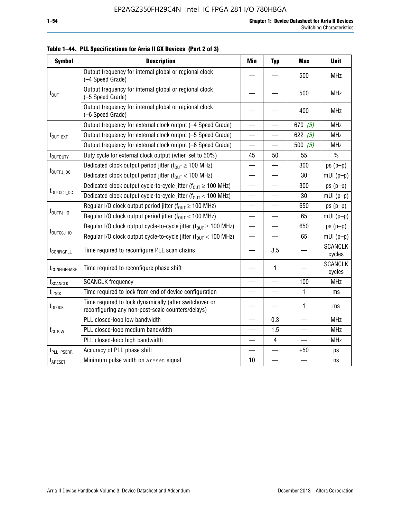| <b>Symbol</b>               | <b>Description</b>                                                                                          | <b>Min</b>               | <b>Typ</b>               | <b>Max</b> | <b>Unit</b>              |
|-----------------------------|-------------------------------------------------------------------------------------------------------------|--------------------------|--------------------------|------------|--------------------------|
|                             | Output frequency for internal global or regional clock<br>(-4 Speed Grade)                                  |                          |                          | 500        | <b>MHz</b>               |
| $f_{\text{OUT}}$            | Output frequency for internal global or regional clock<br>(-5 Speed Grade)                                  |                          |                          | 500        | <b>MHz</b>               |
|                             | Output frequency for internal global or regional clock<br>(-6 Speed Grade)                                  |                          |                          | 400        | <b>MHz</b>               |
|                             | Output frequency for external clock output (-4 Speed Grade)                                                 |                          |                          | 670 $(5)$  | MHz                      |
| $f_{\text{OUT\_EXT}}$       | Output frequency for external clock output (-5 Speed Grade)                                                 |                          |                          | 622 $(5)$  | <b>MHz</b>               |
|                             | Output frequency for external clock output (-6 Speed Grade)                                                 | $\overline{\phantom{0}}$ |                          | 500 $(5)$  | <b>MHz</b>               |
| t <sub>outduty</sub>        | Duty cycle for external clock output (when set to 50%)                                                      | 45                       | 50                       | 55         | $\%$                     |
|                             | Dedicated clock output period jitter ( $f_{OIII} \ge 100$ MHz)                                              |                          |                          | 300        | $ps(p-p)$                |
| t <sub>outpj_dc</sub>       | Dedicated clock output period jitter ( $f_{OUT}$ < 100 MHz)                                                 |                          |                          | 30         | $mUI(p-p)$               |
|                             | Dedicated clock output cycle-to-cycle jitter ( $f_{OUT} \ge 100$ MHz)                                       |                          |                          | 300        | $ps(p-p)$                |
|                             | t <sub>outccj_dc</sub><br>Dedicated clock output cycle-to-cycle jitter ( $f_{OUT}$ < 100 MHz)               |                          |                          | 30         | $mUI(p-p)$               |
|                             | Regular I/O clock output period jitter ( $f_{OUT} \ge 100$ MHz)                                             |                          |                          | 650        | $ps(p-p)$                |
| $f_{\text{OUTPJ\_10}}$      | Regular I/O clock output period jitter ( $f_{OUT}$ < 100 MHz)                                               |                          |                          | 65         | $mUI(p-p)$               |
|                             | Regular I/O clock output cycle-to-cycle jitter ( $f_{OUT} \ge 100$ MHz)                                     |                          | $\overline{\phantom{0}}$ | 650        | $ps(p-p)$                |
| f <sub>outccj_io</sub>      | Regular I/O clock output cycle-to-cycle jitter ( $f_{OUT}$ < 100 MHz)                                       |                          |                          | 65         | $mUI(p-p)$               |
| t <sub>configpll</sub>      | Time required to reconfigure PLL scan chains                                                                |                          | 3.5                      |            | <b>SCANCLK</b><br>cycles |
| t <sub>configphase</sub>    | Time required to reconfigure phase shift                                                                    |                          | 1                        |            | <b>SCANCLK</b><br>cycles |
| <b>f</b> <sub>SCANCLK</sub> | <b>SCANCLK</b> frequency                                                                                    |                          |                          | 100        | <b>MHz</b>               |
| $t_{\rm LOCK}$              | Time required to lock from end of device configuration                                                      |                          |                          | 1          | ms                       |
| t <sub>DLOCK</sub>          | Time required to lock dynamically (after switchover or<br>reconfiguring any non-post-scale counters/delays) |                          |                          | 1          | ms                       |
|                             | PLL closed-loop low bandwidth                                                                               |                          | 0.3                      |            | <b>MHz</b>               |
| $f_{CL\,B\,W}$              | PLL closed-loop medium bandwidth                                                                            | $\overline{\phantom{0}}$ | 1.5                      | $\equiv$   | <b>MHz</b>               |
|                             | PLL closed-loop high bandwidth                                                                              |                          | 4                        |            | <b>MHz</b>               |
| t <sub>PLL_PSERR</sub>      | Accuracy of PLL phase shift                                                                                 |                          |                          | ±50        | ps                       |
| t <sub>ARESET</sub>         | Minimum pulse width on areset signal                                                                        | 10                       |                          |            | ns                       |

**Table 1–44. PLL Specifications for Arria II GX Devices (Part 2 of 3)**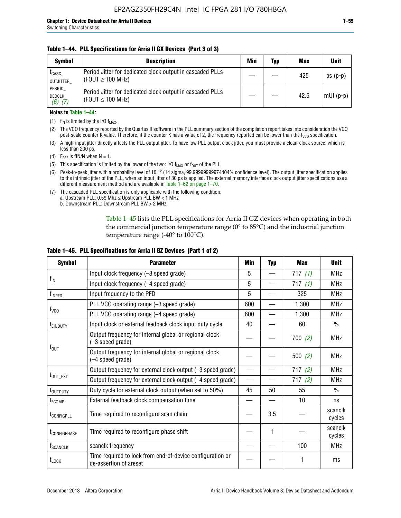### **Table 1–44. PLL Specifications for Arria II GX Devices (Part 3 of 3)**

| <b>Symbol</b>                            | <b>Description</b>                                                                 | Min | Typ | <b>Max</b> | <b>Unit</b> |
|------------------------------------------|------------------------------------------------------------------------------------|-----|-----|------------|-------------|
| t <sub>CASC</sub><br>OUTJITTER           | Period Jitter for dedicated clock output in cascaded PLLs<br>(FOUT $\geq$ 100 MHz) |     |     | 425        | $ps(p-p)$   |
| PERIOD<br><b>DEDCLK</b><br>$(6)$ , $(7)$ | Period Jitter for dedicated clock output in cascaded PLLs<br>(FOUT $\leq$ 100 MHz) |     |     | 42.5       | $mUI(p-p)$  |

### **Notes to Table 1–44:**

- (1)  $f_{IN}$  is limited by the I/O  $f_{MAX}$ .
- (2) The VCO frequency reported by the Quartus II software in the PLL summary section of the compilation report takes into consideration the VCO post-scale counter K value. Therefore, if the counter K has a value of 2, the frequency reported can be lower than the f<sub>VCO</sub> specification.
- (3) A high-input jitter directly affects the PLL output jitter. To have low PLL output clock jitter, you must provide a clean-clock source, which is less than 200 ps.
- (4) F<sub>REF</sub> is fIN/N when N = 1.
- (5) This specification is limited by the lower of the two: I/O  $f_{MAX}$  or  $f_{OUT}$  of the PLL.
- (6) Peak-to-peak jitter with a probability level of 10–12 (14 sigma, 99.99999999974404% confidence level). The output jitter specification applies to the intrinsic jitter of the PLL, when an input jitter of 30 ps is applied. The external memory interface clock output jitter specifications use a different measurement method and are available in Table 1–62 on page 1–70.
- (7) The cascaded PLL specification is only applicable with the following condition: a. Upstream PLL:  $0.59$  Mhz  $\leq$  Upstream PLL BW  $<$  1 MHz
	- b. Downstream PLL: Downstream PLL BW > 2 MHz

Table 1–45 lists the PLL specifications for Arria II GZ devices when operating in both the commercial junction temperature range (0° to 85°C) and the industrial junction temperature range (-40 $\degree$  to 100 $\degree$ C).

| <b>Symbol</b>              | <b>Parameter</b>                                                                    | Min                      | <b>Typ</b> | <b>Max</b> | <b>Unit</b>       |
|----------------------------|-------------------------------------------------------------------------------------|--------------------------|------------|------------|-------------------|
|                            | Input clock frequency (-3 speed grade)                                              | 5                        |            | 717 $(1)$  | <b>MHz</b>        |
| $f_{IN}$                   | Input clock frequency (-4 speed grade)                                              | 5                        |            | 717(1)     | <b>MHz</b>        |
| $f_{\mathsf{INPPD}}$       | Input frequency to the PFD                                                          | 5                        |            | 325        | <b>MHz</b>        |
|                            | PLL VCO operating range (-3 speed grade)                                            | 600                      |            | 1,300      | <b>MHz</b>        |
| $f_{\rm VCO}$              | PLL VCO operating range (-4 speed grade)                                            | 600                      |            | 1,300      | <b>MHz</b>        |
| <b>TEINDUTY</b>            | Input clock or external feedback clock input duty cycle                             | 40                       |            | 60         | $\frac{0}{0}$     |
|                            | Output frequency for internal global or regional clock<br>(-3 speed grade)          |                          |            | 700(2)     | <b>MHz</b>        |
| $f_{\text{OUT}}$           | Output frequency for internal global or regional clock<br>(-4 speed grade)          |                          |            | 500(2)     | <b>MHz</b>        |
|                            | Output frequency for external clock output (-3 speed grade)                         | $\overline{\phantom{0}}$ |            | 717(2)     | <b>MHz</b>        |
| $f_{\text{OUT\_EXT}}$      | Output frequency for external clock output (-4 speed grade)                         | $\overline{\phantom{0}}$ |            | 717(2)     | <b>MHz</b>        |
| t <sub>outduty</sub>       | Duty cycle for external clock output (when set to 50%)                              | 45                       | 50         | 55         | $\frac{0}{0}$     |
| t <sub>FCOMP</sub>         | External feedback clock compensation time                                           |                          |            | 10         | ns                |
| t <sub>configpll</sub>     | Time required to reconfigure scan chain                                             |                          | 3.5        |            | scanclk<br>cycles |
| <b><i>LCONFIGPHASE</i></b> | Time required to reconfigure phase shift                                            |                          | 1          |            | scanclk<br>cycles |
| f <sub>SCANCLK</sub>       | scanclk frequency                                                                   |                          |            | 100        | <b>MHz</b>        |
| t <sub>LOCK</sub>          | Time required to lock from end-of-device configuration or<br>de-assertion of areset |                          |            |            | ms                |

### **Table 1–45. PLL Specifications for Arria II GZ Devices (Part 1 of 2)**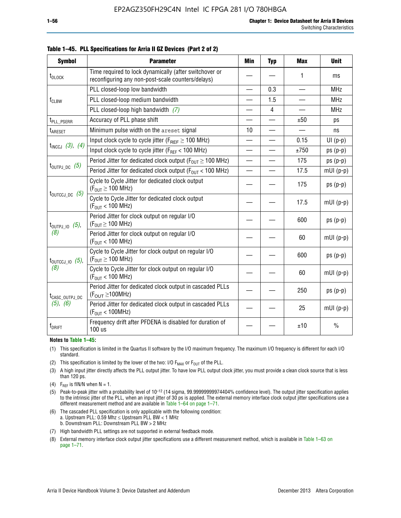| <b>Symbol</b>                                                                                  | <b>Parameter</b>                                                                                            | <b>Min</b>               | <b>Typ</b>               | <b>Max</b> | <b>Unit</b>   |
|------------------------------------------------------------------------------------------------|-------------------------------------------------------------------------------------------------------------|--------------------------|--------------------------|------------|---------------|
| t <sub>DLOCK</sub>                                                                             | Time required to lock dynamically (after switchover or<br>reconfiguring any non-post-scale counters/delays) |                          |                          | 1          | ms            |
|                                                                                                | PLL closed-loop low bandwidth                                                                               |                          | 0.3                      |            | <b>MHz</b>    |
| $f_{CLBW}$                                                                                     | PLL closed-loop medium bandwidth                                                                            |                          | 1.5                      |            | <b>MHz</b>    |
|                                                                                                | PLL closed-loop high bandwidth $(7)$                                                                        | $\overline{\phantom{0}}$ | $\overline{4}$           |            | <b>MHz</b>    |
| t <sub>PLL_PSERR</sub>                                                                         | Accuracy of PLL phase shift                                                                                 |                          |                          | ±50        | ps            |
| t <sub>ARESET</sub>                                                                            | Minimum pulse width on the areset signal                                                                    | 10                       | $\overline{\phantom{0}}$ |            | ns            |
|                                                                                                | Input clock cycle to cycle jitter ( $F_{REF} \geq 100$ MHz)                                                 | $\overline{\phantom{0}}$ |                          | 0.15       | $UI(p-p)$     |
| $t_{INCCJ}$ (3), (4)                                                                           | Input clock cycle to cycle jitter (FREF < 100 MHz)                                                          |                          |                          | ±750       | $ps(p-p)$     |
|                                                                                                | Period Jitter for dedicated clock output ( $F_{OUT} \ge 100$ MHz)                                           | $\overline{\phantom{0}}$ |                          | 175        | $ps(p-p)$     |
| $t_{\text{OUTPJ\_DC}}$ (5)<br>Period Jitter for dedicated clock output ( $F_{OIII}$ < 100 MHz) |                                                                                                             | $\overline{\phantom{0}}$ |                          | 17.5       | $mUI(p-p)$    |
|                                                                                                | Cycle to Cycle Jitter for dedicated clock output<br>$(F_{OUT} \ge 100$ MHz)                                 |                          |                          | 175        | $ps(p-p)$     |
| $t_{\text{OUTCCJ\_DC}}$ (5)                                                                    | Cycle to Cycle Jitter for dedicated clock output<br>$(F_{OUT} < 100$ MHz)                                   |                          |                          | 17.5       | $mUI(p-p)$    |
| $t_{\text{OUTPJ\_IO}}$ (5),                                                                    | Period Jitter for clock output on regular I/O<br>$(F_{OUT} \geq 100$ MHz)                                   |                          |                          | 600        | $ps(p-p)$     |
| (8)                                                                                            | Period Jitter for clock output on regular I/O<br>$(F_{OIII} < 100$ MHz)                                     |                          |                          | 60         | $mUI(p-p)$    |
| $t_{\text{OUTCCJ\_IO}}$ (5),                                                                   | Cycle to Cycle Jitter for clock output on regular I/O<br>$(F_{OUT} \ge 100$ MHz)                            |                          |                          | 600        | $ps(p-p)$     |
| (8)                                                                                            | Cycle to Cycle Jitter for clock output on regular I/O<br>$(F_{OUT} < 100$ MHz)                              |                          |                          | 60         | $mUI(p-p)$    |
| t <sub>CASC_OUTPJ_DC</sub>                                                                     | Period Jitter for dedicated clock output in cascaded PLLs<br>$(F_{\text{OUT}} \ge 100 \text{MHz})$          |                          |                          | 250        | $ps(p-p)$     |
| (5), (6)                                                                                       | Period Jitter for dedicated clock output in cascaded PLLs<br>(F <sub>OUT</sub> < 100MHz)                    |                          |                          | 25         | $mUI(p-p)$    |
| f <sub>DRIFT</sub>                                                                             | Frequency drift after PFDENA is disabled for duration of<br>100 us                                          |                          |                          | ±10        | $\frac{0}{0}$ |

**Table 1–45. PLL Specifications for Arria II GZ Devices (Part 2 of 2)**

#### **Notes to Table 1–45:**

- (1) This specification is limited in the Quartus II software by the I/O maximum frequency. The maximum I/O frequency is different for each I/O standard.
- (2) This specification is limited by the lower of the two: I/O  $F_{MAX}$  or  $F_{OUT}$  of the PLL.
- (3) A high input jitter directly affects the PLL output jitter. To have low PLL output clock jitter, you must provide a clean clock source that is less than 120 ps.
- (4) F<sub>REF</sub> is fIN/N when  $N = 1$ .
- (5) Peak-to-peak jitter with a probability level of 10–12 (14 sigma, 99.99999999974404% confidence level). The output jitter specification applies to the intrinsic jitter of the PLL, when an input jitter of 30 ps is applied. The external memory interface clock output jitter specifications use a different measurement method and are available in Table 1–64 on page 1–71.
- (6) The cascaded PLL specification is only applicable with the following condition: a. Upstream PLL: 0.59 Mhz  $\leq$  Upstream PLL BW  $<$  1 MHz b. Downstream PLL: Downstream PLL BW > 2 MHz
- (7) High bandwidth PLL settings are not supported in external feedback mode.
- (8) External memory interface clock output jitter specifications use a different measurement method, which is available in Table 1–63 on page 1–71.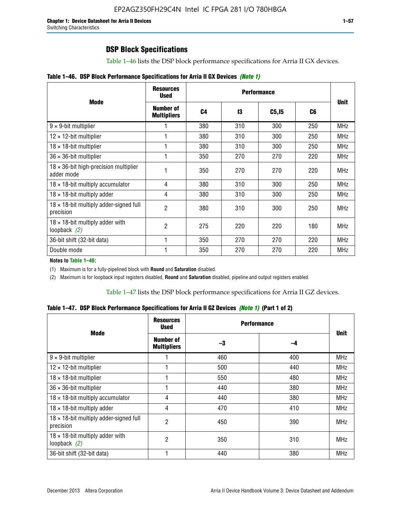# **DSP Block Specifications**

Table 1–46 lists the DSP block performance specifications for Arria II GX devices.

|  |  | Table 1–46. DSP Block Performance Specifications for Arria II GX Devices (Note 1) |  |  |  |  |  |
|--|--|-----------------------------------------------------------------------------------|--|--|--|--|--|
|--|--|-----------------------------------------------------------------------------------|--|--|--|--|--|

|                                                             | <b>Resources</b><br><b>Used</b>        |                |     |                   |     |             |
|-------------------------------------------------------------|----------------------------------------|----------------|-----|-------------------|-----|-------------|
| <b>Mode</b>                                                 | <b>Number of</b><br><b>Multipliers</b> | C <sub>4</sub> | 13  | C <sub>5,15</sub> | C6  | <b>Unit</b> |
| $9 \times 9$ -bit multiplier                                |                                        | 380            | 310 | 300               | 250 | <b>MHz</b>  |
| $12 \times 12$ -bit multiplier                              |                                        | 380            | 310 | 300               | 250 | <b>MHz</b>  |
| $18 \times 18$ -bit multiplier                              |                                        | 380            | 310 | 300               | 250 | <b>MHz</b>  |
| $36 \times 36$ -bit multiplier                              |                                        | 350            | 270 | 270               | 220 | <b>MHz</b>  |
| $18 \times 36$ -bit high-precision multiplier<br>adder mode |                                        | 350            | 270 | 270               | 220 | <b>MHz</b>  |
| $18 \times 18$ -bit multiply accumulator                    | 4                                      | 380            | 310 | 300               | 250 | <b>MHz</b>  |
| $18 \times 18$ -bit multiply adder                          | 4                                      | 380            | 310 | 300               | 250 | <b>MHz</b>  |
| $18 \times 18$ -bit multiply adder-signed full<br>precision | 2                                      | 380            | 310 | 300               | 250 | <b>MHz</b>  |
| $18 \times 18$ -bit multiply adder with<br>loopback $(2)$   | 2                                      | 275            | 220 | 220               | 180 | <b>MHz</b>  |
| 36-bit shift (32-bit data)                                  |                                        | 350            | 270 | 270               | 220 | <b>MHz</b>  |
| Double mode                                                 |                                        | 350            | 270 | 270               | 220 | <b>MHz</b>  |

**Notes to Table 1–46:**

(1) Maximum is for a fully-pipelined block with **Round** and **Saturation** disabled.

(2) Maximum is for loopback input registers disabled, **Round** and **Saturation** disabled, pipeline and output registers enabled.

Table 1–47 lists the DSP block performance specifications for Arria II GZ devices.

**Table 1–47. DSP Block Performance Specifications for Arria II GZ Devices** *(Note 1)* **(Part 1 of 2)**

| <b>Mode</b>                                                 | <b>Resources</b><br><b>Used</b> | <b>Performance</b> |     |             |
|-------------------------------------------------------------|---------------------------------|--------------------|-----|-------------|
|                                                             | Number of<br><b>Multipliers</b> | -3                 | -4  | <b>Unit</b> |
| $9 \times 9$ -bit multiplier                                |                                 | 460                | 400 | <b>MHz</b>  |
| $12 \times 12$ -bit multiplier                              |                                 | 500                | 440 | <b>MHz</b>  |
| $18 \times 18$ -bit multiplier                              |                                 | 550                | 480 | <b>MHz</b>  |
| $36 \times 36$ -bit multiplier                              |                                 | 440                | 380 | <b>MHz</b>  |
| $18 \times 18$ -bit multiply accumulator                    | 4                               | 440                | 380 | <b>MHz</b>  |
| $18 \times 18$ -bit multiply adder                          | 4                               | 470                | 410 | <b>MHz</b>  |
| $18 \times 18$ -bit multiply adder-signed full<br>precision | $\overline{2}$                  | 450                | 390 | <b>MHz</b>  |
| $18 \times 18$ -bit multiply adder with<br>loopback $(2)$   | $\overline{2}$                  | 350                | 310 | <b>MHz</b>  |
| 36-bit shift (32-bit data)                                  |                                 | 440                | 380 | <b>MHz</b>  |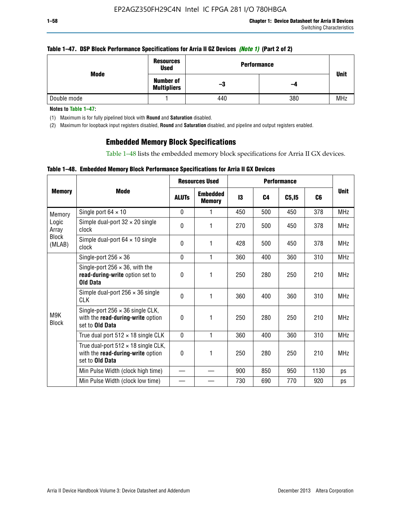### **Table 1–47. DSP Block Performance Specifications for Arria II GZ Devices** *(Note 1)* **(Part 2 of 2)**

| Mode        | <b>Resources</b><br><b>Used</b>        | <b>Performance</b> |     | <b>Unit</b> |  |
|-------------|----------------------------------------|--------------------|-----|-------------|--|
|             | <b>Number of</b><br><b>Multipliers</b> | -3                 | -4  |             |  |
| Double mode |                                        | 440                | 380 | <b>MHz</b>  |  |

**Notes to Table 1–47:**

(1) Maximum is for fully pipelined block with **Round** and **Saturation** disabled.

(2) Maximum for loopback input registers disabled, **Round** and **Saturation** disabled, and pipeline and output registers enabled.

## **Embedded Memory Block Specifications**

Table 1–48 lists the embedded memory block specifications for Arria II GX devices.

### **Table 1–48. Embedded Memory Block Performance Specifications for Arria II GX Devices**

|                        |                                                                                                        |              | <b>Resources Used</b>            |     |                | <b>Performance</b> |                |             |  |
|------------------------|--------------------------------------------------------------------------------------------------------|--------------|----------------------------------|-----|----------------|--------------------|----------------|-------------|--|
| <b>Memory</b>          | Mode                                                                                                   | <b>ALUTs</b> | <b>Embedded</b><br><b>Memory</b> | 13  | C <sub>4</sub> | C5, I5             | C <sub>6</sub> | <b>Unit</b> |  |
| Memory                 | Single port $64 \times 10$                                                                             | $\Omega$     |                                  | 450 | 500            | 450                | 378            | <b>MHz</b>  |  |
| Logic<br>Array         | Simple dual-port $32 \times 20$ single<br>clock                                                        | $\Omega$     | 1                                | 270 | 500            | 450                | 378            | <b>MHz</b>  |  |
| <b>Block</b><br>(MLAB) | Simple dual-port $64 \times 10$ single<br>clock                                                        | $\theta$     | 1                                | 428 | 500            | 450                | 378            | <b>MHz</b>  |  |
|                        | Single-port $256 \times 36$                                                                            | $\mathbf{0}$ | 1                                | 360 | 400            | 360                | 310            | <b>MHz</b>  |  |
|                        | Single-port $256 \times 36$ , with the<br>read-during-write option set to<br><b>Old Data</b>           | $\Omega$     | 1                                | 250 | 280            | 250                | 210            | <b>MHz</b>  |  |
|                        | Simple dual-port $256 \times 36$ single<br><b>CLK</b>                                                  | $\Omega$     | 1                                | 360 | 400            | 360                | 310            | <b>MHz</b>  |  |
| M9K<br><b>Block</b>    | Single-port $256 \times 36$ single CLK,<br>with the read-during-write option<br>set to <b>Old Data</b> | $\theta$     | 1                                | 250 | 280            | 250                | 210            | <b>MHz</b>  |  |
|                        | True dual port $512 \times 18$ single CLK                                                              | $\Omega$     | 1                                | 360 | 400            | 360                | 310            | <b>MHz</b>  |  |
|                        | True dual-port $512 \times 18$ single CLK,<br>with the read-during-write option<br>set to Old Data     | 0            | 1                                | 250 | 280            | 250                | 210            | <b>MHz</b>  |  |
|                        | Min Pulse Width (clock high time)                                                                      |              |                                  | 900 | 850            | 950                | 1130           | ps          |  |
|                        | Min Pulse Width (clock low time)                                                                       |              |                                  | 730 | 690            | 770                | 920            | ps          |  |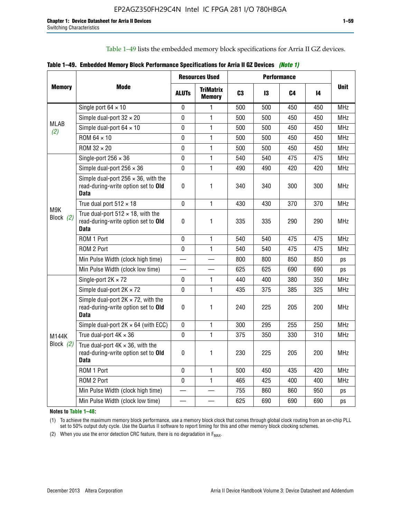Table 1–49 lists the embedded memory block specifications for Arria II GZ devices.

|  | Table 1–49. Embedded Memory Block Performance Specifications for Arria II GZ Devices (Note 1) |  |  |  |  |
|--|-----------------------------------------------------------------------------------------------|--|--|--|--|
|--|-----------------------------------------------------------------------------------------------|--|--|--|--|

|                  |                                                                                                   |              | <b>Resources Used</b>             |                |     | <b>Performance</b> |     |             |
|------------------|---------------------------------------------------------------------------------------------------|--------------|-----------------------------------|----------------|-----|--------------------|-----|-------------|
| <b>Memory</b>    | <b>Mode</b>                                                                                       | <b>ALUTS</b> | <b>TriMatrix</b><br><b>Memory</b> | C <sub>3</sub> | 13  | C4                 | 14  | <b>Unit</b> |
|                  | Single port $64 \times 10$                                                                        | $\mathbf 0$  | 1                                 | 500            | 500 | 450                | 450 | <b>MHz</b>  |
|                  | Simple dual-port $32 \times 20$                                                                   | 0            | 1                                 | 500            | 500 | 450                | 450 | <b>MHz</b>  |
| MLAB<br>(2)      | Simple dual-port $64 \times 10$                                                                   | $\mathbf 0$  | 1                                 | 500            | 500 | 450                | 450 | <b>MHz</b>  |
|                  | ROM 64 × 10                                                                                       | 0            | 1                                 | 500            | 500 | 450                | 450 | <b>MHz</b>  |
|                  | $ROM 32 \times 20$                                                                                | 0            | 1                                 | 500            | 500 | 450                | 450 | <b>MHz</b>  |
|                  | Single-port $256 \times 36$                                                                       | 0            | 1                                 | 540            | 540 | 475                | 475 | <b>MHz</b>  |
|                  | Simple dual-port $256 \times 36$                                                                  | $\mathbf 0$  | 1                                 | 490            | 490 | 420                | 420 | <b>MHz</b>  |
|                  | Simple dual-port $256 \times 36$ , with the<br>read-during-write option set to Old<br><b>Data</b> | $\pmb{0}$    | 1                                 | 340            | 340 | 300                | 300 | <b>MHz</b>  |
|                  | True dual port $512 \times 18$                                                                    | $\mathbf{0}$ | 1                                 | 430            | 430 | 370                | 370 | <b>MHz</b>  |
| M9K<br>Block (2) | True dual-port $512 \times 18$ , with the<br>read-during-write option set to Old<br><b>Data</b>   | $\mathbf 0$  | 1                                 | 335            | 335 | 290                | 290 | <b>MHz</b>  |
|                  | ROM 1 Port                                                                                        | $\mathbf 0$  | 1                                 | 540            | 540 | 475                | 475 | <b>MHz</b>  |
|                  | ROM 2 Port                                                                                        | 0            | 1                                 | 540            | 540 | 475                | 475 | <b>MHz</b>  |
|                  | Min Pulse Width (clock high time)                                                                 |              |                                   | 800            | 800 | 850                | 850 | ps          |
|                  | Min Pulse Width (clock low time)                                                                  |              |                                   | 625            | 625 | 690                | 690 | ps          |
|                  | Single-port $2K \times 72$                                                                        | 0            | 1                                 | 440            | 400 | 380                | 350 | <b>MHz</b>  |
|                  | Simple dual-port $2K \times 72$                                                                   | $\mathbf 0$  | 1                                 | 435            | 375 | 385                | 325 | <b>MHz</b>  |
|                  | Simple dual-port $2K \times 72$ , with the<br>read-during-write option set to Old<br><b>Data</b>  | 0            | 1.                                | 240            | 225 | 205                | 200 | <b>MHz</b>  |
|                  | Simple dual-port $2K \times 64$ (with ECC)                                                        | $\mathbf 0$  | 1                                 | 300            | 295 | 255                | 250 | <b>MHz</b>  |
| M144K            | True dual-port $4K \times 36$                                                                     | $\Omega$     | 1                                 | 375            | 350 | 330                | 310 | <b>MHz</b>  |
| Block $(2)$      | True dual-port $4K \times 36$ , with the<br>read-during-write option set to Old<br><b>Data</b>    | $\pmb{0}$    | 1                                 | 230            | 225 | 205                | 200 | <b>MHz</b>  |
|                  | ROM 1 Port                                                                                        | $\mathbf 0$  | $\mathbf{1}$                      | 500            | 450 | 435                | 420 | <b>MHz</b>  |
|                  | ROM 2 Port                                                                                        | 0            | $\mathbf{1}$                      | 465            | 425 | 400                | 400 | <b>MHz</b>  |
|                  | Min Pulse Width (clock high time)                                                                 |              |                                   | 755            | 860 | 860                | 950 | ps          |
|                  | Min Pulse Width (clock low time)                                                                  |              |                                   | 625            | 690 | 690                | 690 | ps          |

**Notes to Table 1–48:**

(1) To achieve the maximum memory block performance, use a memory block clock that comes through global clock routing from an on-chip PLL set to 50% output duty cycle. Use the Quartus II software to report timing for this and other memory block clocking schemes.

(2) When you use the error detection CRC feature, there is no degradation in  $F_{MAX}$ .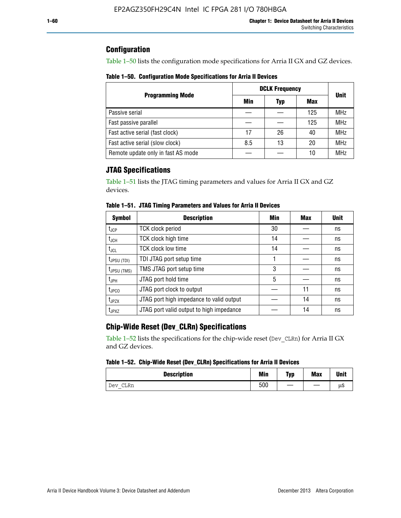## **Configuration**

Table 1–50 lists the configuration mode specifications for Arria II GX and GZ devices.

**Table 1–50. Configuration Mode Specifications for Arria II Devices**

|                                    | <b>DCLK Frequency</b> | <b>Unit</b> |     |            |
|------------------------------------|-----------------------|-------------|-----|------------|
| <b>Programming Mode</b>            | Min                   | Typ         | Max |            |
| Passive serial                     |                       |             | 125 | <b>MHz</b> |
| Fast passive parallel              |                       |             | 125 | <b>MHz</b> |
| Fast active serial (fast clock)    | 17                    | 26          | 40  | <b>MHz</b> |
| Fast active serial (slow clock)    | 8.5                   | 13          | 20  | <b>MHz</b> |
| Remote update only in fast AS mode |                       |             | 10  | <b>MHz</b> |

# **JTAG Specifications**

Table 1–51 lists the JTAG timing parameters and values for Arria II GX and GZ devices.

| <b>Symbol</b>     | <b>Description</b>                       | Min | Max | <b>Unit</b> |
|-------------------|------------------------------------------|-----|-----|-------------|
| t <sub>JCP</sub>  | <b>TCK clock period</b>                  | 30  |     | ns          |
| t <sub>JCH</sub>  | TCK clock high time                      | 14  |     | ns          |
| $t_{\sf JCL}$     | <b>TCK clock low time</b>                | 14  |     | ns          |
| $t_{JPSU(TDI)}$   | TDI JTAG port setup time                 |     |     | ns          |
| $t_{JPSU (TMS)}$  | TMS JTAG port setup time                 | 3   |     | ns          |
| $t_{JPH}$         | JTAG port hold time                      | 5   |     | ns          |
| $t_{\text{JPCO}}$ | JTAG port clock to output                |     | 11  | ns          |
| $t_{JPZX}$        | JTAG port high impedance to valid output |     | 14  | ns          |
| t <sub>JPXZ</sub> | JTAG port valid output to high impedance |     | 14  | ns          |

**Table 1–51. JTAG Timing Parameters and Values for Arria II Devices**

# **Chip-Wide Reset (Dev\_CLRn) Specifications**

Table 1–52 lists the specifications for the chip-wide reset (Dev\_CLRn) for Arria II GX and GZ devices.

### **Table 1–52. Chip-Wide Reset (Dev\_CLRn) Specifications for Arria II Devices**

| <b>Description</b> | <b>Min</b> | Typ | <b>Max</b> | <b>Unit</b> |
|--------------------|------------|-----|------------|-------------|
| CLRn<br>Dev        | 500        | __  |            | μS          |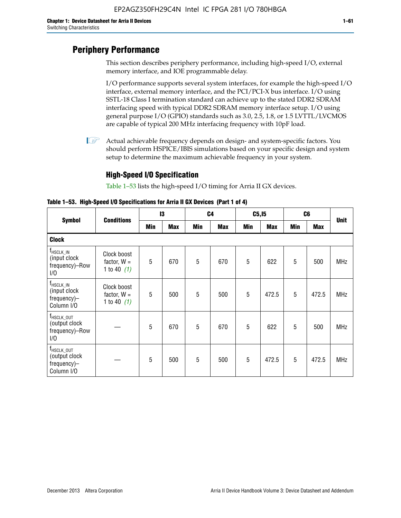# **Periphery Performance**

This section describes periphery performance, including high-speed I/O, external memory interface, and IOE programmable delay.

I/O performance supports several system interfaces, for example the high-speed I/O interface, external memory interface, and the PCI/PCI-X bus interface. I/O using SSTL-18 Class I termination standard can achieve up to the stated DDR2 SDRAM interfacing speed with typical DDR2 SDRAM memory interface setup. I/O using general purpose I/O (GPIO) standards such as 3.0, 2.5, 1.8, or 1.5 LVTTL/LVCMOS are capable of typical 200 MHz interfacing frequency with 10pF load.

 $\mathbb{I}$  Actual achievable frequency depends on design- and system-specific factors. You should perform HSPICE/IBIS simulations based on your specific design and system setup to determine the maximum achievable frequency in your system.

## **High-Speed I/O Specification**

Table 1–53 lists the high-speed I/O timing for Arria II GX devices.

**Table 1–53. High-Speed I/O Specifications for Arria II GX Devices (Part 1 of 4)**

| <b>Symbol</b>                                                        |                                               | 13  |            | C <sub>4</sub> |            | C5, I5 |            | C <sub>6</sub> |            |             |
|----------------------------------------------------------------------|-----------------------------------------------|-----|------------|----------------|------------|--------|------------|----------------|------------|-------------|
|                                                                      | <b>Conditions</b>                             | Min | <b>Max</b> | Min            | <b>Max</b> | Min    | <b>Max</b> | Min            | <b>Max</b> | <b>Unit</b> |
| <b>Clock</b>                                                         |                                               |     |            |                |            |        |            |                |            |             |
| $f_{HSCLK\_IN}$<br>(input clock<br>frequency)-Row<br>1/0             | Clock boost<br>factor, $W =$<br>1 to 40 $(1)$ | 5   | 670        | 5              | 670        | 5      | 622        | 5              | 500        | <b>MHz</b>  |
| $f_{\sf HSCLK\_IN}$<br>(input clock<br>frequency)-<br>Column I/O     | Clock boost<br>factor, $W =$<br>1 to 40 $(1)$ | 5   | 500        | 5              | 500        | 5      | 472.5      | 5              | 472.5      | <b>MHz</b>  |
| T <sub>HSCLK_OUT</sub><br>(output clock<br>frequency)-Row<br>1/0     |                                               | 5   | 670        | 5              | 670        | 5      | 622        | 5              | 500        | <b>MHz</b>  |
| f <sub>HSCLK_OUT</sub><br>(output clock<br>frequency)-<br>Column I/O |                                               | 5   | 500        | 5              | 500        | 5      | 472.5      | 5              | 472.5      | <b>MHz</b>  |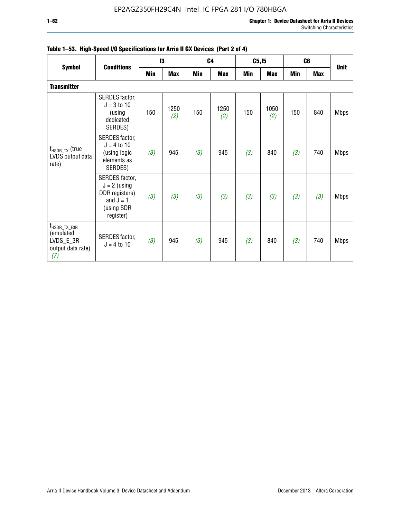|                                                                                  |                                                                                              | 13  |             |     | C <sub>4</sub> |            | C5, I5      |            | C <sub>6</sub> |             |
|----------------------------------------------------------------------------------|----------------------------------------------------------------------------------------------|-----|-------------|-----|----------------|------------|-------------|------------|----------------|-------------|
| <b>Symbol</b>                                                                    | <b>Conditions</b>                                                                            | Min | <b>Max</b>  | Min | <b>Max</b>     | <b>Min</b> | <b>Max</b>  | <b>Min</b> | <b>Max</b>     | <b>Unit</b> |
| <b>Transmitter</b>                                                               |                                                                                              |     |             |     |                |            |             |            |                |             |
|                                                                                  | SERDES factor,<br>$J = 3$ to 10<br>(using<br>dedicated<br>SERDES)                            | 150 | 1250<br>(2) | 150 | 1250<br>(2)    | 150        | 1050<br>(2) | 150        | 840            | <b>Mbps</b> |
| $f_{\sf{HSDR\_TX}}$ (true<br>LVDS output data<br>rate)                           | SERDES factor,<br>$J = 4 to 10$<br>(using logic<br>elements as<br>SERDES)                    | (3) | 945         | (3) | 945            | (3)        | 840         | (3)        | 740            | <b>Mbps</b> |
|                                                                                  | SERDES factor,<br>$J = 2$ (using<br>DDR registers)<br>and $J = 1$<br>(using SDR<br>register) | (3) | (3)         | (3) | (3)            | (3)        | (3)         | (3)        | (3)            | <b>Mbps</b> |
| $f_{\text{HSDR\_TX\_E3R}}$<br>(emulated<br>LVDS_E_3R<br>output data rate)<br>(7) | SERDES factor,<br>$J = 4$ to 10                                                              | (3) | 945         | (3) | 945            | (3)        | 840         | (3)        | 740            | <b>Mbps</b> |

|  |  | Table 1–53. High-Speed I/O Specifications for Arria II GX Devices (Part 2 of 4) |  |  |
|--|--|---------------------------------------------------------------------------------|--|--|
|--|--|---------------------------------------------------------------------------------|--|--|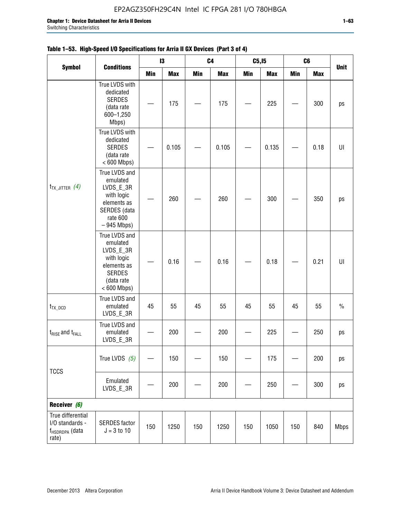$\Gamma$ 

|                                                                             | <b>Conditions</b>                                                                                                   |     | 13         | C4         |            | C <sub>5,15</sub> |            | C6         |            | <b>Unit</b>    |
|-----------------------------------------------------------------------------|---------------------------------------------------------------------------------------------------------------------|-----|------------|------------|------------|-------------------|------------|------------|------------|----------------|
| <b>Symbol</b>                                                               |                                                                                                                     | Min | <b>Max</b> | <b>Min</b> | <b>Max</b> | Min               | <b>Max</b> | <b>Min</b> | <b>Max</b> |                |
|                                                                             | True LVDS with<br>dedicated<br><b>SERDES</b><br>(data rate<br>600-1,250<br>Mbps)                                    |     | 175        |            | 175        |                   | 225        |            | 300        | ps             |
| $t_{TX\_JITTER}$ (4)                                                        | True LVDS with<br>dedicated<br><b>SERDES</b><br>(data rate<br>$< 600$ Mbps)                                         |     | 0.105      |            | 0.105      |                   | 0.135      |            | 0.18       | $\sf{U}\sf{I}$ |
|                                                                             | True LVDS and<br>emulated<br>LVDS_E_3R<br>with logic<br>elements as<br>SERDES (data<br>rate 600<br>$-945$ Mbps)     |     | 260        |            | 260        |                   | 300        |            | 350        | ps             |
|                                                                             | True LVDS and<br>emulated<br>LVDS_E_3R<br>with logic<br>elements as<br><b>SERDES</b><br>(data rate<br>$< 600$ Mbps) |     | 0.16       |            | 0.16       |                   | 0.18       |            | 0.21       | U              |
| $t_{TX\_DCD}$                                                               | True LVDS and<br>emulated<br>LVDS_E_3R                                                                              | 45  | 55         | 45         | 55         | 45                | 55         | 45         | 55         | $\%$           |
| $t_{RISE}$ and $t_{FALL}$                                                   | True LVDS and<br>emulated<br>LVDS_E_3R                                                                              |     | 200        |            | 200        |                   | 225        |            | 250        | ps             |
| <b>TCCS</b>                                                                 | True LVDS $(5)$                                                                                                     |     | 150        |            | 150        |                   | 175        |            | 200        | ps             |
|                                                                             | Emulated<br>LVDS_E_3R                                                                                               |     | 200        |            | 200        |                   | 250        |            | 300        | ps             |
| Receiver (6)                                                                |                                                                                                                     |     |            |            |            |                   |            |            |            |                |
| True differential<br>I/O standards -<br>f <sub>HSDRDPA</sub> (data<br>rate) | <b>SERDES</b> factor<br>$J = 3$ to 10                                                                               | 150 | 1250       | 150        | 1250       | 150               | 1050       | 150        | 840        | <b>Mbps</b>    |

## **Table 1–53. High-Speed I/O Specifications for Arria II GX Devices (Part 3 of 4)**

┱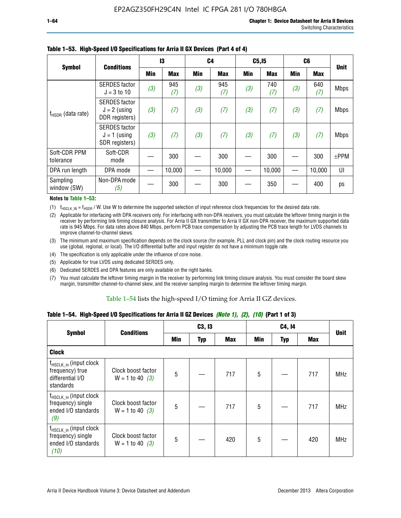| <b>Symbol</b>             | <b>Conditions</b>                                        | 13  |            | C <sub>4</sub> |            | C5, I5 |            | C <sub>6</sub> |            | <b>Unit</b> |
|---------------------------|----------------------------------------------------------|-----|------------|----------------|------------|--------|------------|----------------|------------|-------------|
|                           |                                                          | Min | <b>Max</b> | Min            | <b>Max</b> | Min    | <b>Max</b> | <b>Min</b>     | <b>Max</b> |             |
|                           | <b>SERDES</b> factor<br>$J = 3$ to 10                    | (3) | 945<br>(7) | (3)            | 945<br>(7) | (3)    | 740<br>(7) | (3)            | 640<br>(7) | <b>Mbps</b> |
| $f_{HSDR}$ (data rate)    | <b>SERDES</b> factor<br>$J = 2$ (using<br>DDR registers) | (3) | (7)        | (3)            | (7)        | (3)    | (7)        | (3)            | (7)        | <b>Mbps</b> |
|                           | <b>SERDES</b> factor<br>$J = 1$ (using<br>SDR registers) | (3) | (7)        | (3)            | (7)        | (3)    | (7)        | (3)            | (7)        | <b>Mbps</b> |
| Soft-CDR PPM<br>tolerance | Soft-CDR<br>mode                                         |     | 300        |                | 300        |        | 300        |                | 300        | $±$ PPM     |
| DPA run length            | DPA mode                                                 |     | 10,000     |                | 10,000     |        | 10,000     |                | 10,000     | UI          |
| Sampling<br>window (SW)   | Non-DPA mode<br>(5)                                      |     | 300        |                | 300        |        | 350        |                | 400        | ps          |

### **Table 1–53. High-Speed I/O Specifications for Arria II GX Devices (Part 4 of 4)**

#### **Notes to Table 1–53:**

(1)  $f_{HSCLK\_IN} = f_{HSDR}$  / W. Use W to determine the supported selection of input reference clock frequencies for the desired data rate.

(2) Applicable for interfacing with DPA receivers only. For interfacing with non-DPA receivers, you must calculate the leftover timing margin in the receiver by performing link timing closure analysis. For Arria II GX transmitter to Arria II GX non-DPA receiver, the maximum supported data rate is 945 Mbps. For data rates above 840 Mbps, perform PCB trace compensation by adjusting the PCB trace length for LVDS channels to improve channel-to-channel skews.

- (3) The minimum and maximum specification depends on the clock source (for example, PLL and clock pin) and the clock routing resource you use (global, regional, or local). The I/O differential buffer and input register do not have a minimum toggle rate.
- (4) The specification is only applicable under the influence of core noise.
- (5) Applicable for true LVDS using dedicated SERDES only.
- (6) Dedicated SERDES and DPA features are only available on the right banks.
- (7) You must calculate the leftover timing margin in the receiver by performing link timing closure analysis. You must consider the board skew margin, transmitter channel-to-channel skew, and the receiver sampling margin to determine the leftover timing margin.

### Table 1–54 lists the high-speed I/O timing for Arria II GZ devices.

### **Table 1–54. High-Speed I/O Specifications for Arria II GZ Devices** *(Note 1), (2), (10)* **(Part 1 of 3)**

| <b>Symbol</b>                                                                          | <b>Conditions</b>                       |     | C3, I3     |            |                 | C4, 14     |     |             |
|----------------------------------------------------------------------------------------|-----------------------------------------|-----|------------|------------|-----------------|------------|-----|-------------|
|                                                                                        |                                         | Min | <b>Typ</b> | <b>Max</b> | Min             | <b>Typ</b> | Max | <b>Unit</b> |
| <b>Clock</b>                                                                           |                                         |     |            |            |                 |            |     |             |
| $f_{HSCLK_in}$ (input clock<br>frequency) true<br>differential I/O<br>standards        | Clock boost factor<br>$W = 1$ to 40 (3) | 5   |            | 717        | 5               |            | 717 | <b>MHz</b>  |
| f <sub>HSCLK_in</sub> (input clock<br>frequency) single<br>ended I/O standards<br>(9)  | Clock boost factor<br>$W = 1$ to 40 (3) | 5   |            | 717        | $5\phantom{.0}$ |            | 717 | <b>MHz</b>  |
| f <sub>HSCLK_in</sub> (input clock<br>frequency) single<br>ended I/O standards<br>(10) | Clock boost factor<br>$W = 1$ to 40 (3) | 5   |            | 420        | 5               |            | 420 | <b>MHz</b>  |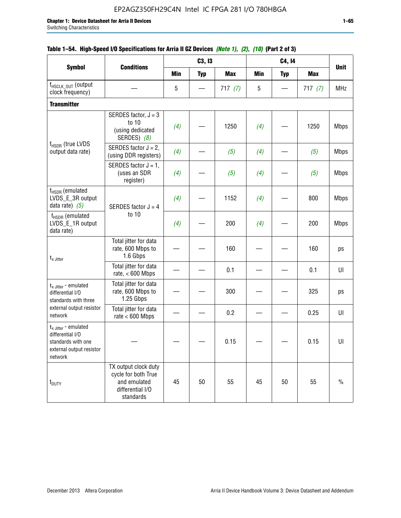$f_{\text{HSCLK\_OUT}}$  (output<br>clock frequency) clock frequency) — 5 — 717 *(7)* 5 — 717 *(7)* MHz **Transmitter**  $f_{HSDR}$  (true LVDS output data rate) SERDES factor,  $J = 3$ to 10 (using dedicated SERDES) *(8) (4)* — 1250 *(4)* — 1250 Mbps SERDES factor  $J = 2$ ,  $\langle$  (using DDR registers) (4) –  $(5)$  (5) (4) –  $(5)$  Mbps SERDES factor  $J = 1$ , (uses an SDR register) *(4)* — *(5) (4)* — *(5)* Mbps  $f_{HSDR}$  (emulated LVDS\_E\_3R output data rate)  $(5)$  SERDES factor  $J = 4$ to 10 *(4)* | — | 1152 | *(4)* | — | 800 | Mbps  $f_{HSDR}$  (emulated LVDS\_E\_1R output data rate) *(4)* — 200 *(4)* — 200 Mbps  $t_{\scriptscriptstyle \sf X}$  Jitter Total jitter for data rate, 600 Mbps to 1.6 Gbps — | — | 160 | — | — | 160 | ps Total jitter for data rate, < 600 Mbps  $-$  0.1  $-$  0.1 0.1 01  $t_{x\text{-}}$  Jitter - emulated differential I/O standards with three external output resistor network Total jitter for data rate, 600 Mbps to 1.25 Gbps — | — | 300 | — | — | 325 | ps Total jitter for data rate < 600 Mbps  $-$  0.2  $-$  0.25 UI  $t_{x\text{-}}$  Jitter - emulated differential I/O standards with one external output resistor network — — — 0.15 — — 0.15 UI t<sub>DUTY</sub> TX output clock duty cycle for both True and emulated differential I/O standards 45 | 50 | 55 | 45 | 50 | 55 | % **Symbol Conditions C3, I3 C4, I4 Unit Min Typ Max Min Typ Max**

### **Table 1–54. High-Speed I/O Specifications for Arria II GZ Devices** *(Note 1), (2), (10)* **(Part 2 of 3)**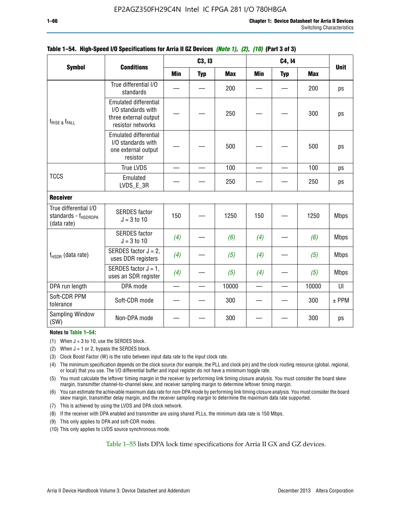|                                                                          | <b>Conditions</b>                                                                                |                          | C3, I3     |            |                          | C4, 14                   |            |             |  |
|--------------------------------------------------------------------------|--------------------------------------------------------------------------------------------------|--------------------------|------------|------------|--------------------------|--------------------------|------------|-------------|--|
| <b>Symbol</b>                                                            |                                                                                                  | <b>Min</b>               | <b>Typ</b> | <b>Max</b> | <b>Min</b>               | <b>Typ</b>               | <b>Max</b> | <b>Unit</b> |  |
|                                                                          | True differential I/O<br>standards                                                               |                          |            | 200        |                          |                          | 200        | ps          |  |
| $t_{RISE}$ & $t_{FALL}$                                                  | <b>Emulated differential</b><br>I/O standards with<br>three external output<br>resistor networks |                          |            | 250        |                          |                          | 300        | ps          |  |
|                                                                          | <b>Emulated differential</b><br>I/O standards with<br>one external output<br>resistor            |                          |            | 500        |                          |                          | 500        | ps          |  |
|                                                                          | <b>True LVDS</b>                                                                                 |                          |            | 100        |                          |                          | 100        | ps          |  |
| <b>TCCS</b>                                                              | Emulated<br>LVDS_E_3R                                                                            |                          |            | 250        |                          |                          | 250        | ps          |  |
| <b>Receiver</b>                                                          |                                                                                                  |                          |            |            |                          |                          |            |             |  |
| True differential I/O<br>standards - f <sub>HSDRDPA</sub><br>(data rate) | <b>SERDES</b> factor<br>$J = 3$ to 10                                                            | 150                      |            | 1250       | 150                      |                          | 1250       | <b>Mbps</b> |  |
|                                                                          | <b>SERDES</b> factor<br>$J = 3$ to 10                                                            | (4)                      |            | (6)        | (4)                      |                          | (6)        | <b>Mbps</b> |  |
| $f_{HSDR}$ (data rate)                                                   | SERDES factor $J = 2$ ,<br>uses DDR registers                                                    | (4)                      |            | (5)        | (4)                      |                          | (5)        | <b>Mbps</b> |  |
|                                                                          | SERDES factor $J = 1$ ,<br>uses an SDR register                                                  | (4)                      |            | (5)        | (4)                      |                          | (5)        | <b>Mbps</b> |  |
| DPA run length                                                           | DPA mode                                                                                         | $\overline{\phantom{0}}$ | $\equiv$   | 10000      | $\overline{\phantom{0}}$ | $\overline{\phantom{0}}$ | 10000      | UI          |  |
| Soft-CDR PPM<br>tolerance                                                | Soft-CDR mode                                                                                    |                          |            | 300        |                          |                          | 300        | $±$ PPM     |  |
| Sampling Window<br>(SW)                                                  | Non-DPA mode                                                                                     |                          |            | 300        |                          |                          | 300        | ps          |  |

### **Table 1–54. High-Speed I/O Specifications for Arria II GZ Devices** *(Note 1), (2), (10)* **(Part 3 of 3)**

### **Notes to Table 1–54:**

(1) When  $J = 3$  to 10, use the SERDES block.

- (2) When  $J = 1$  or 2, bypass the SERDES block.
- (3) Clock Boost Factor (W) is the ratio between input data rate to the input clock rate.
- (4) The minimum specification depends on the clock source (for example, the PLL and clock pin) and the clock routing resource (global, regional, or local) that you use. The I/O differential buffer and input register do not have a minimum toggle rate.
- (5) You must calculate the leftover timing margin in the receiver by performing link timing closure analysis. You must consider the board skew margin, transmitter channel-to-channel skew, and receiver sampling margin to determine leftover timing margin.
- (6) You can estimate the achievable maximum data rate for non-DPA mode by performing link timing closure analysis. You must consider the board skew margin, transmitter delay margin, and the receiver sampling margin to determine the maximum data rate supported.
- (7) This is achieved by using the LVDS and DPA clock network.
- (8) If the receiver with DPA enabled and transmitter are using shared PLLs, the minimum data rate is 150 Mbps.
- (9) This only applies to DPA and soft-CDR modes.
- (10) This only applies to LVDS source synchronous mode.

Table 1–55 lists DPA lock time specifications for Arria II GX and GZ devices.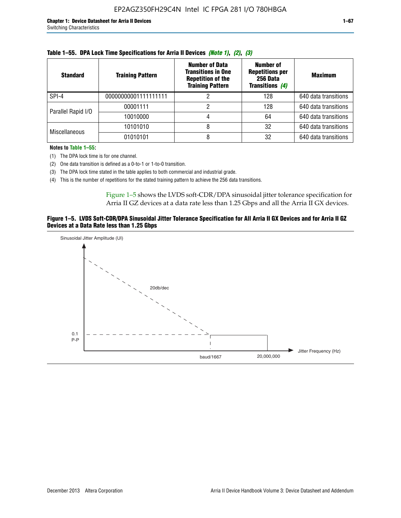| <b>Standard</b>      | <b>Training Pattern</b> | <b>Number of Data</b><br><b>Transitions in One</b><br><b>Repetition of the</b><br><b>Training Pattern</b> | Number of<br><b>Repetitions per</b><br>256 Data<br><b>Transitions (4)</b> | <b>Maximum</b>       |
|----------------------|-------------------------|-----------------------------------------------------------------------------------------------------------|---------------------------------------------------------------------------|----------------------|
| SPI-4                | 00000000001111111111    |                                                                                                           | 128                                                                       | 640 data transitions |
| Parallel Rapid I/O   | 00001111                |                                                                                                           | 128                                                                       | 640 data transitions |
|                      | 10010000                |                                                                                                           | 64                                                                        | 640 data transitions |
| <b>Miscellaneous</b> | 10101010                | 8                                                                                                         | 32                                                                        | 640 data transitions |
|                      | 01010101                |                                                                                                           | 32                                                                        | 640 data transitions |

| Table 1–55. DPA Lock Time Specifications for Arria II Devices (Note 1), (2), (3) |  |  |  |  |  |  |
|----------------------------------------------------------------------------------|--|--|--|--|--|--|
|----------------------------------------------------------------------------------|--|--|--|--|--|--|

**Notes to Table 1–55:**

(1) The DPA lock time is for one channel.

(2) One data transition is defined as a 0-to-1 or 1-to-0 transition.

(3) The DPA lock time stated in the table applies to both commercial and industrial grade.

(4) This is the number of repetitions for the stated training pattern to achieve the 256 data transitions.

Figure 1–5 shows the LVDS soft-CDR/DPA sinusoidal jitter tolerance specification for Arria II GZ devices at a data rate less than 1.25 Gbps and all the Arria II GX devices.

### **Figure 1–5. LVDS Soft-CDR/DPA Sinusoidal Jitter Tolerance Specification for All Arria II GX Devices and for Arria II GZ Devices at a Data Rate less than 1.25 Gbps**

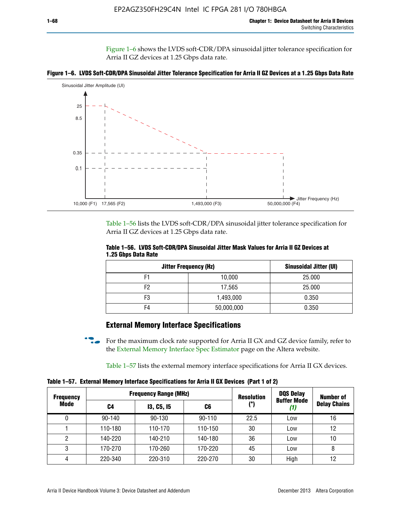Figure 1–6 shows the LVDS soft-CDR/DPA sinusoidal jitter tolerance specification for Arria II GZ devices at 1.25 Gbps data rate.





Table 1–56 lists the LVDS soft-CDR/DPA sinusoidal jitter tolerance specification for Arria II GZ devices at 1.25 Gbps data rate.

|                     |  | Table 1–56. LVDS Soft-CDR/DPA Sinusoidal Jitter Mask Values for Arria II GZ Devices at |
|---------------------|--|----------------------------------------------------------------------------------------|
| 1.25 Gbps Data Rate |  |                                                                                        |

| <b>Jitter Frequency (Hz)</b> | Sinusoidal Jitter (UI) |        |
|------------------------------|------------------------|--------|
| F1                           | 10,000                 | 25.000 |
| F2                           | 17,565                 | 25.000 |
| F3                           | 1,493,000              | 0.350  |
| F4                           | 50,000,000             | 0.350  |

## **External Memory Interface Specifications**

For the maximum clock rate supported for Arria II GX and GZ device family, refer to the [External Memory Interface Spec Estimator](http://www.altera.com/technology/memory/estimator/mem-emif-index.html) page on the Altera website.

Table 1–57 lists the external memory interface specifications for Arria II GX devices.

**Table 1–57. External Memory Interface Specifications for Arria II GX Devices (Part 1 of 2)**

| <b>Frequency Range (MHz)</b><br><b>Frequency</b> |            |                   | <b>Resolution</b> | <b>DQS Delay</b> | <b>Number of</b>   |                     |
|--------------------------------------------------|------------|-------------------|-------------------|------------------|--------------------|---------------------|
| Mode                                             | C4         | <b>13, C5, 15</b> | (°)<br>C6         |                  | <b>Buffer Mode</b> | <b>Delay Chains</b> |
| 0                                                | $90 - 140$ | 90-130            | $90 - 110$        | 22.5             | Low                | 16                  |
|                                                  | 110-180    | 110-170           | 110-150           | 30               | Low                | 12                  |
| 2                                                | 140-220    | 140-210           | 140-180           | 36               | Low                | 10                  |
| 3                                                | 170-270    | 170-260           | 170-220           | 45               | Low                | 8                   |
| 4                                                | 220-340    | 220-310           | 220-270           | 30               | High               | 12                  |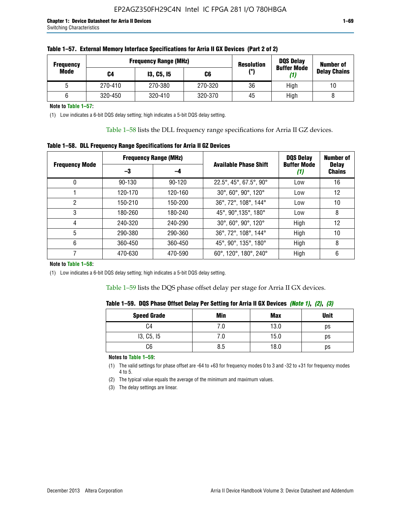| <b>Frequency</b> |         | <b>Frequency Range (MHz)</b> |         | <b>Resolution</b> | <b>DQS Delay</b><br><b>Buffer Mode</b> | <b>Number of</b>    |
|------------------|---------|------------------------------|---------|-------------------|----------------------------------------|---------------------|
| Mode             | C4      | <b>13, C5, 15</b><br>C6      |         | (°)               | (1)                                    | <b>Delay Chains</b> |
|                  | 270-410 | 270-380                      | 270-320 | 36                | High                                   | 10                  |
|                  | 320-450 | 320-410                      | 320-370 | 45                | High                                   |                     |

| Table 1–57. External Memory Interface Specifications for Arria II GX Devices (Part 2 of 2) |  |  |  |
|--------------------------------------------------------------------------------------------|--|--|--|
|                                                                                            |  |  |  |

**Note to Table 1–57:**

(1) Low indicates a 6-bit DQS delay setting; high indicates a 5-bit DQS delay setting.

Table 1–58 lists the DLL frequency range specifications for Arria II GZ devices.

### **Table 1–58. DLL Frequency Range Specifications for Arria II GZ Devices**

|                       | <b>Frequency Range (MHz)</b> |            |                              | <b>DOS Delay</b>          | <b>Number of</b>              |
|-----------------------|------------------------------|------------|------------------------------|---------------------------|-------------------------------|
| <b>Frequency Mode</b> | -3                           | -4         | <b>Available Phase Shift</b> | <b>Buffer Mode</b><br>(1) | <b>Delay</b><br><b>Chains</b> |
| 0                     | $90 - 130$                   | $90 - 120$ | 22.5°, 45°, 67.5°, 90°       | Low                       | 16                            |
|                       | 120-170                      | 120-160    | 30°, 60°, 90°, 120°          | Low                       | 12                            |
| 2                     | 150-210                      | 150-200    | 36°, 72°, 108°, 144°         | Low                       | 10                            |
| 3                     | 180-260                      | 180-240    | 45°, 90°, 135°, 180°         | Low                       | 8                             |
| 4                     | 240-320                      | 240-290    | 30°, 60°, 90°, 120°          | High                      | 12                            |
| 5                     | 290-380                      | 290-360    | 36°, 72°, 108°, 144°         | High                      | 10                            |
| 6                     | 360-450                      | 360-450    | 45°, 90°, 135°, 180°         | High                      | 8                             |
|                       | 470-630                      | 470-590    | 60°, 120°, 180°, 240°        | High                      | 6                             |

### **Note to Table 1–58:**

(1) Low indicates a 6-bit DQS delay setting; high indicates a 5-bit DQS delay setting.

Table 1–59 lists the DQS phase offset delay per stage for Arria II GX devices.

| Table 1–59. DQS Phase Offset Delay Per Setting for Arria II GX Devices <i>(Note 1), (2), (3)</i> |  |  |  |
|--------------------------------------------------------------------------------------------------|--|--|--|
|                                                                                                  |  |  |  |

| <b>Speed Grade</b> | Min  | <b>Max</b> | <b>Unit</b> |
|--------------------|------|------------|-------------|
| C4                 | ن. ا | 13.0       | ps          |
| 13, C5, I5         | 7.U  | 15.0       | ps          |
| C6                 | 8.5  | 18.0       | ps          |

**Notes to Table 1–59:**

(1) The valid settings for phase offset are -64 to +63 for frequency modes 0 to 3 and -32 to +31 for frequency modes 4 to 5.

(2) The typical value equals the average of the minimum and maximum values.

(3) The delay settings are linear.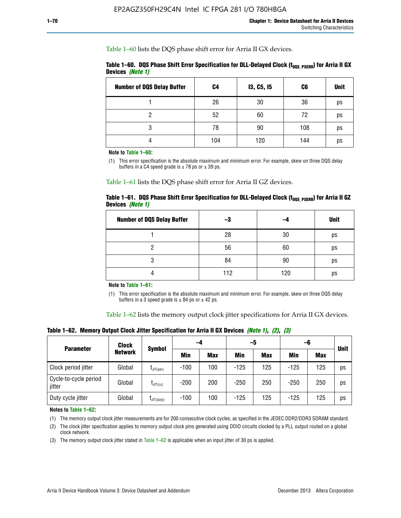Table 1–60 lists the DQS phase shift error for Arria II GX devices.

|                  | Table 1–60. DQS Phase Shift Error Specification for DLL-Delayed Clock ( $t_{\text{DOS PSERR}}$ ) for Arria II GX |  |
|------------------|------------------------------------------------------------------------------------------------------------------|--|
| Devices (Note 1) |                                                                                                                  |  |

| <b>Number of DQS Delay Buffer</b> | C4  | <b>13, C5, 15</b> | C6  | <b>Unit</b> |
|-----------------------------------|-----|-------------------|-----|-------------|
|                                   | 26  | 30                | 36  | ps          |
| າ                                 | 52  | 60                | 72  | ps          |
| 3                                 | 78  | 90                | 108 | ps          |
|                                   | 104 | 120               | 144 | ps          |

**Note to Table 1–60:**

(1) This error specification is the absolute maximum and minimum error. For example, skew on three DQS delay buffers in a C4 speed grade is  $\pm$  78 ps or  $\pm$  39 ps.

Table 1–61 lists the DQS phase shift error for Arria II GZ devices.

|                         |  | Table 1–61.DQS Phase Shift Error Specification for DLL-Delayed Clock (t <sub>oos PsERR</sub> ) for Arria II GZ |
|-------------------------|--|----------------------------------------------------------------------------------------------------------------|
| Devices <i>(Note 1)</i> |  |                                                                                                                |

| <b>Number of DQS Delay Buffer</b> | -3  |     | <b>Unit</b> |
|-----------------------------------|-----|-----|-------------|
|                                   | 28  | 30  | ps          |
|                                   | 56  | 60  | ps          |
| O                                 | 84  | 90  | ps          |
|                                   | 112 | 120 | ps          |

**Note to Table 1–61:**

(1) This error specification is the absolute maximum and minimum error. For example, skew on three DQS delay buffers in a 3 speed grade is  $\pm$  84 ps or  $\pm$  42 ps.

Table 1–62 lists the memory output clock jitter specifications for Arria II GX devices.

**Table 1–62. Memory Output Clock Jitter Specification for Arria II GX Devices** *(Note 1)***,** *(2)***,** *(3)*

| <b>Parameter</b>                | Clock<br><b>Network</b> | Symbol               | -4     |            | -5     |            | -6         |            |             |
|---------------------------------|-------------------------|----------------------|--------|------------|--------|------------|------------|------------|-------------|
|                                 |                         |                      | Min    | <b>Max</b> | Min    | <b>Max</b> | <b>Min</b> | <b>Max</b> | <b>Unit</b> |
| Clock period jitter             | Global                  | $L$ JIT(per)         | $-100$ | 100        | $-125$ | 125        | $-125$     | 125        | ps          |
| Cycle-to-cycle period<br>jitter | Global                  | $L_{\text{JIT(cc)}}$ | $-200$ | 200        | $-250$ | 250        | $-250$     | 250        | ps          |
| Duty cycle jitter               | Global                  | $L$ JIT $(du$ ty $)$ | $-100$ | 100        | $-125$ | 125        | $-125$     | 125        | ps          |

**Notes to Table 1–62:**

(1) The memory output clock jitter measurements are for 200 consecutive clock cycles, as specified in the JEDEC DDR2/DDR3 SDRAM standard.

(2) The clock jitter specification applies to memory output clock pins generated using DDIO circuits clocked by a PLL output routed on a global clock network.

(3) The memory output clock jitter stated in Table  $1-62$  is applicable when an input jitter of 30 ps is applied.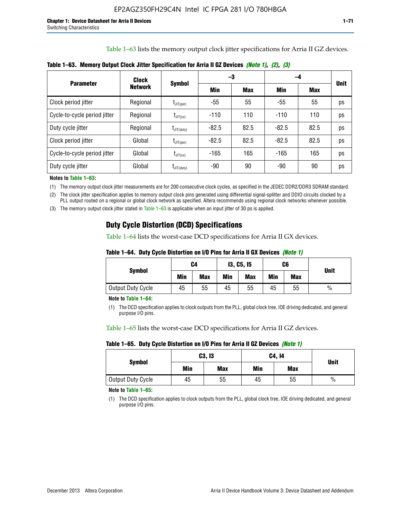Table 1–63 lists the memory output clock jitter specifications for Arria II GZ devices.

|                              | Clock          | <b>Symbol</b>                              |         | -3         | -4      |            |             |
|------------------------------|----------------|--------------------------------------------|---------|------------|---------|------------|-------------|
| <b>Parameter</b>             | <b>Network</b> |                                            | Min     | <b>Max</b> | Min     | <b>Max</b> | <b>Unit</b> |
| Clock period jitter          | Regional       | $\mathsf{t}_{\mathsf{JIT(per)}}$           | -55     | 55         | $-55$   | 55         | ps          |
| Cycle-to-cycle period jitter | Regional       | $t_{\text{JIT(cc)}}$                       | $-110$  | 110        | $-110$  | 110        | ps          |
| Duty cycle jitter            | Regional       | $\mathsf{t}_{\mathsf{JIT}(\mathsf{duty})}$ | $-82.5$ | 82.5       | $-82.5$ | 82.5       | ps          |
| Clock period jitter          | Global         | $I_{\text{JIT(per)}}$                      | $-82.5$ | 82.5       | $-82.5$ | 82.5       | ps          |
| Cycle-to-cycle period jitter | Global         | $t_{\text{JIT(cc)}}$                       | $-165$  | 165        | $-165$  | 165        | ps          |
| Duty cycle jitter            | Global         | $t_{\text{JIT(duty)}}$                     | -90     | 90         | -90     | 90         | ps          |

**Table 1–63. Memory Output Clock Jitter Specification for Arria II GZ Devices** *(Note 1)***,** *(2)***,** *(3)*

**Notes to Table 1–63:**

(1) The memory output clock jitter measurements are for 200 consecutive clock cycles, as specified in the JEDEC DDR2/DDR3 SDRAM standard.

(2) The clock jitter specification applies to memory output clock pins generated using differential signal-splitter and DDIO circuits clocked by a PLL output routed on a regional or global clock network as specified. Altera recommends using regional clock networks whenever possible.

(3) The memory output clock jitter stated in Table 1–63 is applicable when an input jitter of 30 ps is applied.

## **Duty Cycle Distortion (DCD) Specifications**

Table 1–64 lists the worst-case DCD specifications for Arria II GX devices.

| Table 1–64.  Duty Cycle Distortion on I/O Pins for Arria II GX Devices <i>(Note 1)</i> |  |  |
|----------------------------------------------------------------------------------------|--|--|
|----------------------------------------------------------------------------------------|--|--|

| <b>Symbol</b>     | C4  |            | <b>13, C5, 15</b> |            | C6  |            | <b>Unit</b>   |  |
|-------------------|-----|------------|-------------------|------------|-----|------------|---------------|--|
|                   | Min | <b>Max</b> | Min               | <b>Max</b> | Min | <b>Max</b> |               |  |
| Output Duty Cycle | 45  | 55         | 45                | 55         | 45  | 55         | $\frac{0}{0}$ |  |

**Note to Table 1–64:**

(1) The DCD specification applies to clock outputs from the PLL, global clock tree, IOE driving dedicated, and general purpose I/O pins.

Table 1–65 lists the worst-case DCD specifications for Arria II GZ devices.

**Table 1–65. Duty Cycle Distortion on I/O Pins for Arria II GZ Devices** *(Note 1)*

| <b>Symbol</b>     |     | <b>C3, I3</b> | C4, 14 | <b>Unit</b> |      |
|-------------------|-----|---------------|--------|-------------|------|
|                   | Min | <b>Max</b>    | Min    | <b>Max</b>  |      |
| Output Duty Cycle | 45  | 55            | 45     | 55          | $\%$ |

**Note to Table 1–65:**

(1) The DCD specification applies to clock outputs from the PLL, global clock tree, IOE driving dedicated, and general purpose I/O pins.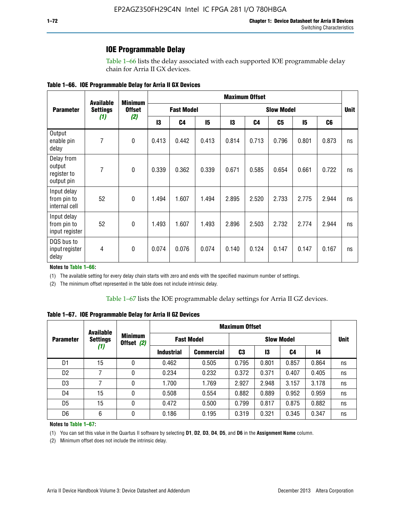### **IOE Programmable Delay**

Table 1–66 lists the delay associated with each supported IOE programmable delay chain for Arria II GX devices.

|  |  |  | Table 1–66. IOE Programmable Delay for Arria II GX Devices |
|--|--|--|------------------------------------------------------------|
|--|--|--|------------------------------------------------------------|

|                                                   | <b>Available</b> | <b>Minimum</b><br><b>Offset</b> | <b>Maximum Offset</b> |                |                   |       |                |                |       |                |    |
|---------------------------------------------------|------------------|---------------------------------|-----------------------|----------------|-------------------|-------|----------------|----------------|-------|----------------|----|
| <b>Parameter</b>                                  | <b>Settings</b>  |                                 | <b>Fast Model</b>     |                | <b>Slow Model</b> |       |                |                |       | <b>Unit</b>    |    |
|                                                   | (1)              | (2)                             | 13                    | C <sub>4</sub> | 15                | 13    | C <sub>4</sub> | C <sub>5</sub> | 15    | C <sub>6</sub> |    |
| Output<br>enable pin<br>delay                     | $\overline{7}$   | $\mathbf 0$                     | 0.413                 | 0.442          | 0.413             | 0.814 | 0.713          | 0.796          | 0.801 | 0.873          | ns |
| Delay from<br>output<br>register to<br>output pin | $\overline{7}$   | $\mathbf 0$                     | 0.339                 | 0.362          | 0.339             | 0.671 | 0.585          | 0.654          | 0.661 | 0.722          | ns |
| Input delay<br>from pin to<br>internal cell       | 52               | $\mathbf{0}$                    | 1.494                 | 1.607          | 1.494             | 2.895 | 2.520          | 2.733          | 2.775 | 2.944          | ns |
| Input delay<br>from pin to<br>input register      | 52               | $\mathbf{0}$                    | 1.493                 | 1.607          | 1.493             | 2.896 | 2.503          | 2.732          | 2.774 | 2.944          | ns |
| DQS bus to<br>input register<br>delay             | $\overline{4}$   | $\mathbf 0$                     | 0.074                 | 0.076          | 0.074             | 0.140 | 0.124          | 0.147          | 0.147 | 0.167          | ns |

**Notes to Table 1–66:**

(1) The available setting for every delay chain starts with zero and ends with the specified maximum number of settings.

(2) The minimum offset represented in the table does not include intrinsic delay.

**Table 1–67. IOE Programmable Delay for Arria II GZ Devices**

|                  | <b>Available</b><br><b>Settings</b><br>(1) | <b>Minimum</b><br>Offset (2) | <b>Maximum Offset</b> |                   |                   |       |       |       |             |
|------------------|--------------------------------------------|------------------------------|-----------------------|-------------------|-------------------|-------|-------|-------|-------------|
| <b>Parameter</b> |                                            |                              | <b>Fast Model</b>     |                   | <b>Slow Model</b> |       |       |       | <b>Unit</b> |
|                  |                                            |                              | <b>Industrial</b>     | <b>Commercial</b> | C3                | 13    | C4    | 14    |             |
| D1               | 15                                         | 0                            | 0.462                 | 0.505             | 0.795             | 0.801 | 0.857 | 0.864 | ns          |
| D <sub>2</sub>   | 7                                          | 0                            | 0.234                 | 0.232             | 0.372             | 0.371 | 0.407 | 0.405 | ns          |
| D <sub>3</sub>   | 7                                          | 0                            | 1.700                 | 1.769             | 2.927             | 2.948 | 3.157 | 3.178 | ns          |
| D4               | 15                                         | 0                            | 0.508                 | 0.554             | 0.882             | 0.889 | 0.952 | 0.959 | ns          |
| D <sub>5</sub>   | 15                                         | 0                            | 0.472                 | 0.500             | 0.799             | 0.817 | 0.875 | 0.882 | ns          |
| D <sub>6</sub>   | 6                                          | 0                            | 0.186                 | 0.195             | 0.319             | 0.321 | 0.345 | 0.347 | ns          |

#### **Notes to Table 1–67:**

(1) You can set this value in the Quartus II software by selecting **D1**, **D2**, **D3**, **D4**, **D5**, and **D6** in the **Assignment Name** column.

(2) Minimum offset does not include the intrinsic delay.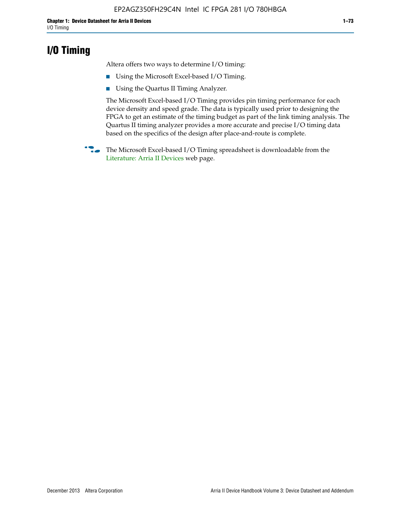### **I/O Timing**

Altera offers two ways to determine I/O timing:

- Using the Microsoft Excel-based I/O Timing.
- Using the Quartus II Timing Analyzer.

The Microsoft Excel-based I/O Timing provides pin timing performance for each device density and speed grade. The data is typically used prior to designing the FPGA to get an estimate of the timing budget as part of the link timing analysis. The Quartus II timing analyzer provides a more accurate and precise I/O timing data based on the specifics of the design after place-and-route is complete.

**f The Microsoft Excel-based I/O Timing spreadsheet is downloadable from the** [Literature: Arria II Devices](http://www.altera.com/literature/lit-arria-ii-gx.jsp) web page.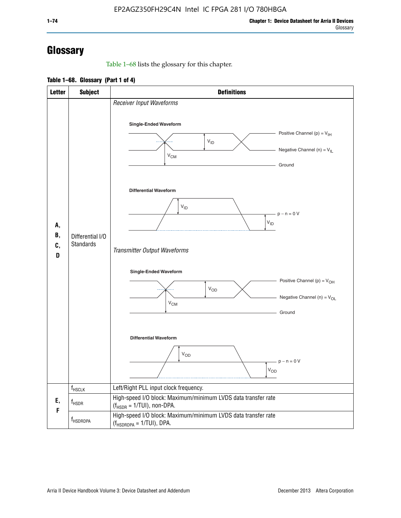# **Glossary**

Table 1–68 lists the glossary for this chapter.

**Table 1–68. Glossary (Part 1 of 4)**

| <b>Letter</b>       | <b>Subject</b>                       | <b>Definitions</b>                                                                                                                         |  |  |
|---------------------|--------------------------------------|--------------------------------------------------------------------------------------------------------------------------------------------|--|--|
|                     |                                      | Receiver Input Waveforms<br>Single-Ended Waveform<br>Positive Channel (p) = $V_{\text{IH}}$<br>$V_{ID}$<br>Negative Channel (n) = $V_{IL}$ |  |  |
| А,<br>В,<br>C,<br>D |                                      | $V_{CM}$<br>Ground<br><b>Differential Waveform</b>                                                                                         |  |  |
|                     | Differential I/O<br><b>Standards</b> | $V_{ID}$<br>$-p - n = 0 V$<br>$\rm V_{ID}$<br>Transmitter Output Waveforms                                                                 |  |  |
|                     |                                      | Single-Ended Waveform<br>Positive Channel (p) = $V_{OH}$<br>$V_{OD}$<br>Negative Channel (n) = $V_{OL}$<br>$V_{CM}$<br>Ground              |  |  |
|                     |                                      | <b>Differential Waveform</b><br><b>V<sub>OD</sub></b><br>$p - n = 0 V$<br>$\rm V_{OD}$                                                     |  |  |
|                     | f <sub>HSCLK</sub>                   | Left/Right PLL input clock frequency.                                                                                                      |  |  |
| Ε,<br>F             | $f_{HSDR}$                           | High-speed I/O block: Maximum/minimum LVDS data transfer rate<br>$(f_{\text{HSDR}} = 1/\text{TUI})$ , non-DPA.                             |  |  |
|                     | f <sub>HSDRDPA</sub>                 | High-speed I/O block: Maximum/minimum LVDS data transfer rate<br>$(f_{HSDRDPA} = 1/TUI)$ , DPA.                                            |  |  |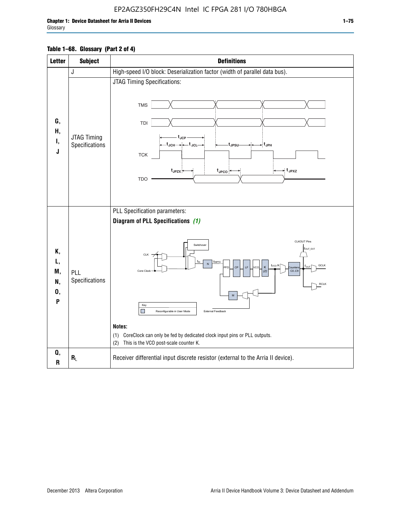### EP2AGZ350FH29C4N Intel IC FPGA 281 I/O 780HBGA

| <b>Letter</b>                   | <b>Subject</b>                | <b>Definitions</b>                                                                                                                                                                                                                                                                                                                                                                                                                                                                          |
|---------------------------------|-------------------------------|---------------------------------------------------------------------------------------------------------------------------------------------------------------------------------------------------------------------------------------------------------------------------------------------------------------------------------------------------------------------------------------------------------------------------------------------------------------------------------------------|
|                                 | J                             | High-speed I/O block: Deserialization factor (width of parallel data bus).                                                                                                                                                                                                                                                                                                                                                                                                                  |
| G,<br>Н,<br>Ι,<br>J             | JTAG Timing<br>Specifications | JTAG Timing Specifications:<br><b>TMS</b><br>TDI<br>t <sub>JCP</sub><br>-t <sub>JCH</sub> → ← t <sub>JCL</sub><br>- t <sub>JPH</sub><br>t <sub>JPSU</sub><br>${\sf TCK}$<br>$t_{JPZX}$<br>$t_{\text{JPCO}}$<br>→ t <sub>JPXZ</sub><br><b>TDO</b>                                                                                                                                                                                                                                            |
| Κ,<br>L,<br>M,<br>N,<br>0,<br>P | PLL<br>Specifications         | PLL Specification parameters:<br>Diagram of PLL Specifications (1)<br><b>CLKOUT Pins</b><br>Switchover<br>fout_ext<br><b>CLK</b><br>TINPFD<br>f <sub>vco</sub> /K<br><b>GCLK</b><br>CP<br>LF<br>Κ<br>PFD<br>vco<br><b>Nunter</b><br>CO.C9<br>Core Clock<br>(2)<br><b>RCLK</b><br>M<br>Key<br>П<br>External Feedback<br>Reconfigurable in User Mode<br>Notes:<br>(1) CoreClock can only be fed by dedicated clock input pins or PLL outputs.<br>This is the VCO post-scale counter K.<br>(2) |
| Q,<br>R                         | $R_L$                         | Receiver differential input discrete resistor (external to the Arria II device).                                                                                                                                                                                                                                                                                                                                                                                                            |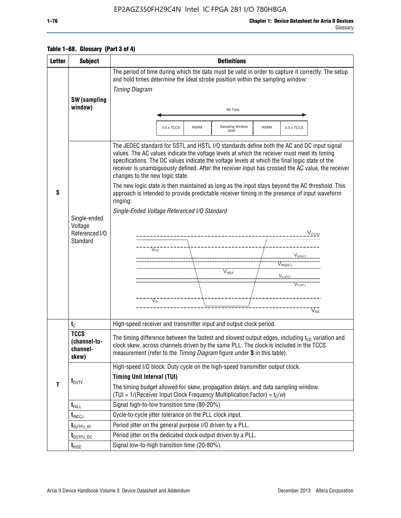### EP2AGZ350FH29C4N Intel IC FPGA 281 I/O 780HBGA

Glossary

|  | Table 1–68. Glossary (Part 3 of 4) |
|--|------------------------------------|
|--|------------------------------------|

| <b>Letter</b> | <b>Subject</b>                                               | <b>Definitions</b>                                                                                                                                                                                                                                                                                                                                                                                                                                                                                                                                                                                                                                                                                                                                                                                                                                                                                                                       |  |  |  |
|---------------|--------------------------------------------------------------|------------------------------------------------------------------------------------------------------------------------------------------------------------------------------------------------------------------------------------------------------------------------------------------------------------------------------------------------------------------------------------------------------------------------------------------------------------------------------------------------------------------------------------------------------------------------------------------------------------------------------------------------------------------------------------------------------------------------------------------------------------------------------------------------------------------------------------------------------------------------------------------------------------------------------------------|--|--|--|
|               | <b>SW</b> (sampling                                          | The period of time during which the data must be valid in order to capture it correctly. The setup<br>and hold times determine the ideal strobe position within the sampling window:<br><b>Timing Diagram</b>                                                                                                                                                                                                                                                                                                                                                                                                                                                                                                                                                                                                                                                                                                                            |  |  |  |
|               | window)                                                      | <b>Bit Time</b>                                                                                                                                                                                                                                                                                                                                                                                                                                                                                                                                                                                                                                                                                                                                                                                                                                                                                                                          |  |  |  |
|               |                                                              | Sampling Window<br>0.5 x TCCS<br><b>RSKM</b><br><b>RSKM</b><br>0.5 x TCCS<br>(SW)                                                                                                                                                                                                                                                                                                                                                                                                                                                                                                                                                                                                                                                                                                                                                                                                                                                        |  |  |  |
| S             | Single-ended<br>Voltage<br>Referenced I/O<br><b>Standard</b> | The JEDEC standard for SSTL and HSTL I/O standards define both the AC and DC input signal<br>values. The AC values indicate the voltage levels at which the receiver must meet its timing<br>specifications. The DC values indicate the voltage levels at which the final logic state of the<br>receiver is unambiguously defined. After the receiver input has crossed the AC value, the receiver<br>changes to the new logic state.<br>The new logic state is then maintained as long as the input stays beyond the AC threshold. This<br>approach is intended to provide predictable receiver timing in the presence of input waveform<br>ringing:<br>Single-Ended Voltage Referenced I/O Standard<br>V <sub>CCIO</sub><br>--------------------<br>$V_{OH}$<br>$V_{IH(AC)}$<br>$V_{IH(DC)}$<br>$V_{REF}$<br>$V_{I L (DC)}$<br>$V^{\bullet\bullet\bullet\bullet}_{\mathsf{IL}(\mathsf{AC})}$<br>$V_{\Omega}$<br>$\rm\overline{V_{SS}}$ |  |  |  |
|               | $t_{C}$                                                      | High-speed receiver and transmitter input and output clock period.                                                                                                                                                                                                                                                                                                                                                                                                                                                                                                                                                                                                                                                                                                                                                                                                                                                                       |  |  |  |
| $\mathbf{T}$  | <b>TCCS</b><br>(channel-to-<br>channel-<br>skew)             | The timing difference between the fastest and slowest output edges, including $t_{c0}$ variation and<br>clock skew, across channels driven by the same PLL. The clock is included in the TCCS<br>measurement (refer to the Timing Diagram figure under S in this table).                                                                                                                                                                                                                                                                                                                                                                                                                                                                                                                                                                                                                                                                 |  |  |  |
|               | $t_{\text{DUTY}}$                                            | High-speed I/O block: Duty cycle on the high-speed transmitter output clock.<br><b>Timing Unit Interval (TUI)</b><br>The timing budget allowed for skew, propagation delays, and data sampling window.<br>(TUI = $1/($ Receiver Input Clock Frequency Multiplication Factor) = $t_c/w$ )                                                                                                                                                                                                                                                                                                                                                                                                                                                                                                                                                                                                                                                 |  |  |  |
|               | $t_{\text{FALL}}$                                            | Signal high-to-low transition time (80-20%)                                                                                                                                                                                                                                                                                                                                                                                                                                                                                                                                                                                                                                                                                                                                                                                                                                                                                              |  |  |  |
|               | $t_{\text{INCCJ}}$                                           | Cycle-to-cycle jitter tolerance on the PLL clock input.                                                                                                                                                                                                                                                                                                                                                                                                                                                                                                                                                                                                                                                                                                                                                                                                                                                                                  |  |  |  |
|               | $t_{\text{OUTPJ\_10}}$                                       | Period jitter on the general purpose I/O driven by a PLL.                                                                                                                                                                                                                                                                                                                                                                                                                                                                                                                                                                                                                                                                                                                                                                                                                                                                                |  |  |  |
|               | t <sub>outpj_dc</sub>                                        | Period jitter on the dedicated clock output driven by a PLL.                                                                                                                                                                                                                                                                                                                                                                                                                                                                                                                                                                                                                                                                                                                                                                                                                                                                             |  |  |  |
|               | $t_{\text{RISE}}$                                            | Signal low-to-high transition time (20-80%).                                                                                                                                                                                                                                                                                                                                                                                                                                                                                                                                                                                                                                                                                                                                                                                                                                                                                             |  |  |  |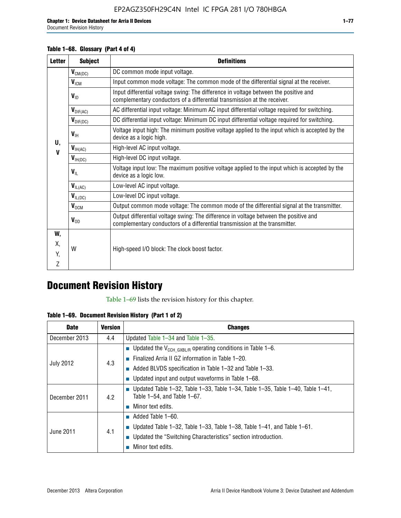Document Revision History

#### **Table 1–68. Glossary (Part 4 of 4)**

| <b>Letter</b> | <b>Subject</b>       | <b>Definitions</b>                                                                                                                                                   |
|---------------|----------------------|----------------------------------------------------------------------------------------------------------------------------------------------------------------------|
|               | $V_{CM(DC)}$         | DC common mode input voltage.                                                                                                                                        |
|               | $V_{IGM}$            | Input common mode voltage: The common mode of the differential signal at the receiver.                                                                               |
|               | $V_{ID}$             | Input differential voltage swing: The difference in voltage between the positive and<br>complementary conductors of a differential transmission at the receiver.     |
|               | $V_{\text{DIF(AC)}}$ | AC differential input voltage: Minimum AC input differential voltage required for switching.                                                                         |
|               | $V_{\text{DIF(DC)}}$ | DC differential input voltage: Minimum DC input differential voltage required for switching.                                                                         |
| U.            | $V_{\text{IH}}$      | Voltage input high: The minimum positive voltage applied to the input which is accepted by the<br>device as a logic high.                                            |
| $\mathbf v$   | $V_{H(AC)}$          | High-level AC input voltage.                                                                                                                                         |
|               | $V_{H(DC)}$          | High-level DC input voltage.                                                                                                                                         |
|               | $V_{\text{IL}}$      | Voltage input low: The maximum positive voltage applied to the input which is accepted by the<br>device as a logic low.                                              |
|               | $V_{IL(AC)}$         | Low-level AC input voltage.                                                                                                                                          |
|               | $V_{IL(DC)}$         | Low-level DC input voltage.                                                                                                                                          |
|               | $V_{OCM}$            | Output common mode voltage: The common mode of the differential signal at the transmitter.                                                                           |
|               | $V_{OD}$             | Output differential voltage swing: The difference in voltage between the positive and<br>complementary conductors of a differential transmission at the transmitter. |
| W,            |                      |                                                                                                                                                                      |
| Χ.            | W                    | High-speed I/O block: The clock boost factor.                                                                                                                        |
| Y.            |                      |                                                                                                                                                                      |
| Z             |                      |                                                                                                                                                                      |

# **Document Revision History**

Table 1–69 lists the revision history for this chapter.

**Table 1–69. Document Revision History (Part 1 of 2)**

| <b>Date</b>      | <b>Version</b> | <b>Changes</b>                                                                                                                      |
|------------------|----------------|-------------------------------------------------------------------------------------------------------------------------------------|
| December 2013    | 4.4            | Updated Table $1-34$ and Table $1-35$ .                                                                                             |
|                  |                | ■ Updated the $V_{\text{CCH GXBL/R}}$ operating conditions in Table 1–6.                                                            |
|                  | 4.3            | <b>Example 1-20.</b> Finalized Arria II GZ information in Table 1-20.                                                               |
| <b>July 2012</b> |                | $\blacksquare$ Added BLVDS specification in Table 1-32 and Table 1-33.                                                              |
|                  |                | <b>Updated input and output waveforms in Table 1–68.</b>                                                                            |
| December 2011    | 4.2            | $\blacksquare$ Updated Table 1-32, Table 1-33, Table 1-34, Table 1-35, Table 1-40, Table 1-41,<br>Table $1-54$ , and Table $1-67$ . |
|                  |                | Minor text edits.                                                                                                                   |
|                  | 4.1            | $\blacksquare$ Added Table 1–60.                                                                                                    |
|                  |                | <b>Updated Table 1–32, Table 1–33, Table 1–38, Table 1–41, and Table 1–61.</b>                                                      |
| June 2011        |                | ■ Updated the "Switching Characteristics" section introduction.                                                                     |
|                  |                | Minor text edits.                                                                                                                   |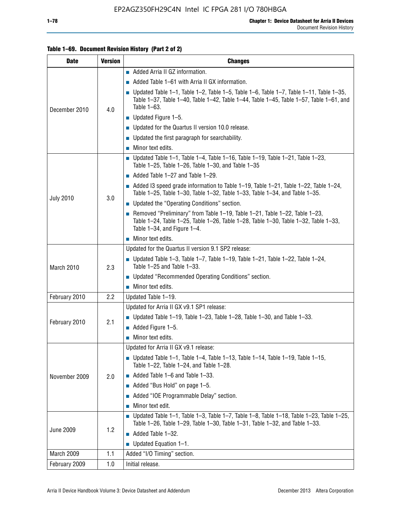#### **Table 1–69. Document Revision History (Part 2 of 2)**

| <b>Date</b>      | <b>Version</b> | <b>Changes</b>                                                                                                                                                                                                     |
|------------------|----------------|--------------------------------------------------------------------------------------------------------------------------------------------------------------------------------------------------------------------|
|                  |                | Added Arria II GZ information.                                                                                                                                                                                     |
| December 2010    |                | $\blacksquare$ Added Table 1–61 with Arria II GX information.                                                                                                                                                      |
|                  | 4.0            | <b>Updated Table 1–1, Table 1–2, Table 1–5, Table 1–6, Table 1–7, Table 1–11, Table 1–35,</b><br>Table 1-37, Table 1-40, Table 1-42, Table 1-44, Table 1-45, Table 1-57, Table 1-61, and<br>Table 1-63.            |
|                  |                | $\blacksquare$ Updated Figure 1-5.                                                                                                                                                                                 |
|                  |                | • Updated for the Quartus II version 10.0 release.                                                                                                                                                                 |
|                  |                | $\blacksquare$ Updated the first paragraph for searchability.                                                                                                                                                      |
|                  |                | $\blacksquare$ Minor text edits.                                                                                                                                                                                   |
|                  |                | Updated Table 1-1, Table 1-4, Table 1-16, Table 1-19, Table 1-21, Table 1-23,<br>Table 1-25, Table 1-26, Table 1-30, and Table 1-35                                                                                |
|                  |                | $\blacksquare$ Added Table 1-27 and Table 1-29.                                                                                                                                                                    |
|                  |                | Added I3 speed grade information to Table 1-19, Table 1-21, Table 1-22, Table 1-24,<br>Table 1-25, Table 1-30, Table 1-32, Table 1-33, Table 1-34, and Table 1-35.                                                 |
| <b>July 2010</b> | 3.0            | • Updated the "Operating Conditions" section.                                                                                                                                                                      |
|                  |                | Removed "Preliminary" from Table $1-19$ , Table $1-21$ , Table $1-22$ , Table $1-23$ ,<br>Table 1-24, Table 1-25, Table 1-26, Table 1-28, Table 1-30, Table 1-32, Table 1-33,<br>Table $1-34$ , and Figure $1-4$ . |
|                  |                | $\blacksquare$ Minor text edits.                                                                                                                                                                                   |
|                  | 2.3            | Updated for the Quartus II version 9.1 SP2 release:                                                                                                                                                                |
| March 2010       |                | Updated Table 1–3, Table 1–7, Table 1–19, Table 1–21, Table 1–22, Table 1–24,<br>Table 1-25 and Table 1-33.                                                                                                        |
|                  |                | • Updated "Recommended Operating Conditions" section.                                                                                                                                                              |
|                  |                | $\blacksquare$ Minor text edits.                                                                                                                                                                                   |
| February 2010    | 2.2            | Updated Table 1-19.                                                                                                                                                                                                |
|                  |                | Updated for Arria II GX v9.1 SP1 release:                                                                                                                                                                          |
| February 2010    | 2.1            | Updated Table 1-19, Table 1-23, Table 1-28, Table 1-30, and Table 1-33.                                                                                                                                            |
|                  |                | Added Figure 1-5.                                                                                                                                                                                                  |
|                  |                | $\blacksquare$ Minor text edits.                                                                                                                                                                                   |
|                  |                | Updated for Arria II GX v9.1 release:                                                                                                                                                                              |
|                  |                | Updated Table 1–1, Table 1–4, Table 1–13, Table 1–14, Table 1–19, Table 1–15,<br>Table 1-22, Table 1-24, and Table 1-28.                                                                                           |
| November 2009    | 2.0            | $\blacksquare$ Added Table 1-6 and Table 1-33.                                                                                                                                                                     |
|                  |                | Added "Bus Hold" on page 1–5.                                                                                                                                                                                      |
|                  |                | Added "IOE Programmable Delay" section.                                                                                                                                                                            |
|                  |                | Minor text edit.                                                                                                                                                                                                   |
|                  |                | $\blacksquare$ Updated Table 1-1, Table 1-3, Table 1-7, Table 1-8, Table 1-18, Table 1-23, Table 1-25,<br>Table 1-26, Table 1-29, Table 1-30, Table 1-31, Table 1-32, and Table 1-33.                              |
| <b>June 2009</b> | 1.2            | Added Table 1-32.                                                                                                                                                                                                  |
|                  |                | $\blacksquare$ Updated Equation 1-1.                                                                                                                                                                               |
| March 2009       | 1.1            | Added "I/O Timing" section.                                                                                                                                                                                        |
| February 2009    | 1.0            | Initial release.                                                                                                                                                                                                   |